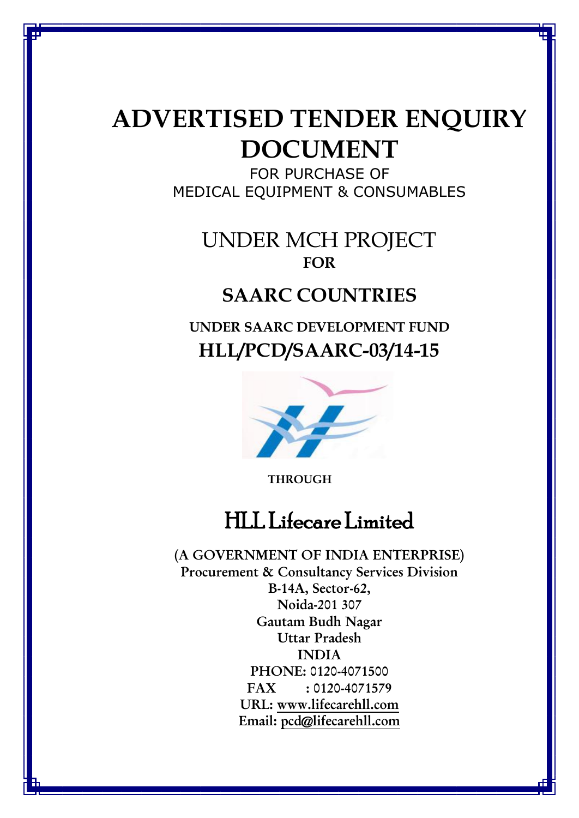# **ADVERTISED TENDER ENQUIRY DOCUMENT**

FOR PURCHASE OF MEDICAL EQUIPMENT & CONSUMABLES

## UNDER MCH PROJECT **FOR**

## **SAARC COUNTRIES**

**UNDER SAARC DEVELOPMENT FUND HLL/PCD/SAARC-03/14-15**



**THROUGH**

# HLL Lifecare Limited

**(A GOVERNMENT OF INDIA ENTERPRISE) Procurement & Consultancy Services Division B-14A, Sector-62, Noida-201 307 Gautam Budh Nagar Uttar Pradesh INDIA PHONE: 0120-4071500 FAX : 0120-4071579 URL: [www.lifecarehll.com](http://www.lifecarehll.com/) Email: [pcd@lifecarehll.com](mailto:pcd@lifecarehll.com)**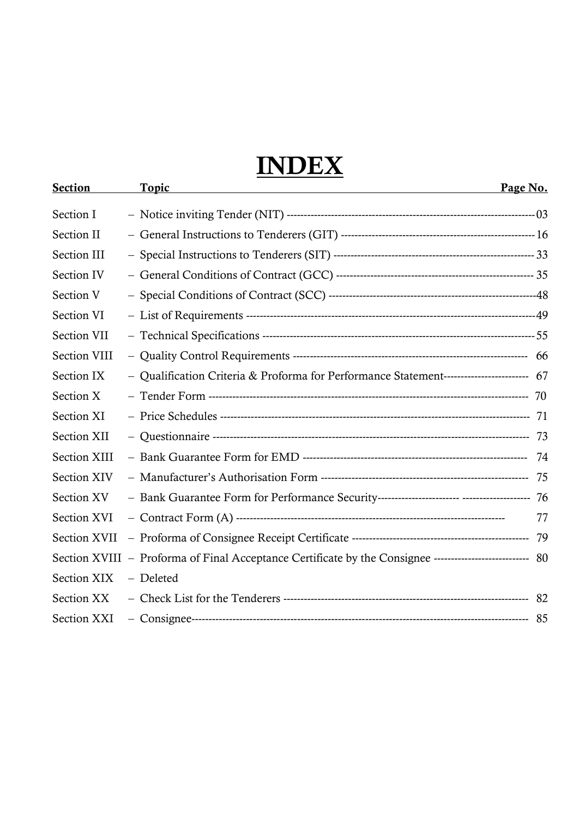# **INDEX**

| <b>Section</b>     | <u>Topic</u>                                                                                            | Page No. |
|--------------------|---------------------------------------------------------------------------------------------------------|----------|
| Section I          |                                                                                                         |          |
| Section II         |                                                                                                         |          |
| Section III        |                                                                                                         |          |
| Section IV         |                                                                                                         |          |
| Section V          |                                                                                                         |          |
| Section VI         |                                                                                                         |          |
| Section VII        |                                                                                                         |          |
| Section VIII       |                                                                                                         |          |
| Section IX         | - Qualification Criteria & Proforma for Performance Statement------------------------ 67                |          |
| Section X          |                                                                                                         |          |
| Section XI         |                                                                                                         |          |
| Section XII        |                                                                                                         |          |
| Section XIII       |                                                                                                         |          |
| <b>Section XIV</b> |                                                                                                         |          |
| Section XV         |                                                                                                         |          |
| Section XVI        |                                                                                                         | 77       |
| Section XVII       |                                                                                                         |          |
|                    | Section XVIII - Proforma of Final Acceptance Certificate by the Consignee -------------------------- 80 |          |
| Section XIX        | – Deleted                                                                                               |          |
| <b>Section XX</b>  |                                                                                                         |          |
| Section XXI        |                                                                                                         |          |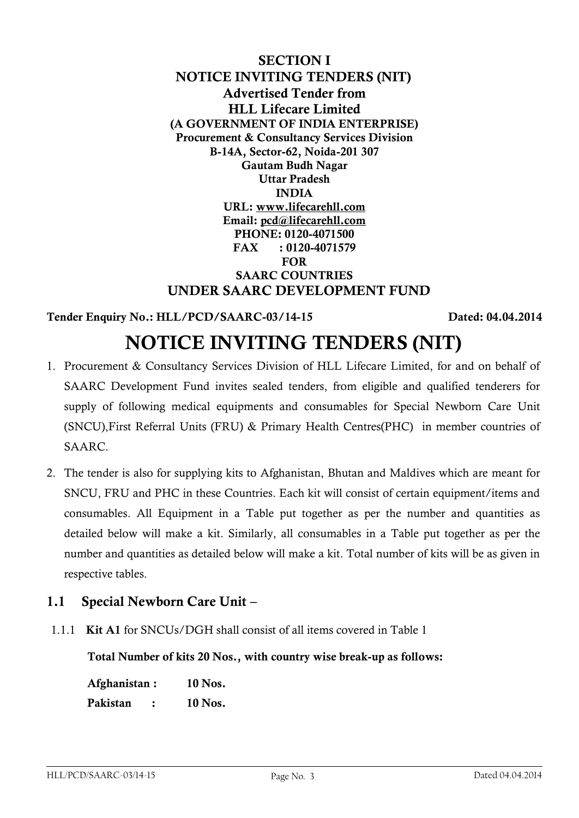**SECTION I NOTICE INVITING TENDERS (NIT) Advertised Tender from HLL Lifecare Limited (A GOVERNMENT OF INDIA ENTERPRISE) Procurement & Consultancy Services Division B-14A, Sector-62, Noida-201 307 Gautam Budh Nagar Uttar Pradesh INDIA URL: [www.lifecarehll.com](http://www.lifecarehll.com/) Email: [pcd@lifecarehll.com](mailto:pcd@lifecarehll.com) PHONE: 0120-4071500 FAX : 0120-4071579 FOR SAARC COUNTRIES UNDER SAARC DEVELOPMENT FUND**

## **Tender Enquiry No.: HLL/PCD/SAARC-03/14-15 Dated: 04.04.2014**

## **NOTICE INVITING TENDERS (NIT)**

- 1. Procurement & Consultancy Services Division of HLL Lifecare Limited, for and on behalf of SAARC Development Fund invites sealed tenders, from eligible and qualified tenderers for supply of following medical equipments and consumables for Special Newborn Care Unit (SNCU),First Referral Units (FRU) & Primary Health Centres(PHC) in member countries of SAARC.
- 2. The tender is also for supplying kits to Afghanistan, Bhutan and Maldives which are meant for SNCU, FRU and PHC in these Countries. Each kit will consist of certain equipment/items and consumables. All Equipment in a Table put together as per the number and quantities as detailed below will make a kit. Similarly, all consumables in a Table put together as per the number and quantities as detailed below will make a kit. Total number of kits will be as given in respective tables.

## **1.1 Special Newborn Care Unit –**

1.1.1 **Kit A1** for SNCUs/DGH shall consist of all items covered in Table 1

**Total Number of kits 20 Nos., with country wise break-up as follows:** 

| Afghanistan: | 10 Nos. |
|--------------|---------|
| Pakistan     | 10 Nos. |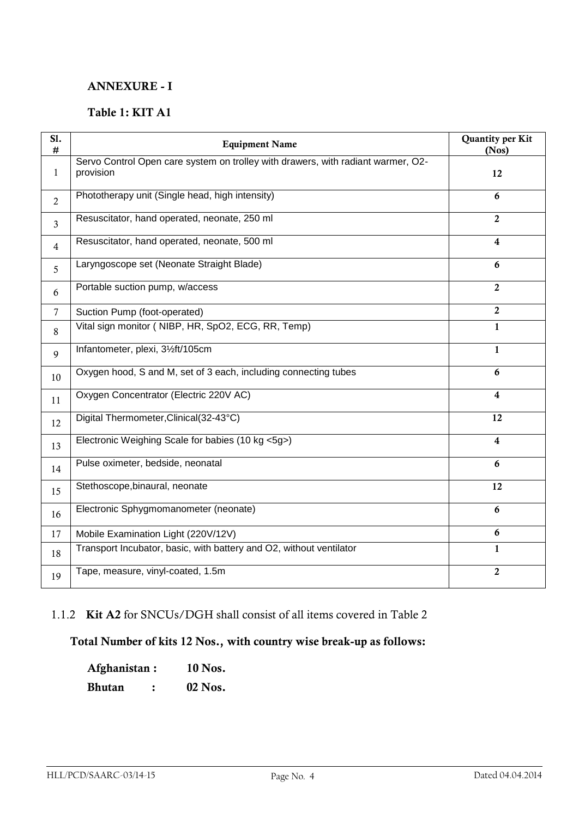### **ANNEXURE - I**

### **Table 1: KIT A1**

| S1.<br>#       | <b>Equipment Name</b>                                                                         | <b>Quantity per Kit</b><br>(Nos) |
|----------------|-----------------------------------------------------------------------------------------------|----------------------------------|
| $\mathbf{1}$   | Servo Control Open care system on trolley with drawers, with radiant warmer, O2-<br>provision | 12                               |
| $\overline{2}$ | Phototherapy unit (Single head, high intensity)                                               | 6                                |
| 3              | Resuscitator, hand operated, neonate, 250 ml                                                  | $\overline{2}$                   |
| $\overline{4}$ | Resuscitator, hand operated, neonate, 500 ml                                                  | 4                                |
| 5              | Laryngoscope set (Neonate Straight Blade)                                                     | 6                                |
| 6              | Portable suction pump, w/access                                                               | $\overline{2}$                   |
| $\overline{7}$ | Suction Pump (foot-operated)                                                                  | $\overline{2}$                   |
| 8              | Vital sign monitor (NIBP, HR, SpO2, ECG, RR, Temp)                                            | $\mathbf{1}$                     |
| 9              | Infantometer, plexi, 31/2ft/105cm                                                             | $\mathbf{1}$                     |
| 10             | Oxygen hood, S and M, set of 3 each, including connecting tubes                               | 6                                |
| 11             | Oxygen Concentrator (Electric 220V AC)                                                        | 4                                |
| 12             | Digital Thermometer, Clinical (32-43°C)                                                       | 12                               |
| 13             | Electronic Weighing Scale for babies (10 kg <5g>)                                             | $\overline{\mathbf{4}}$          |
| 14             | Pulse oximeter, bedside, neonatal                                                             | 6                                |
| 15             | Stethoscope, binaural, neonate                                                                | 12                               |
| 16             | Electronic Sphygmomanometer (neonate)                                                         | 6                                |
| 17             | Mobile Examination Light (220V/12V)                                                           | 6                                |
| 18             | Transport Incubator, basic, with battery and O2, without ventilator                           | $\mathbf{1}$                     |
| 19             | Tape, measure, vinyl-coated, 1.5m                                                             | $\boldsymbol{2}$                 |

## 1.1.2 **Kit A2** for SNCUs/DGH shall consist of all items covered in Table 2

## **Total Number of kits 12 Nos., with country wise break-up as follows:**

| Afghanistan: | 10 Nos.   |
|--------------|-----------|
| Bhutan       | $02$ Nos. |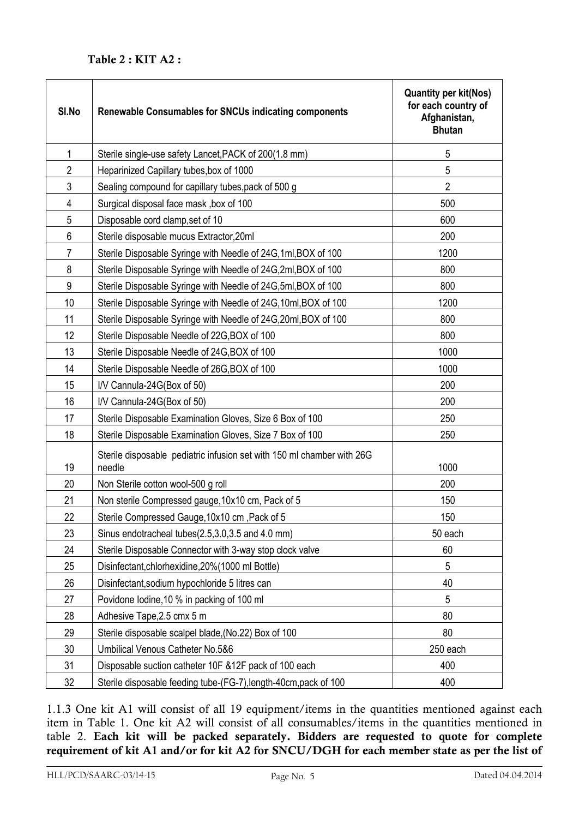| SI.No          | <b>Renewable Consumables for SNCUs indicating components</b>                     | <b>Quantity per kit(Nos)</b><br>for each country of<br>Afghanistan,<br><b>Bhutan</b> |
|----------------|----------------------------------------------------------------------------------|--------------------------------------------------------------------------------------|
| 1              | Sterile single-use safety Lancet, PACK of 200(1.8 mm)                            | 5                                                                                    |
| $\overline{2}$ | Heparinized Capillary tubes, box of 1000                                         | 5                                                                                    |
| 3              | Sealing compound for capillary tubes, pack of 500 g                              | $\overline{2}$                                                                       |
| 4              | Surgical disposal face mask, box of 100                                          | 500                                                                                  |
| 5              | Disposable cord clamp, set of 10                                                 | 600                                                                                  |
| 6              | Sterile disposable mucus Extractor, 20ml                                         | 200                                                                                  |
| 7              | Sterile Disposable Syringe with Needle of 24G, 1ml, BOX of 100                   | 1200                                                                                 |
| 8              | Sterile Disposable Syringe with Needle of 24G, 2ml, BOX of 100                   | 800                                                                                  |
| 9              | Sterile Disposable Syringe with Needle of 24G,5ml, BOX of 100                    | 800                                                                                  |
| 10             | Sterile Disposable Syringe with Needle of 24G, 10ml, BOX of 100                  | 1200                                                                                 |
| 11             | Sterile Disposable Syringe with Needle of 24G, 20ml, BOX of 100                  | 800                                                                                  |
| 12             | Sterile Disposable Needle of 22G, BOX of 100                                     | 800                                                                                  |
| 13             | Sterile Disposable Needle of 24G, BOX of 100                                     | 1000                                                                                 |
| 14             | Sterile Disposable Needle of 26G, BOX of 100                                     | 1000                                                                                 |
| 15             | I/V Cannula-24G(Box of 50)                                                       | 200                                                                                  |
| 16             | I/V Cannula-24G(Box of 50)                                                       | 200                                                                                  |
| 17             | Sterile Disposable Examination Gloves, Size 6 Box of 100                         | 250                                                                                  |
| 18             | Sterile Disposable Examination Gloves, Size 7 Box of 100                         | 250                                                                                  |
| 19             | Sterile disposable pediatric infusion set with 150 ml chamber with 26G<br>needle | 1000                                                                                 |
| 20             | Non Sterile cotton wool-500 g roll                                               | 200                                                                                  |
| 21             | Non sterile Compressed gauge, 10x10 cm, Pack of 5                                | 150                                                                                  |
| 22             | Sterile Compressed Gauge, 10x10 cm, Pack of 5                                    | 150                                                                                  |
| 23             | Sinus endotracheal tubes(2.5,3.0,3.5 and 4.0 mm)                                 | 50 each                                                                              |
| 24             | Sterile Disposable Connector with 3-way stop clock valve                         | 60                                                                                   |
| 25             | Disinfectant, chlorhexidine, 20% (1000 ml Bottle)                                | 5                                                                                    |
| 26             | Disinfectant, sodium hypochloride 5 litres can                                   | 40                                                                                   |
| 27             | Povidone lodine, 10 % in packing of 100 ml                                       | 5                                                                                    |
| 28             | Adhesive Tape, 2.5 cmx 5 m                                                       | 80                                                                                   |
| 29             | Sterile disposable scalpel blade, (No.22) Box of 100                             | 80                                                                                   |
| 30             | Umbilical Venous Catheter No.5&6                                                 | 250 each                                                                             |
| 31             | Disposable suction catheter 10F & 12F pack of 100 each                           | 400                                                                                  |
| 32             | Sterile disposable feeding tube-(FG-7), length-40cm, pack of 100                 | 400                                                                                  |

1.1.3 One kit A1 will consist of all 19 equipment/items in the quantities mentioned against each item in Table 1. One kit A2 will consist of all consumables/items in the quantities mentioned in table 2. **Each kit will be packed separately. Bidders are requested to quote for complete requirement of kit A1 and/or for kit A2 for SNCU/DGH for each member state as per the list of**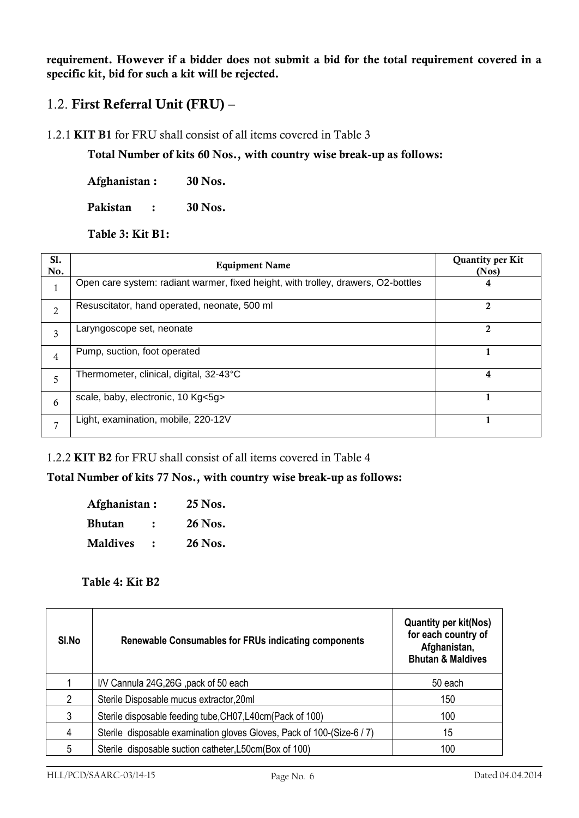**requirement. However if a bidder does not submit a bid for the total requirement covered in a specific kit, bid for such a kit will be rejected.**

## 1.2. **First Referral Unit (FRU) –**

1.2.1 **KIT B1** for FRU shall consist of all items covered in Table 3

**Total Number of kits 60 Nos., with country wise break-up as follows:** 

**Afghanistan : 30 Nos.**

**Pakistan : 30 Nos.**

**Table 3: Kit B1:** 

| S1.<br>No.     | <b>Equipment Name</b>                                                             | Quantity per Kit<br>(Nos) |
|----------------|-----------------------------------------------------------------------------------|---------------------------|
|                | Open care system: radiant warmer, fixed height, with trolley, drawers, O2-bottles | 4                         |
| $\overline{2}$ | Resuscitator, hand operated, neonate, 500 ml                                      | 2                         |
| 3              | Laryngoscope set, neonate                                                         | 2                         |
| $\overline{4}$ | Pump, suction, foot operated                                                      |                           |
| 5              | Thermometer, clinical, digital, 32-43°C                                           | 4                         |
| 6              | scale, baby, electronic, 10 Kg<5g>                                                |                           |
| $\overline{7}$ | Light, examination, mobile, 220-12V                                               |                           |

1.2.2 **KIT B2** for FRU shall consist of all items covered in Table 4

## **Total Number of kits 77 Nos., with country wise break-up as follows:**

| Afghanistan:    | 25 Nos. |
|-----------------|---------|
| Bhutan          | 26 Nos. |
| <b>Maldives</b> | 26 Nos. |

#### **Table 4: Kit B2**

| SI.No | <b>Renewable Consumables for FRUs indicating components</b>            | <b>Quantity per kit(Nos)</b><br>for each country of<br>Afghanistan,<br><b>Bhutan &amp; Maldives</b> |
|-------|------------------------------------------------------------------------|-----------------------------------------------------------------------------------------------------|
|       | I/V Cannula 24G, 26G, pack of 50 each                                  | 50 each                                                                                             |
| 2     | Sterile Disposable mucus extractor, 20ml                               | 150                                                                                                 |
| 3     | Sterile disposable feeding tube, CH07, L40cm (Pack of 100)             | 100                                                                                                 |
| 4     | Sterile disposable examination gloves Gloves, Pack of 100-(Size-6 / 7) | 15                                                                                                  |
| 5     | Sterile disposable suction catheter, L50cm (Box of 100)                | 100                                                                                                 |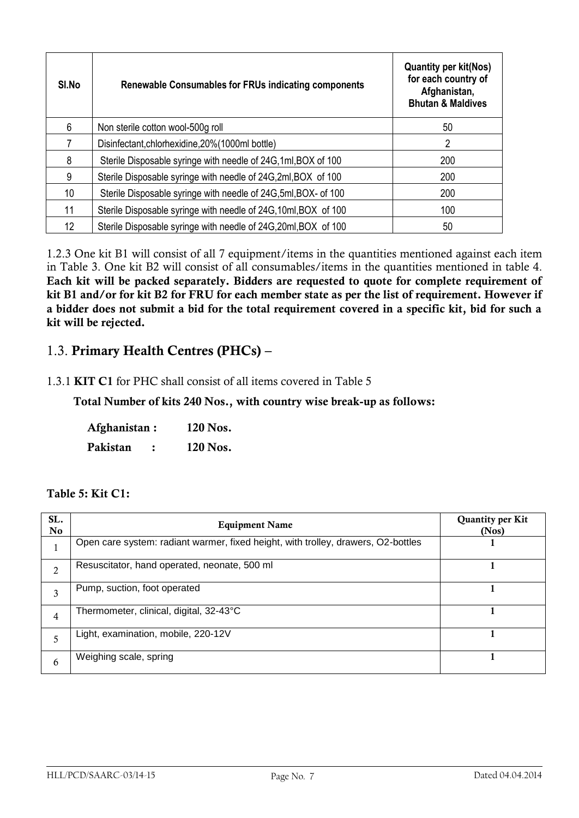| SI.No | <b>Renewable Consumables for FRUs indicating components</b>     | <b>Quantity per kit(Nos)</b><br>for each country of<br>Afghanistan,<br><b>Bhutan &amp; Maldives</b> |
|-------|-----------------------------------------------------------------|-----------------------------------------------------------------------------------------------------|
| 6     | Non sterile cotton wool-500g roll                               | 50                                                                                                  |
|       | Disinfectant, chlorhexidine, 20% (1000ml bottle)                | $\overline{2}$                                                                                      |
| 8     | Sterile Disposable syringe with needle of 24G, 1ml, BOX of 100  | 200                                                                                                 |
| 9     | Sterile Disposable syringe with needle of 24G, 2ml, BOX of 100  | 200                                                                                                 |
| 10    | Sterile Disposable syringe with needle of 24G, 5ml, BOX- of 100 | 200                                                                                                 |
| 11    | Sterile Disposable syringe with needle of 24G, 10ml, BOX of 100 | 100                                                                                                 |
| 12    | Sterile Disposable syringe with needle of 24G, 20ml, BOX of 100 | 50                                                                                                  |

1.2.3 One kit B1 will consist of all 7 equipment/items in the quantities mentioned against each item in Table 3. One kit B2 will consist of all consumables/items in the quantities mentioned in table 4. **Each kit will be packed separately. Bidders are requested to quote for complete requirement of kit B1 and/or for kit B2 for FRU for each member state as per the list of requirement. However if a bidder does not submit a bid for the total requirement covered in a specific kit, bid for such a kit will be rejected.**

## 1.3. **Primary Health Centres (PHCs) –**

#### 1.3.1 **KIT C1** for PHC shall consist of all items covered in Table 5

 **Total Number of kits 240 Nos., with country wise break-up as follows:** 

**Afghanistan : 120 Nos. Pakistan : 120 Nos.**

#### **Table 5: Kit C1:**

| SL.<br>No. | <b>Equipment Name</b>                                                             | <b>Quantity per Kit</b><br>(Nos) |
|------------|-----------------------------------------------------------------------------------|----------------------------------|
|            | Open care system: radiant warmer, fixed height, with trolley, drawers, O2-bottles |                                  |
| ∍          | Resuscitator, hand operated, neonate, 500 ml                                      |                                  |
| 3          | Pump, suction, foot operated                                                      |                                  |
| 4          | Thermometer, clinical, digital, 32-43°C                                           |                                  |
|            | Light, examination, mobile, 220-12V                                               |                                  |
| 6          | Weighing scale, spring                                                            |                                  |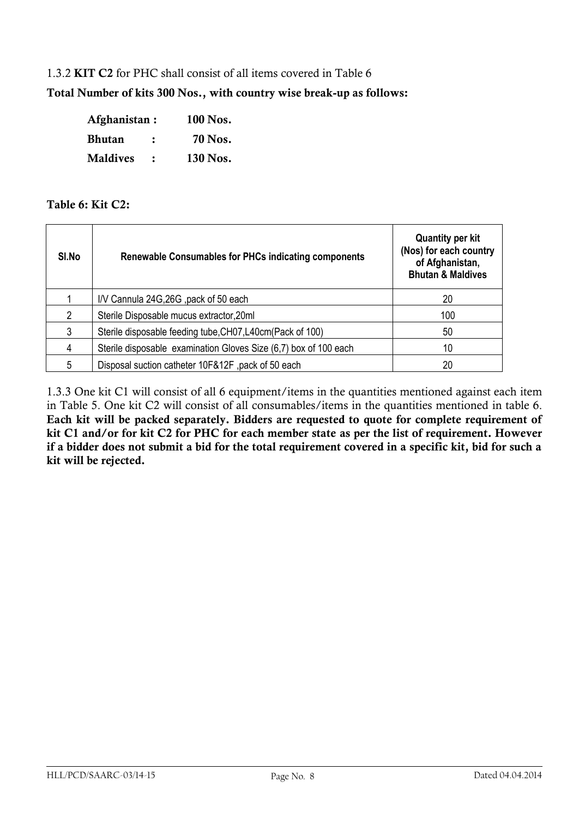#### 1.3.2 **KIT C2** for PHC shall consist of all items covered in Table 6

**Total Number of kits 300 Nos., with country wise break-up as follows:** 

| Afghanistan:    |   | 100 Nos. |
|-----------------|---|----------|
| <b>Bhutan</b>   | : | 70 Nos.  |
| <b>Maldives</b> |   | 130 Nos. |

#### **Table 6: Kit C2:**

| SI.No | Renewable Consumables for PHCs indicating components             | <b>Quantity per kit</b><br>(Nos) for each country<br>of Afghanistan,<br><b>Bhutan &amp; Maldives</b> |
|-------|------------------------------------------------------------------|------------------------------------------------------------------------------------------------------|
|       | I/V Cannula 24G, 26G, pack of 50 each                            | 20                                                                                                   |
| 2     | Sterile Disposable mucus extractor, 20ml                         | 100                                                                                                  |
| 3     | Sterile disposable feeding tube, CH07, L40cm (Pack of 100)       | 50                                                                                                   |
| 4     | Sterile disposable examination Gloves Size (6,7) box of 100 each | 10                                                                                                   |
| 5     | Disposal suction catheter 10F&12F, pack of 50 each               | 20                                                                                                   |

1.3.3 One kit C1 will consist of all 6 equipment/items in the quantities mentioned against each item in Table 5. One kit C2 will consist of all consumables/items in the quantities mentioned in table 6. **Each kit will be packed separately. Bidders are requested to quote for complete requirement of kit C1 and/or for kit C2 for PHC for each member state as per the list of requirement. However if a bidder does not submit a bid for the total requirement covered in a specific kit, bid for such a kit will be rejected.**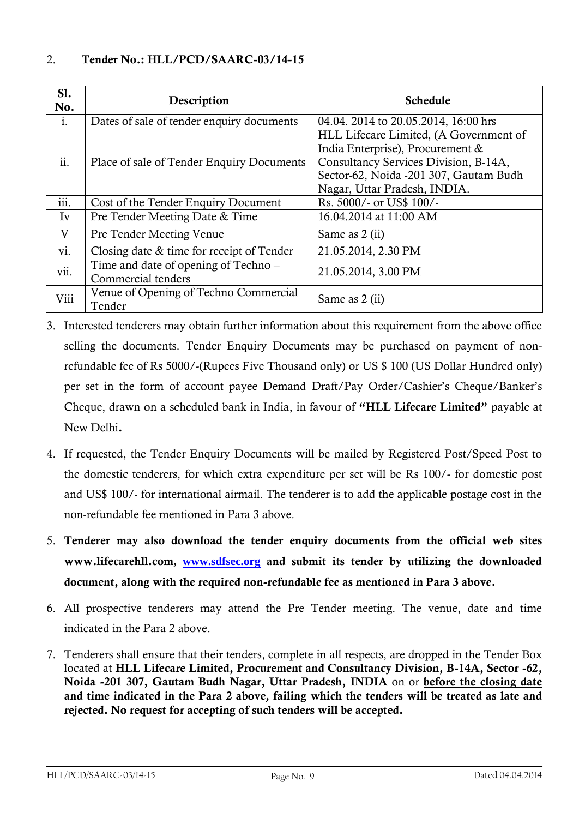| S1.<br>No.       | Description                                                | <b>Schedule</b>                                                                                                                                                                               |  |
|------------------|------------------------------------------------------------|-----------------------------------------------------------------------------------------------------------------------------------------------------------------------------------------------|--|
| 1.               | Dates of sale of tender enquiry documents                  | 04.04. 2014 to 20.05.2014, 16:00 hrs                                                                                                                                                          |  |
| ii.              | Place of sale of Tender Enquiry Documents                  | HLL Lifecare Limited, (A Government of<br>India Enterprise), Procurement &<br>Consultancy Services Division, B-14A,<br>Sector-62, Noida -201 307, Gautam Budh<br>Nagar, Uttar Pradesh, INDIA. |  |
| $\cdots$<br>111. | Cost of the Tender Enquiry Document                        | Rs. 5000/- or US\$ 100/-                                                                                                                                                                      |  |
| Iv               | Pre Tender Meeting Date & Time                             | 16.04.2014 at 11:00 AM                                                                                                                                                                        |  |
| V                | <b>Pre Tender Meeting Venue</b>                            | Same as 2 (ii)                                                                                                                                                                                |  |
| vi.              | Closing date & time for receipt of Tender                  | 21.05.2014, 2.30 PM                                                                                                                                                                           |  |
| vii.             | Time and date of opening of Techno –<br>Commercial tenders | 21.05.2014, 3.00 PM                                                                                                                                                                           |  |
| Viii             | Venue of Opening of Techno Commercial<br>Tender            | Same as 2 (ii)                                                                                                                                                                                |  |

- 3. Interested tenderers may obtain further information about this requirement from the above office selling the documents. Tender Enquiry Documents may be purchased on payment of nonrefundable fee of Rs 5000/-(Rupees Five Thousand only) or US \$ 100 (US Dollar Hundred only) per set in the form of account payee Demand Draft/Pay Order/Cashier"s Cheque/Banker"s Cheque, drawn on a scheduled bank in India, in favour of **"HLL Lifecare Limited"** payable at New Delhi**.**
- 4. If requested, the Tender Enquiry Documents will be mailed by Registered Post/Speed Post to the domestic tenderers, for which extra expenditure per set will be Rs 100/- for domestic post and US\$ 100/- for international airmail. The tenderer is to add the applicable postage cost in the non-refundable fee mentioned in Para 3 above.
- 5. **Tenderer may also download the tender enquiry documents from the official web sites [www.lifecarehll.com](http://www.lifecarehll.com/), [www.sdfsec.org](http://www.sdfsec.org/) and submit its tender by utilizing the downloaded document, along with the required non-refundable fee as mentioned in Para 3 above.**
- 6. All prospective tenderers may attend the Pre Tender meeting. The venue, date and time indicated in the Para 2 above.
- 7. Tenderers shall ensure that their tenders, complete in all respects, are dropped in the Tender Box located at **HLL Lifecare Limited, Procurement and Consultancy Division, B-14A, Sector -62, Noida -201 307, Gautam Budh Nagar, Uttar Pradesh, INDIA** on or **before the closing date and time indicated in the Para 2 above***,* **failing which the tenders will be treated as late and rejected. No request for accepting of such tenders will be accepted.**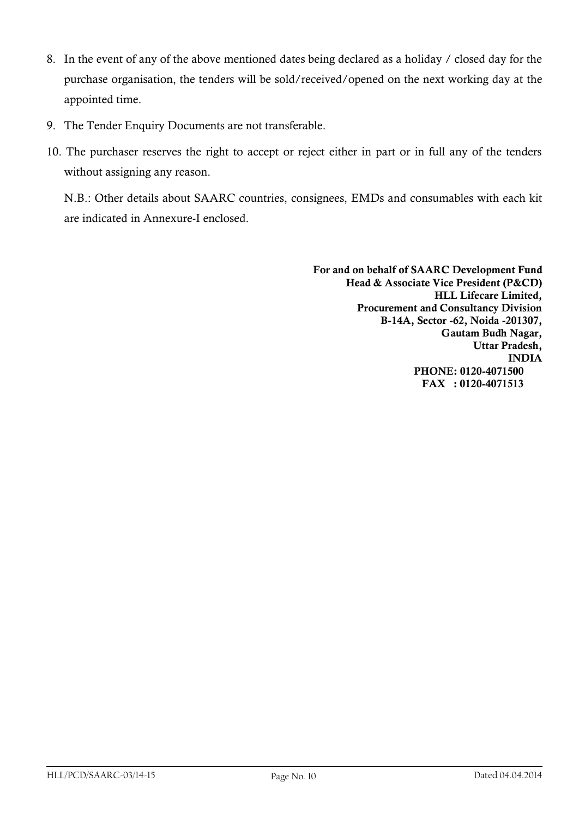- 8. In the event of any of the above mentioned dates being declared as a holiday / closed day for the purchase organisation, the tenders will be sold/received/opened on the next working day at the appointed time.
- 9. The Tender Enquiry Documents are not transferable.
- 10. The purchaser reserves the right to accept or reject either in part or in full any of the tenders without assigning any reason.

N.B.: Other details about SAARC countries, consignees, EMDs and consumables with each kit are indicated in Annexure-I enclosed.

> **For and on behalf of SAARC Development Fund Head & Associate Vice President (P&CD) HLL Lifecare Limited, Procurement and Consultancy Division B-14A, Sector -62, Noida -201307, Gautam Budh Nagar, Uttar Pradesh, INDIA PHONE: 0120-4071500 FAX : 0120-4071513**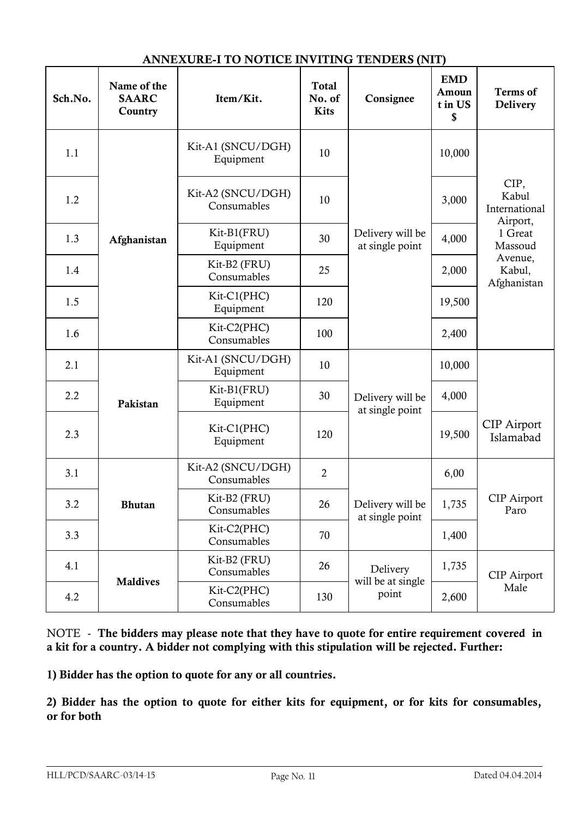#### **ANNEXURE-I TO NOTICE INVITING TENDERS (NIT)**

| Sch.No. | Name of the<br><b>SAARC</b><br>Country | Item/Kit.                        | <b>Total</b><br>No. of<br><b>Kits</b> | Consignee                              | <b>EMD</b><br>Amoun<br>t in US<br>\$ | <b>Terms</b> of<br>Delivery      |
|---------|----------------------------------------|----------------------------------|---------------------------------------|----------------------------------------|--------------------------------------|----------------------------------|
| 1.1     | Afghanistan                            | Kit-A1 (SNCU/DGH)<br>Equipment   | 10                                    |                                        | 10,000                               | CIP,<br>Kabul<br>International   |
| 1.2     |                                        | Kit-A2 (SNCU/DGH)<br>Consumables | 10                                    |                                        | 3,000                                |                                  |
| 1.3     |                                        | Kit-B1(FRU)<br>Equipment         | 30                                    | Delivery will be<br>at single point    | 4,000                                | Airport,<br>1 Great<br>Massoud   |
| 1.4     |                                        | Kit-B2 (FRU)<br>Consumables      | 25                                    |                                        | 2,000                                | Avenue,<br>Kabul,<br>Afghanistan |
| 1.5     |                                        | Kit-C1(PHC)<br>Equipment         | 120                                   |                                        | 19,500                               |                                  |
| 1.6     |                                        | Kit-C2(PHC)<br>Consumables       | 100                                   |                                        | 2,400                                |                                  |
| 2.1     | Pakistan                               | Kit-A1 (SNCU/DGH)<br>Equipment   | 10                                    | Delivery will be<br>at single point    | 10,000                               |                                  |
| 2.2     |                                        | Kit-B1(FRU)<br>Equipment         | 30                                    |                                        | 4,000                                |                                  |
| 2.3     |                                        | Kit-C1(PHC)<br>Equipment         | 120                                   |                                        | 19,500                               | <b>CIP</b> Airport<br>Islamabad  |
| 3.1     | <b>Bhutan</b>                          | Kit-A2 (SNCU/DGH)<br>Consumables | $\overline{2}$                        | Delivery will be<br>at single point    | 6,00                                 |                                  |
| 3.2     |                                        | Kit-B2 (FRU)<br>Consumables      | 26                                    |                                        | 1,735                                | <b>CIP</b> Airport<br>Paro       |
| 3.3     |                                        | Kit-C2(PHC)<br>Consumables       | 70                                    |                                        | 1,400                                |                                  |
| 4.1     | <b>Maldives</b>                        | Kit-B2 (FRU)<br>Consumables      | 26                                    | Delivery<br>will be at single<br>point | 1,735                                | <b>CIP</b> Airport<br>Male       |
| 4.2     |                                        | Kit-C2(PHC)<br>Consumables       | 130                                   |                                        | 2,600                                |                                  |

NOTE - **The bidders may please note that they have to quote for entire requirement covered in a kit for a country. A bidder not complying with this stipulation will be rejected. Further:**

**1) Bidder has the option to quote for any or all countries.**

**2) Bidder has the option to quote for either kits for equipment, or for kits for consumables, or for both**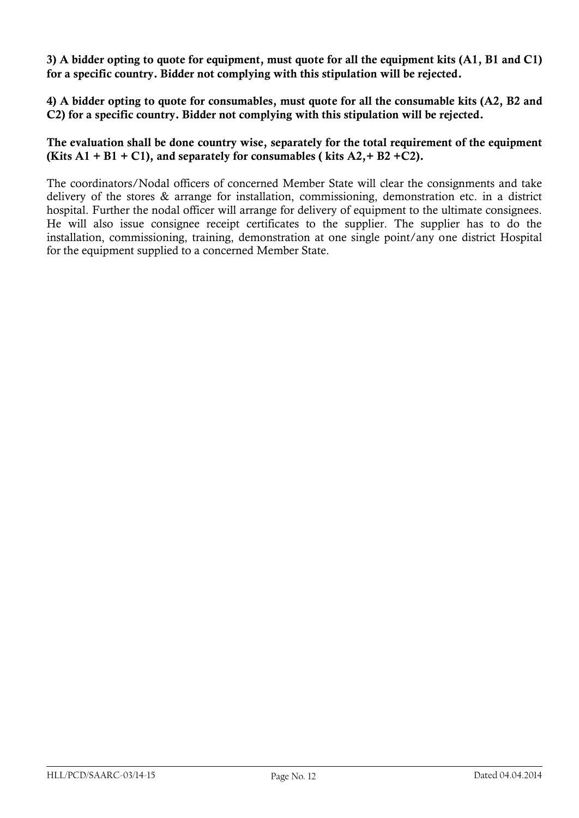**3) A bidder opting to quote for equipment, must quote for all the equipment kits (A1, B1 and C1) for a specific country. Bidder not complying with this stipulation will be rejected.**

**4) A bidder opting to quote for consumables, must quote for all the consumable kits (A2, B2 and C2) for a specific country. Bidder not complying with this stipulation will be rejected.**

**The evaluation shall be done country wise, separately for the total requirement of the equipment (Kits A1 + B1 + C1), and separately for consumables (kits A2, + B2 + C2).** 

The coordinators/Nodal officers of concerned Member State will clear the consignments and take delivery of the stores & arrange for installation, commissioning, demonstration etc. in a district hospital. Further the nodal officer will arrange for delivery of equipment to the ultimate consignees. He will also issue consignee receipt certificates to the supplier. The supplier has to do the installation, commissioning, training, demonstration at one single point/any one district Hospital for the equipment supplied to a concerned Member State.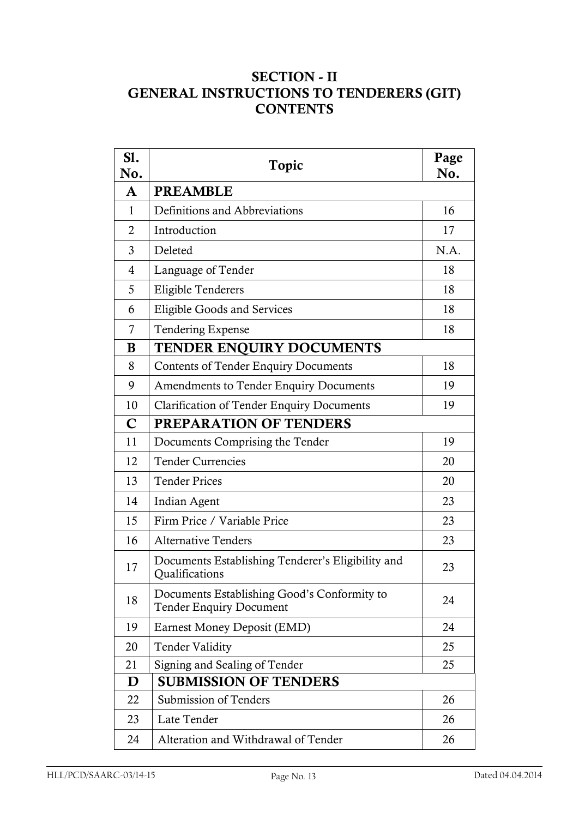## **SECTION - II GENERAL INSTRUCTIONS TO TENDERERS (GIT) CONTENTS**

| S1.<br>No.     | Topic                                                                         |      |
|----------------|-------------------------------------------------------------------------------|------|
| A              | <b>PREAMBLE</b>                                                               |      |
| $\mathbf{1}$   | Definitions and Abbreviations                                                 | 16   |
| $\overline{2}$ | Introduction                                                                  | 17   |
| 3              | Deleted                                                                       | N.A. |
| $\overline{4}$ | Language of Tender                                                            | 18   |
| 5              | <b>Eligible Tenderers</b>                                                     | 18   |
| 6              | <b>Eligible Goods and Services</b>                                            | 18   |
| 7              | <b>Tendering Expense</b>                                                      | 18   |
| B              | TENDER ENQUIRY DOCUMENTS                                                      |      |
| 8              | <b>Contents of Tender Enquiry Documents</b>                                   | 18   |
| 9              | <b>Amendments to Tender Enquiry Documents</b>                                 | 19   |
| 10             | <b>Clarification of Tender Enquiry Documents</b>                              | 19   |
| $\mathbf C$    | <b>PREPARATION OF TENDERS</b>                                                 |      |
| 11             | Documents Comprising the Tender                                               | 19   |
| 12             | <b>Tender Currencies</b>                                                      | 20   |
| 13             | <b>Tender Prices</b>                                                          | 20   |
| 14             | Indian Agent                                                                  | 23   |
| 15             | Firm Price / Variable Price                                                   | 23   |
| 16             | <b>Alternative Tenders</b>                                                    | 23   |
| 17             | Documents Establishing Tenderer's Eligibility and<br><b>Qualifications</b>    | 23   |
| 18             | Documents Establishing Good's Conformity to<br><b>Tender Enquiry Document</b> | 24   |
| 19             | Earnest Money Deposit (EMD)                                                   | 24   |
| 20             | <b>Tender Validity</b>                                                        | 25   |
| 21             | Signing and Sealing of Tender                                                 | 25   |
| D              | <b>SUBMISSION OF TENDERS</b>                                                  |      |
| 22             | Submission of Tenders                                                         | 26   |
| 23             | Late Tender                                                                   | 26   |
| 24             | Alteration and Withdrawal of Tender                                           | 26   |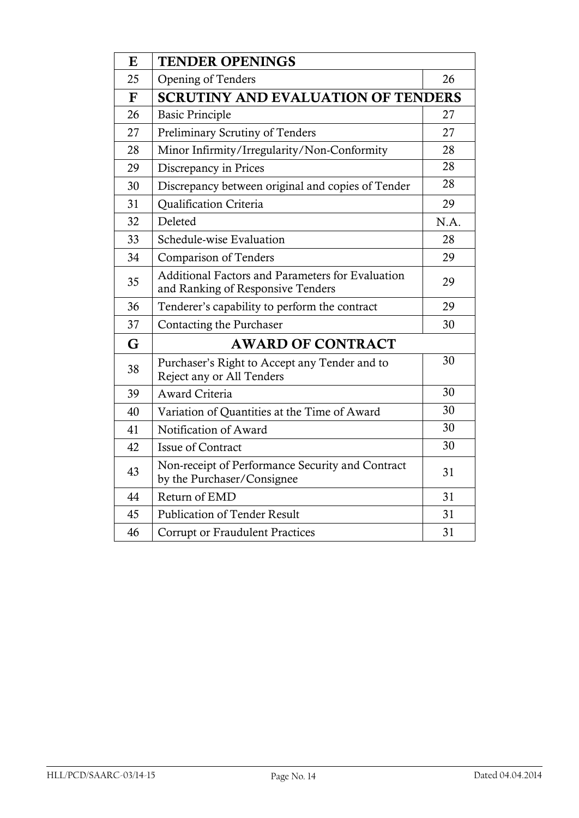| $\bf{E}$    | <b>TENDER OPENINGS</b>                                                                |      |  |
|-------------|---------------------------------------------------------------------------------------|------|--|
| 25          | <b>Opening of Tenders</b>                                                             | 26   |  |
| $\mathbf F$ | <b>SCRUTINY AND EVALUATION OF TENDERS</b>                                             |      |  |
| 26          | <b>Basic Principle</b>                                                                | 27   |  |
| 27          | Preliminary Scrutiny of Tenders                                                       | 27   |  |
| 28          | Minor Infirmity/Irregularity/Non-Conformity                                           | 28   |  |
| 29          | Discrepancy in Prices                                                                 | 28   |  |
| 30          | Discrepancy between original and copies of Tender                                     | 28   |  |
| 31          | Qualification Criteria                                                                | 29   |  |
| 32          | Deleted                                                                               | N.A. |  |
| 33          | Schedule-wise Evaluation                                                              | 28   |  |
| 34          | <b>Comparison of Tenders</b>                                                          | 29   |  |
| 35          | Additional Factors and Parameters for Evaluation<br>and Ranking of Responsive Tenders | 29   |  |
| 36          | Tenderer's capability to perform the contract                                         | 29   |  |
| 37          | Contacting the Purchaser                                                              | 30   |  |
| G           | <b>AWARD OF CONTRACT</b>                                                              |      |  |
| 38          | Purchaser's Right to Accept any Tender and to<br>Reject any or All Tenders            | 30   |  |
| 39          | Award Criteria                                                                        | 30   |  |
| 40          | Variation of Quantities at the Time of Award                                          | 30   |  |
| 41          | Notification of Award                                                                 | 30   |  |
| 42          | <b>Issue of Contract</b>                                                              | 30   |  |
| 43          | Non-receipt of Performance Security and Contract<br>by the Purchaser/Consignee        | 31   |  |
| 44          | Return of EMD                                                                         | 31   |  |
| 45          | <b>Publication of Tender Result</b>                                                   | 31   |  |
| 46          | Corrupt or Fraudulent Practices                                                       | 31   |  |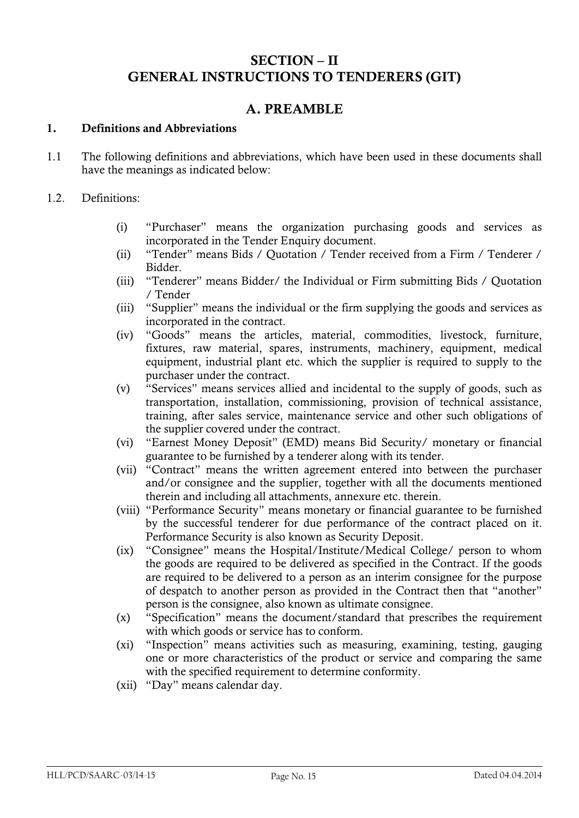## **SECTION – II GENERAL INSTRUCTIONS TO TENDERERS (GIT)**

## **A. PREAMBLE**

#### **1. Definitions and Abbreviations**

- 1.1 The following definitions and abbreviations, which have been used in these documents shall have the meanings as indicated below:
- 1.2. Definitions:
	- (i) "Purchaser" means the organization purchasing goods and services as incorporated in the Tender Enquiry document.
	- (ii) "Tender" means Bids / Quotation / Tender received from a Firm / Tenderer / Bidder.
	- (iii) "Tenderer" means Bidder/ the Individual or Firm submitting Bids / Quotation / Tender
	- (iii) "Supplier" means the individual or the firm supplying the goods and services as incorporated in the contract.
	- (iv) "Goods" means the articles, material, commodities, livestock, furniture, fixtures, raw material, spares, instruments, machinery, equipment, medical equipment, industrial plant etc. which the supplier is required to supply to the purchaser under the contract.
	- (v) "Services" means services allied and incidental to the supply of goods, such as transportation, installation, commissioning, provision of technical assistance, training, after sales service, maintenance service and other such obligations of the supplier covered under the contract.
	- (vi) "Earnest Money Deposit" (EMD) means Bid Security/ monetary or financial guarantee to be furnished by a tenderer along with its tender.
	- (vii) "Contract" means the written agreement entered into between the purchaser and/or consignee and the supplier, together with all the documents mentioned therein and including all attachments, annexure etc. therein.
	- (viii) "Performance Security" means monetary or financial guarantee to be furnished by the successful tenderer for due performance of the contract placed on it. Performance Security is also known as Security Deposit.
	- (ix) "Consignee" means the Hospital/Institute/Medical College/ person to whom the goods are required to be delivered as specified in the Contract. If the goods are required to be delivered to a person as an interim consignee for the purpose of despatch to another person as provided in the Contract then that "another" person is the consignee, also known as ultimate consignee.
	- (x) "Specification" means the document/standard that prescribes the requirement with which goods or service has to conform.
	- (xi) "Inspection" means activities such as measuring, examining, testing, gauging one or more characteristics of the product or service and comparing the same with the specified requirement to determine conformity.
	- (xii) "Day" means calendar day.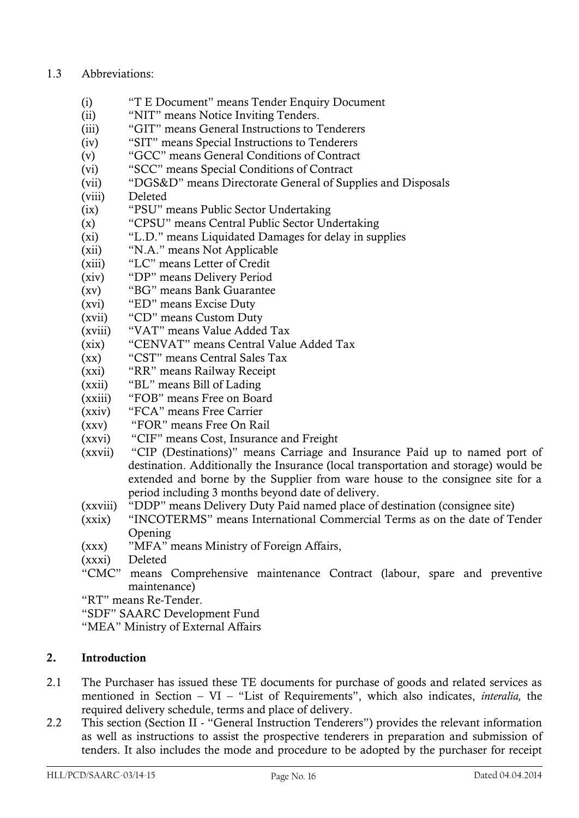#### 1.3 Abbreviations:

- (i) "T E Document" means Tender Enquiry Document
- (ii) "NIT" means Notice Inviting Tenders.
- (iii) "GIT" means General Instructions to Tenderers
- (iv) "SIT" means Special Instructions to Tenderers
- (v) "GCC" means General Conditions of Contract
- (vi) "SCC" means Special Conditions of Contract
- (vii) "DGS&D" means Directorate General of Supplies and Disposals
- (viii) Deleted
- (ix) "PSU" means Public Sector Undertaking
- (x) "CPSU" means Central Public Sector Undertaking
- (xi) "L.D." means Liquidated Damages for delay in supplies
- (xii) "N.A." means Not Applicable
- (xiii) "LC" means Letter of Credit
- (xiv) "DP" means Delivery Period
- (xv) "BG" means Bank Guarantee
- (xvi) "ED" means Excise Duty
- (xvii) "CD" means Custom Duty
- (xviii) "VAT" means Value Added Tax
- (xix) "CENVAT" means Central Value Added Tax
- (xx) "CST" means Central Sales Tax
- (xxi) "RR" means Railway Receipt
- (xxii) "BL" means Bill of Lading
- (xxiii) "FOB" means Free on Board
- (xxiv) "FCA" means Free Carrier
- (xxv) "FOR" means Free On Rail
- (xxvi) "CIF" means Cost, Insurance and Freight
- (xxvii) "CIP (Destinations)" means Carriage and Insurance Paid up to named port of destination. Additionally the Insurance (local transportation and storage) would be extended and borne by the Supplier from ware house to the consignee site for a period including 3 months beyond date of delivery.
- (xxviii) "DDP" means Delivery Duty Paid named place of destination (consignee site)
- (xxix) "INCOTERMS" means International Commercial Terms as on the date of Tender Opening
- (xxx) "MFA" means Ministry of Foreign Affairs,
- (xxxi) Deleted
- "CMC" means Comprehensive maintenance Contract (labour, spare and preventive maintenance)
- "RT" means Re-Tender.
- "SDF" SAARC Development Fund
- "MEA" Ministry of External Affairs

#### **2. Introduction**

- 2.1 The Purchaser has issued these TE documents for purchase of goods and related services as mentioned in Section – VI – "List of Requirements", which also indicates, *interalia,* the required delivery schedule, terms and place of delivery.
- 2.2 This section (Section II "General Instruction Tenderers") provides the relevant information as well as instructions to assist the prospective tenderers in preparation and submission of tenders. It also includes the mode and procedure to be adopted by the purchaser for receipt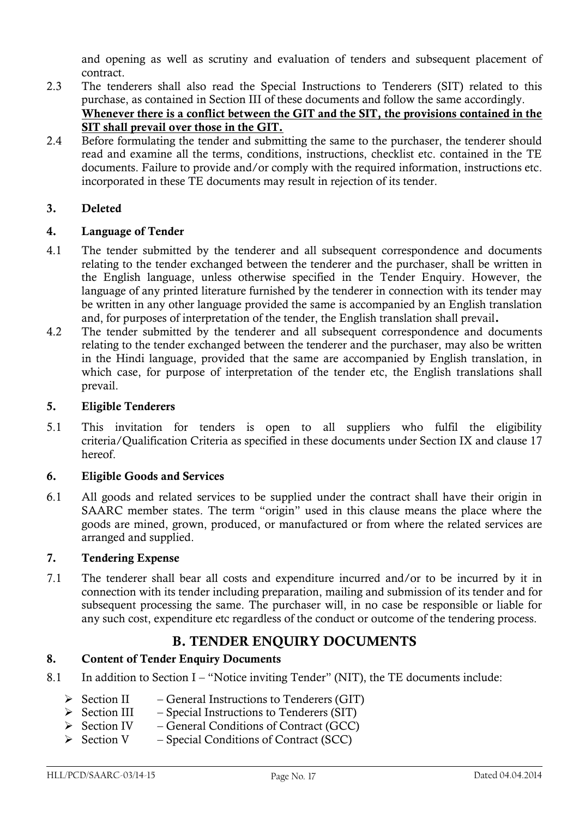and opening as well as scrutiny and evaluation of tenders and subsequent placement of contract.

- 2.3 The tenderers shall also read the Special Instructions to Tenderers (SIT) related to this purchase, as contained in Section III of these documents and follow the same accordingly. **Whenever there is a conflict between the GIT and the SIT, the provisions contained in the SIT shall prevail over those in the GIT.**
- 2.4 Before formulating the tender and submitting the same to the purchaser, the tenderer should read and examine all the terms, conditions, instructions, checklist etc. contained in the TE documents. Failure to provide and/or comply with the required information, instructions etc. incorporated in these TE documents may result in rejection of its tender.

#### **3. Deleted**

#### **4. Language of Tender**

- 4.1 The tender submitted by the tenderer and all subsequent correspondence and documents relating to the tender exchanged between the tenderer and the purchaser, shall be written in the English language, unless otherwise specified in the Tender Enquiry. However, the language of any printed literature furnished by the tenderer in connection with its tender may be written in any other language provided the same is accompanied by an English translation and, for purposes of interpretation of the tender, the English translation shall prevail**.**
- 4.2 The tender submitted by the tenderer and all subsequent correspondence and documents relating to the tender exchanged between the tenderer and the purchaser, may also be written in the Hindi language, provided that the same are accompanied by English translation, in which case, for purpose of interpretation of the tender etc, the English translations shall prevail.

#### **5. Eligible Tenderers**

5.1 This invitation for tenders is open to all suppliers who fulfil the eligibility criteria/Qualification Criteria as specified in these documents under Section IX and clause 17 hereof.

#### **6. Eligible Goods and Services**

6.1 All goods and related services to be supplied under the contract shall have their origin in SAARC member states. The term "origin" used in this clause means the place where the goods are mined, grown, produced, or manufactured or from where the related services are arranged and supplied.

#### **7. Tendering Expense**

7.1 The tenderer shall bear all costs and expenditure incurred and/or to be incurred by it in connection with its tender including preparation, mailing and submission of its tender and for subsequent processing the same. The purchaser will, in no case be responsible or liable for any such cost, expenditure etc regardless of the conduct or outcome of the tendering process.

## **B. TENDER ENQUIRY DOCUMENTS**

#### **8. Content of Tender Enquiry Documents**

- 8.1 In addition to Section I "Notice inviting Tender" (NIT), the TE documents include:
	- $\triangleright$  Section II General Instructions to Tenderers (GIT)
	- $\triangleright$  Section III Special Instructions to Tenderers (SIT)
	- $\triangleright$  Section IV General Conditions of Contract (GCC)
	- $\triangleright$  Section V Special Conditions of Contract (SCC)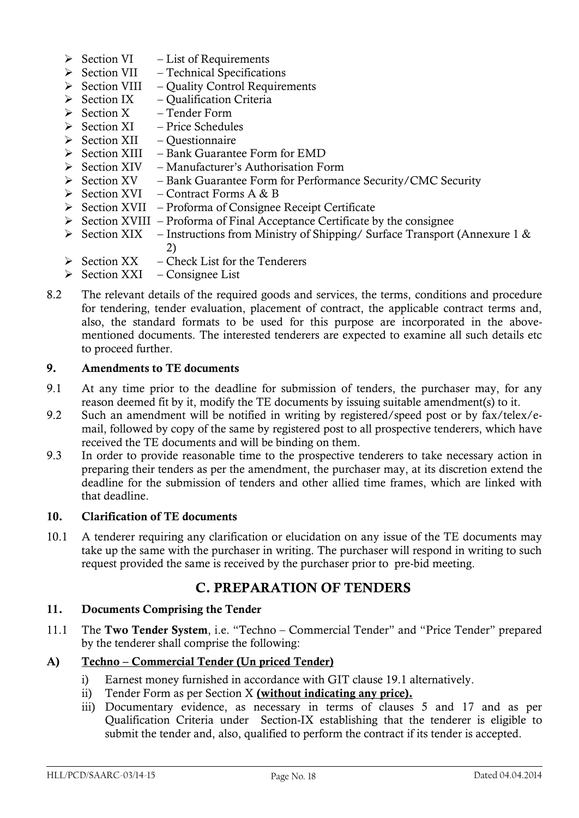- $\triangleright$  Section VI List of Requirements
- $\triangleright$  Section VII Technical Specifications
- $\triangleright$  Section VIII Quality Control Requirements
- $\triangleright$  Section IX Qualification Criteria
- $\triangleright$  Section X Tender Form
- $\triangleright$  Section XI Price Schedules
- $\triangleright$  Section XII Ouestionnaire
- $\triangleright$  Section XIII Bank Guarantee Form for EMD
- $\triangleright$  Section XIV Manufacturer's Authorisation Form
- $\triangleright$  Section XV Bank Guarantee Form for Performance Security/CMC Security
- $\triangleright$  Section XVI Contract Forms A & B
- Section XVII Proforma of Consignee Receipt Certificate
- $\triangleright$  Section XVIII Proforma of Final Acceptance Certificate by the consignee
- $\triangleright$  Section XIX Instructions from Ministry of Shipping/ Surface Transport (Annexure 1 & 2)
- $\triangleright$  Section XX Check List for the Tenderers
- $\triangleright$  Section XXI Consignee List
- 8.2 The relevant details of the required goods and services, the terms, conditions and procedure for tendering, tender evaluation, placement of contract, the applicable contract terms and, also, the standard formats to be used for this purpose are incorporated in the abovementioned documents. The interested tenderers are expected to examine all such details etc to proceed further.

#### **9. Amendments to TE documents**

- 9.1 At any time prior to the deadline for submission of tenders, the purchaser may, for any reason deemed fit by it, modify the TE documents by issuing suitable amendment(s) to it.
- 9.2 Such an amendment will be notified in writing by registered/speed post or by fax/telex/email, followed by copy of the same by registered post to all prospective tenderers, which have received the TE documents and will be binding on them.
- 9.3 In order to provide reasonable time to the prospective tenderers to take necessary action in preparing their tenders as per the amendment, the purchaser may, at its discretion extend the deadline for the submission of tenders and other allied time frames, which are linked with that deadline.

#### **10. Clarification of TE documents**

10.1 A tenderer requiring any clarification or elucidation on any issue of the TE documents may take up the same with the purchaser in writing. The purchaser will respond in writing to such request provided the same is received by the purchaser prior to pre-bid meeting.

#### **C. PREPARATION OF TENDERS**

#### **11. Documents Comprising the Tender**

11.1 The **Two Tender System**, i.e. "Techno – Commercial Tender" and "Price Tender" prepared by the tenderer shall comprise the following:

#### **A) Techno – Commercial Tender (Un priced Tender)**

- i) Earnest money furnished in accordance with GIT clause 19.1 alternatively.
- ii) Tender Form as per Section X **(without indicating any price).**
- iii) Documentary evidence, as necessary in terms of clauses 5 and 17 and as per Qualification Criteria under Section-IX establishing that the tenderer is eligible to submit the tender and, also, qualified to perform the contract if its tender is accepted.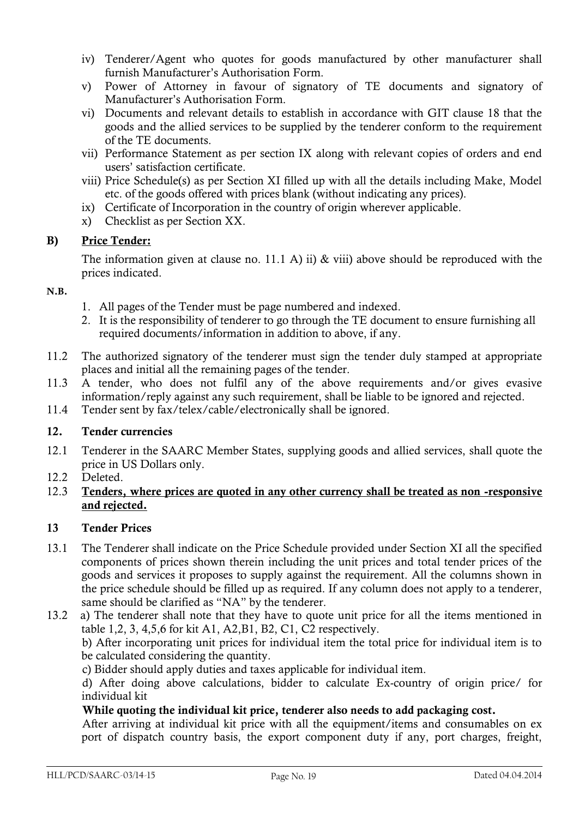- iv) Tenderer/Agent who quotes for goods manufactured by other manufacturer shall furnish Manufacturer's Authorisation Form.
- v) Power of Attorney in favour of signatory of TE documents and signatory of Manufacturer"s Authorisation Form.
- vi) Documents and relevant details to establish in accordance with GIT clause 18 that the goods and the allied services to be supplied by the tenderer conform to the requirement of the TE documents.
- vii) Performance Statement as per section IX along with relevant copies of orders and end users" satisfaction certificate.
- viii) Price Schedule(s) as per Section XI filled up with all the details including Make, Model etc. of the goods offered with prices blank (without indicating any prices).
- ix) Certificate of Incorporation in the country of origin wherever applicable.
- x) Checklist as per Section XX.

#### **B) Price Tender:**

The information given at clause no. 11.1 A) ii)  $\&$  viii) above should be reproduced with the prices indicated.

#### **N.B.**

- 1. All pages of the Tender must be page numbered and indexed.
- 2. It is the responsibility of tenderer to go through the TE document to ensure furnishing all required documents/information in addition to above, if any.
- 11.2 The authorized signatory of the tenderer must sign the tender duly stamped at appropriate places and initial all the remaining pages of the tender.
- 11.3 A tender, who does not fulfil any of the above requirements and/or gives evasive information/reply against any such requirement, shall be liable to be ignored and rejected.
- 11.4 Tender sent by fax/telex/cable/electronically shall be ignored.

#### **12. Tender currencies**

- 12.1 Tenderer in the SAARC Member States, supplying goods and allied services, shall quote the price in US Dollars only.
- 12.2 Deleted.
- 12.3 **Tenders, where prices are quoted in any other currency shall be treated as non -responsive and rejected.**

#### **13 Tender Prices**

13.1 The Tenderer shall indicate on the Price Schedule provided under Section XI all the specified components of prices shown therein including the unit prices and total tender prices of the goods and services it proposes to supply against the requirement. All the columns shown in the price schedule should be filled up as required. If any column does not apply to a tenderer, same should be clarified as "NA" by the tenderer.

13.2 a) The tenderer shall note that they have to quote unit price for all the items mentioned in table 1,2, 3, 4,5,6 for kit A1, A2,B1, B2, C1, C2 respectively. b) After incorporating unit prices for individual item the total price for individual item is to be calculated considering the quantity.

c) Bidder should apply duties and taxes applicable for individual item.

 d) After doing above calculations, bidder to calculate Ex-country of origin price/ for individual kit

#### **While quoting the individual kit price, tenderer also needs to add packaging cost.**

 After arriving at individual kit price with all the equipment/items and consumables on ex port of dispatch country basis, the export component duty if any, port charges, freight,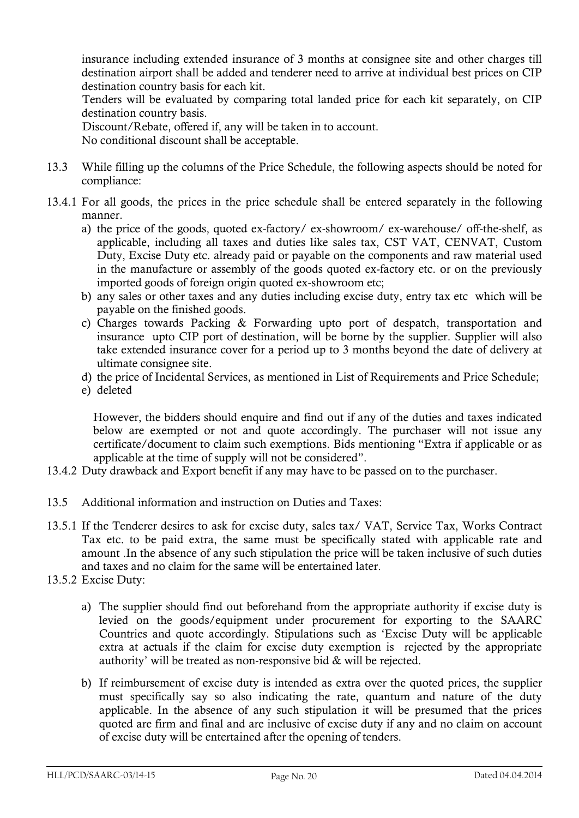insurance including extended insurance of 3 months at consignee site and other charges till destination airport shall be added and tenderer need to arrive at individual best prices on CIP destination country basis for each kit.

 Tenders will be evaluated by comparing total landed price for each kit separately, on CIP destination country basis.

Discount/Rebate, offered if, any will be taken in to account.

No conditional discount shall be acceptable.

- 13.3 While filling up the columns of the Price Schedule, the following aspects should be noted for compliance:
- 13.4.1 For all goods, the prices in the price schedule shall be entered separately in the following manner.
	- a) the price of the goods, quoted ex-factory/ ex-showroom/ ex-warehouse/ off-the-shelf, as applicable, including all taxes and duties like sales tax, CST VAT, CENVAT, Custom Duty, Excise Duty etc. already paid or payable on the components and raw material used in the manufacture or assembly of the goods quoted ex-factory etc. or on the previously imported goods of foreign origin quoted ex-showroom etc;
	- b) any sales or other taxes and any duties including excise duty, entry tax etc which will be payable on the finished goods.
	- c) Charges towards Packing & Forwarding upto port of despatch, transportation and insurance upto CIP port of destination, will be borne by the supplier. Supplier will also take extended insurance cover for a period up to 3 months beyond the date of delivery at ultimate consignee site.
	- d) the price of Incidental Services, as mentioned in List of Requirements and Price Schedule;
	- e) deleted

However, the bidders should enquire and find out if any of the duties and taxes indicated below are exempted or not and quote accordingly. The purchaser will not issue any certificate/document to claim such exemptions. Bids mentioning "Extra if applicable or as applicable at the time of supply will not be considered".

- 13.4.2 Duty drawback and Export benefit if any may have to be passed on to the purchaser.
- 13.5 Additional information and instruction on Duties and Taxes:
- 13.5.1 If the Tenderer desires to ask for excise duty, sales tax/ VAT, Service Tax, Works Contract Tax etc. to be paid extra, the same must be specifically stated with applicable rate and amount .In the absence of any such stipulation the price will be taken inclusive of such duties and taxes and no claim for the same will be entertained later.
- 13.5.2 Excise Duty:
	- a) The supplier should find out beforehand from the appropriate authority if excise duty is levied on the goods/equipment under procurement for exporting to the SAARC Countries and quote accordingly. Stipulations such as "Excise Duty will be applicable extra at actuals if the claim for excise duty exemption is rejected by the appropriate authority" will be treated as non-responsive bid & will be rejected.
	- b) If reimbursement of excise duty is intended as extra over the quoted prices, the supplier must specifically say so also indicating the rate, quantum and nature of the duty applicable. In the absence of any such stipulation it will be presumed that the prices quoted are firm and final and are inclusive of excise duty if any and no claim on account of excise duty will be entertained after the opening of tenders.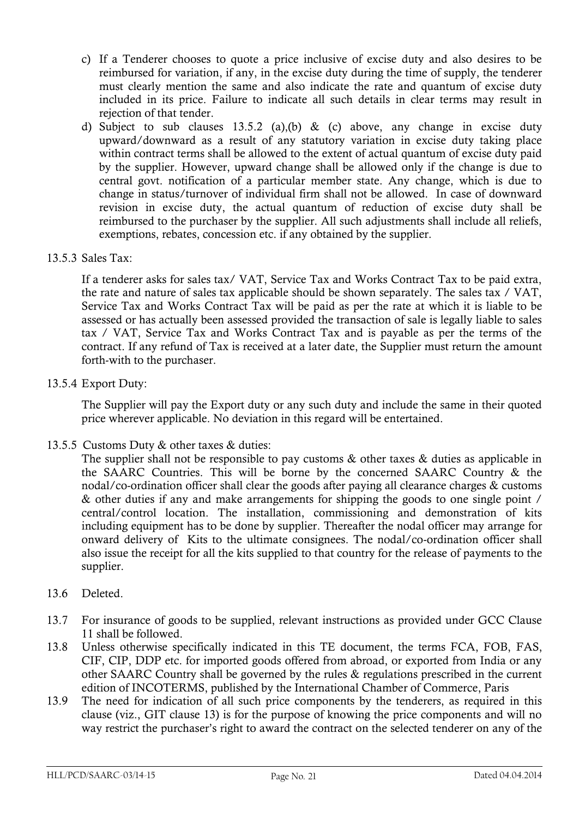- c) If a Tenderer chooses to quote a price inclusive of excise duty and also desires to be reimbursed for variation, if any, in the excise duty during the time of supply, the tenderer must clearly mention the same and also indicate the rate and quantum of excise duty included in its price. Failure to indicate all such details in clear terms may result in rejection of that tender.
- d) Subject to sub clauses 13.5.2 (a),(b) & (c) above, any change in excise duty upward/downward as a result of any statutory variation in excise duty taking place within contract terms shall be allowed to the extent of actual quantum of excise duty paid by the supplier. However, upward change shall be allowed only if the change is due to central govt. notification of a particular member state. Any change, which is due to change in status/turnover of individual firm shall not be allowed. In case of downward revision in excise duty, the actual quantum of reduction of excise duty shall be reimbursed to the purchaser by the supplier. All such adjustments shall include all reliefs, exemptions, rebates, concession etc. if any obtained by the supplier.

#### 13.5.3 Sales Tax:

If a tenderer asks for sales tax/ VAT, Service Tax and Works Contract Tax to be paid extra, the rate and nature of sales tax applicable should be shown separately. The sales tax / VAT, Service Tax and Works Contract Tax will be paid as per the rate at which it is liable to be assessed or has actually been assessed provided the transaction of sale is legally liable to sales tax / VAT, Service Tax and Works Contract Tax and is payable as per the terms of the contract. If any refund of Tax is received at a later date, the Supplier must return the amount forth-with to the purchaser.

#### 13.5.4 Export Duty:

The Supplier will pay the Export duty or any such duty and include the same in their quoted price wherever applicable. No deviation in this regard will be entertained.

13.5.5 Customs Duty & other taxes & duties:

The supplier shall not be responsible to pay customs  $\&$  other taxes  $\&$  duties as applicable in the SAARC Countries. This will be borne by the concerned SAARC Country & the nodal/co-ordination officer shall clear the goods after paying all clearance charges & customs & other duties if any and make arrangements for shipping the goods to one single point / central/control location. The installation, commissioning and demonstration of kits including equipment has to be done by supplier. Thereafter the nodal officer may arrange for onward delivery of Kits to the ultimate consignees. The nodal/co-ordination officer shall also issue the receipt for all the kits supplied to that country for the release of payments to the supplier.

#### 13.6 Deleted.

- 13.7 For insurance of goods to be supplied, relevant instructions as provided under GCC Clause 11 shall be followed.
- 13.8 Unless otherwise specifically indicated in this TE document, the terms FCA, FOB, FAS, CIF, CIP, DDP etc. for imported goods offered from abroad, or exported from India or any other SAARC Country shall be governed by the rules & regulations prescribed in the current edition of INCOTERMS, published by the International Chamber of Commerce, Paris
- 13.9 The need for indication of all such price components by the tenderers, as required in this clause (viz., GIT clause 13) is for the purpose of knowing the price components and will no way restrict the purchaser"s right to award the contract on the selected tenderer on any of the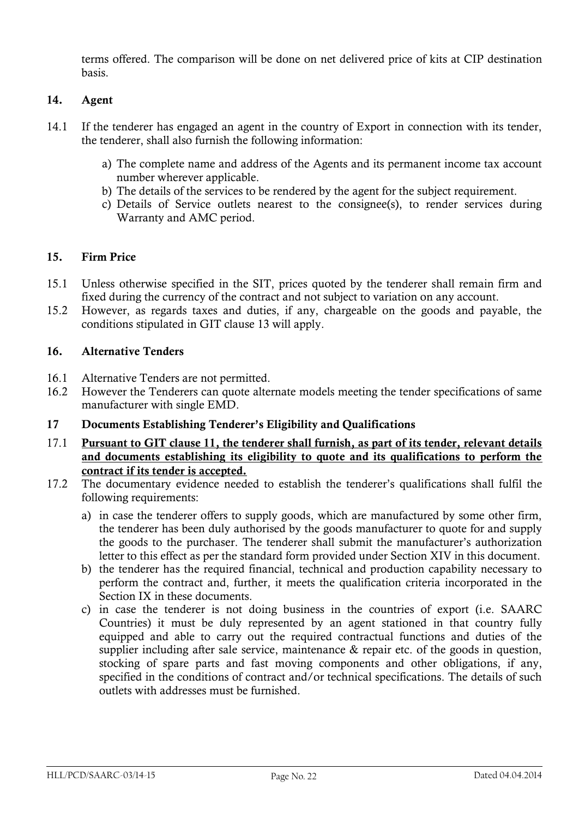terms offered. The comparison will be done on net delivered price of kits at CIP destination basis.

#### **14. Agent**

- 14.1 If the tenderer has engaged an agent in the country of Export in connection with its tender, the tenderer, shall also furnish the following information:
	- a) The complete name and address of the Agents and its permanent income tax account number wherever applicable.
	- b) The details of the services to be rendered by the agent for the subject requirement.
	- c) Details of Service outlets nearest to the consignee(s), to render services during Warranty and AMC period.

#### **15. Firm Price**

- 15.1 Unless otherwise specified in the SIT, prices quoted by the tenderer shall remain firm and fixed during the currency of the contract and not subject to variation on any account.
- 15.2 However, as regards taxes and duties, if any, chargeable on the goods and payable, the conditions stipulated in GIT clause 13 will apply.

#### **16. Alternative Tenders**

- 16.1 Alternative Tenders are not permitted.
- 16.2 However the Tenderers can quote alternate models meeting the tender specifications of same manufacturer with single EMD.

#### **17 Documents Establishing Tenderer"s Eligibility and Qualifications**

- 17.1 **Pursuant to GIT clause 11, the tenderer shall furnish, as part of its tender, relevant details and documents establishing its eligibility to quote and its qualifications to perform the contract if its tender is accepted.**
- 17.2 The documentary evidence needed to establish the tenderer"s qualifications shall fulfil the following requirements:
	- a) in case the tenderer offers to supply goods, which are manufactured by some other firm, the tenderer has been duly authorised by the goods manufacturer to quote for and supply the goods to the purchaser. The tenderer shall submit the manufacturer"s authorization letter to this effect as per the standard form provided under Section XIV in this document.
	- b) the tenderer has the required financial, technical and production capability necessary to perform the contract and, further, it meets the qualification criteria incorporated in the Section IX in these documents.
	- c) in case the tenderer is not doing business in the countries of export (i.e. SAARC Countries) it must be duly represented by an agent stationed in that country fully equipped and able to carry out the required contractual functions and duties of the supplier including after sale service, maintenance & repair etc. of the goods in question, stocking of spare parts and fast moving components and other obligations, if any, specified in the conditions of contract and/or technical specifications. The details of such outlets with addresses must be furnished.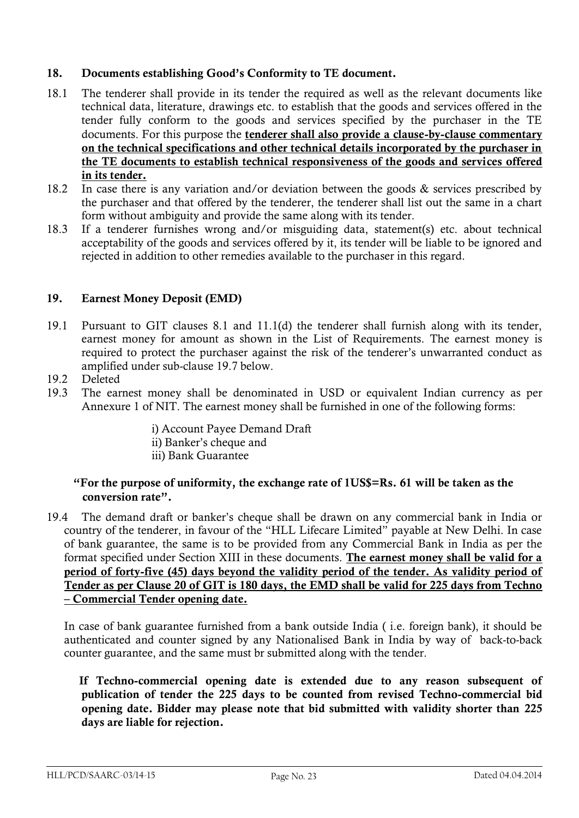#### **18. Documents establishing Good"s Conformity to TE document.**

- 18.1 The tenderer shall provide in its tender the required as well as the relevant documents like technical data, literature, drawings etc. to establish that the goods and services offered in the tender fully conform to the goods and services specified by the purchaser in the TE documents. For this purpose the **tenderer shall also provide a clause-by-clause commentary on the technical specifications and other technical details incorporated by the purchaser in the TE documents to establish technical responsiveness of the goods and services offered in its tender.**
- 18.2 In case there is any variation and/or deviation between the goods & services prescribed by the purchaser and that offered by the tenderer, the tenderer shall list out the same in a chart form without ambiguity and provide the same along with its tender.
- 18.3 If a tenderer furnishes wrong and/or misguiding data, statement(s) etc. about technical acceptability of the goods and services offered by it, its tender will be liable to be ignored and rejected in addition to other remedies available to the purchaser in this regard.

#### **19. Earnest Money Deposit (EMD)**

- 19.1 Pursuant to GIT clauses 8.1 and 11.1(d) the tenderer shall furnish along with its tender, earnest money for amount as shown in the List of Requirements. The earnest money is required to protect the purchaser against the risk of the tenderer"s unwarranted conduct as amplified under sub-clause 19.7 below.
- 19.2 Deleted
- 19.3 The earnest money shall be denominated in USD or equivalent Indian currency as per Annexure 1 of NIT. The earnest money shall be furnished in one of the following forms:

i) Account Payee Demand Draft ii) Banker"s cheque and iii) Bank Guarantee

#### **"For the purpose of uniformity, the exchange rate of 1US\$=Rs. 61 will be taken as the conversion rate".**

19.4 The demand draft or banker"s cheque shall be drawn on any commercial bank in India or country of the tenderer, in favour of the "HLL Lifecare Limited" payable at New Delhi. In case of bank guarantee, the same is to be provided from any Commercial Bank in India as per the format specified under Section XIII in these documents. **The earnest money shall be valid for a period of forty-five (45) days beyond the validity period of the tender. As validity period of Tender as per Clause 20 of GIT is 180 days, the EMD shall be valid for 225 days from Techno – Commercial Tender opening date.**

In case of bank guarantee furnished from a bank outside India ( i.e. foreign bank), it should be authenticated and counter signed by any Nationalised Bank in India by way of back-to-back counter guarantee, and the same must br submitted along with the tender.

 **If Techno-commercial opening date is extended due to any reason subsequent of publication of tender the 225 days to be counted from revised Techno-commercial bid opening date. Bidder may please note that bid submitted with validity shorter than 225 days are liable for rejection.**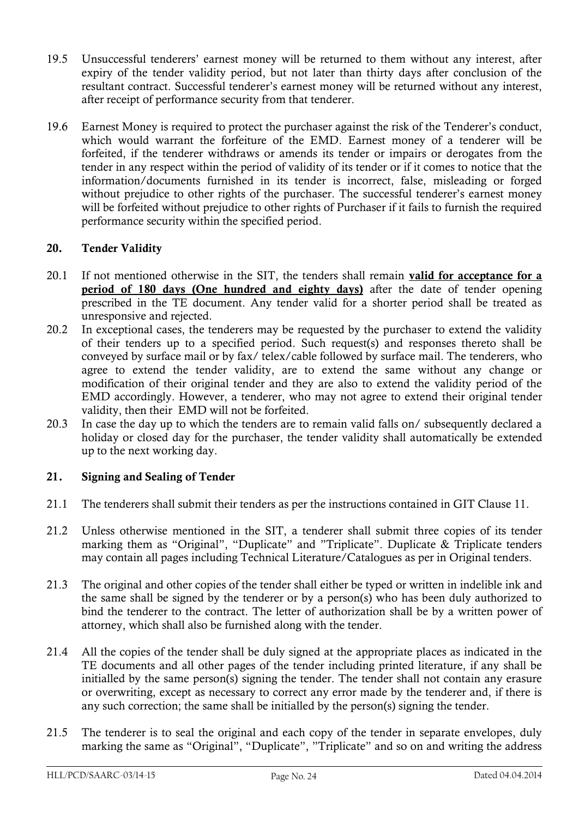- 19.5 Unsuccessful tenderers" earnest money will be returned to them without any interest, after expiry of the tender validity period, but not later than thirty days after conclusion of the resultant contract. Successful tenderer's earnest money will be returned without any interest, after receipt of performance security from that tenderer.
- 19.6 Earnest Money is required to protect the purchaser against the risk of the Tenderer"s conduct, which would warrant the forfeiture of the EMD. Earnest money of a tenderer will be forfeited, if the tenderer withdraws or amends its tender or impairs or derogates from the tender in any respect within the period of validity of its tender or if it comes to notice that the information/documents furnished in its tender is incorrect, false, misleading or forged without prejudice to other rights of the purchaser. The successful tenderer's earnest money will be forfeited without prejudice to other rights of Purchaser if it fails to furnish the required performance security within the specified period.

#### **20. Tender Validity**

- 20.1 If not mentioned otherwise in the SIT, the tenders shall remain **valid for acceptance for a period of 180 days (One hundred and eighty days)** after the date of tender opening prescribed in the TE document. Any tender valid for a shorter period shall be treated as unresponsive and rejected.
- 20.2 In exceptional cases, the tenderers may be requested by the purchaser to extend the validity of their tenders up to a specified period. Such request(s) and responses thereto shall be conveyed by surface mail or by fax/ telex/cable followed by surface mail. The tenderers, who agree to extend the tender validity, are to extend the same without any change or modification of their original tender and they are also to extend the validity period of the EMD accordingly. However, a tenderer, who may not agree to extend their original tender validity, then their EMD will not be forfeited.
- 20.3 In case the day up to which the tenders are to remain valid falls on/ subsequently declared a holiday or closed day for the purchaser, the tender validity shall automatically be extended up to the next working day.

#### **21. Signing and Sealing of Tender**

- 21.1 The tenderers shall submit their tenders as per the instructions contained in GIT Clause 11.
- 21.2 Unless otherwise mentioned in the SIT, a tenderer shall submit three copies of its tender marking them as "Original", "Duplicate" and "Triplicate". Duplicate & Triplicate tenders may contain all pages including Technical Literature/Catalogues as per in Original tenders.
- 21.3 The original and other copies of the tender shall either be typed or written in indelible ink and the same shall be signed by the tenderer or by a person(s) who has been duly authorized to bind the tenderer to the contract. The letter of authorization shall be by a written power of attorney, which shall also be furnished along with the tender.
- 21.4 All the copies of the tender shall be duly signed at the appropriate places as indicated in the TE documents and all other pages of the tender including printed literature, if any shall be initialled by the same person(s) signing the tender. The tender shall not contain any erasure or overwriting, except as necessary to correct any error made by the tenderer and, if there is any such correction; the same shall be initialled by the person(s) signing the tender.
- 21.5 The tenderer is to seal the original and each copy of the tender in separate envelopes, duly marking the same as "Original", "Duplicate", "Triplicate" and so on and writing the address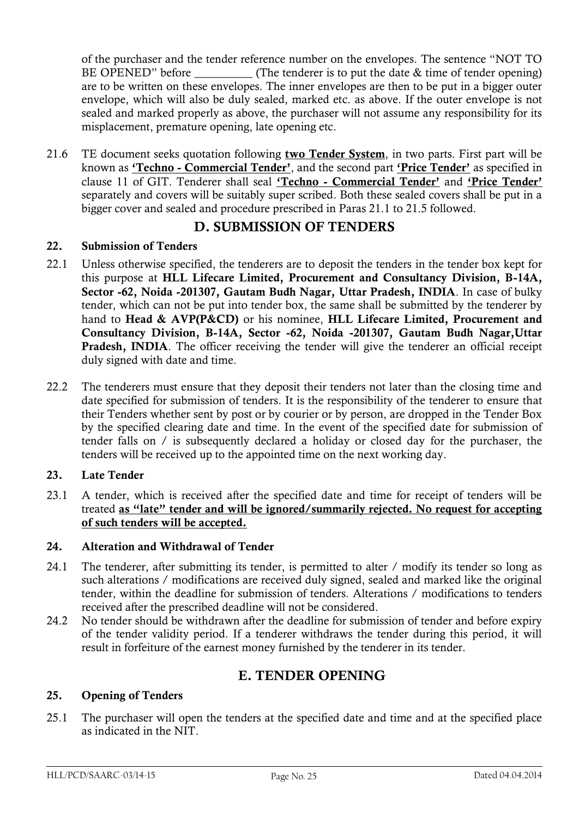of the purchaser and the tender reference number on the envelopes. The sentence "NOT TO BE OPENED" before  $(The \ttendereq is to put the date & time of \ttendereq)$ are to be written on these envelopes. The inner envelopes are then to be put in a bigger outer envelope, which will also be duly sealed, marked etc. as above. If the outer envelope is not sealed and marked properly as above, the purchaser will not assume any responsibility for its misplacement, premature opening, late opening etc.

21.6 TE document seeks quotation following **two Tender System**, in two parts. First part will be known as **"Techno - Commercial Tender"**, and the second part **"Price Tender"** as specified in clause 11 of GIT. Tenderer shall seal **"Techno - Commercial Tender"** and **"Price Tender"** separately and covers will be suitably super scribed. Both these sealed covers shall be put in a bigger cover and sealed and procedure prescribed in Paras 21.1 to 21.5 followed.

### **D. SUBMISSION OF TENDERS**

#### **22. Submission of Tenders**

- 22.1 Unless otherwise specified, the tenderers are to deposit the tenders in the tender box kept for this purpose at **HLL Lifecare Limited, Procurement and Consultancy Division, B-14A, Sector -62, Noida -201307, Gautam Budh Nagar, Uttar Pradesh, INDIA**. In case of bulky tender, which can not be put into tender box, the same shall be submitted by the tenderer by hand to **Head & AVP(P&CD)** or his nominee, **HLL Lifecare Limited, Procurement and Consultancy Division, B-14A, Sector -62, Noida -201307, Gautam Budh Nagar,Uttar Pradesh, INDIA**. The officer receiving the tender will give the tenderer an official receipt duly signed with date and time.
- 22.2 The tenderers must ensure that they deposit their tenders not later than the closing time and date specified for submission of tenders. It is the responsibility of the tenderer to ensure that their Tenders whether sent by post or by courier or by person, are dropped in the Tender Box by the specified clearing date and time. In the event of the specified date for submission of tender falls on / is subsequently declared a holiday or closed day for the purchaser, the tenders will be received up to the appointed time on the next working day.

#### **23. Late Tender**

23.1 A tender, which is received after the specified date and time for receipt of tenders will be treated **as "late" tender and will be ignored/summarily rejected. No request for accepting of such tenders will be accepted.**

#### **24. Alteration and Withdrawal of Tender**

- 24.1 The tenderer, after submitting its tender, is permitted to alter / modify its tender so long as such alterations / modifications are received duly signed, sealed and marked like the original tender, within the deadline for submission of tenders. Alterations / modifications to tenders received after the prescribed deadline will not be considered.
- 24.2 No tender should be withdrawn after the deadline for submission of tender and before expiry of the tender validity period. If a tenderer withdraws the tender during this period, it will result in forfeiture of the earnest money furnished by the tenderer in its tender.

## **E. TENDER OPENING**

#### **25. Opening of Tenders**

25.1 The purchaser will open the tenders at the specified date and time and at the specified place as indicated in the NIT.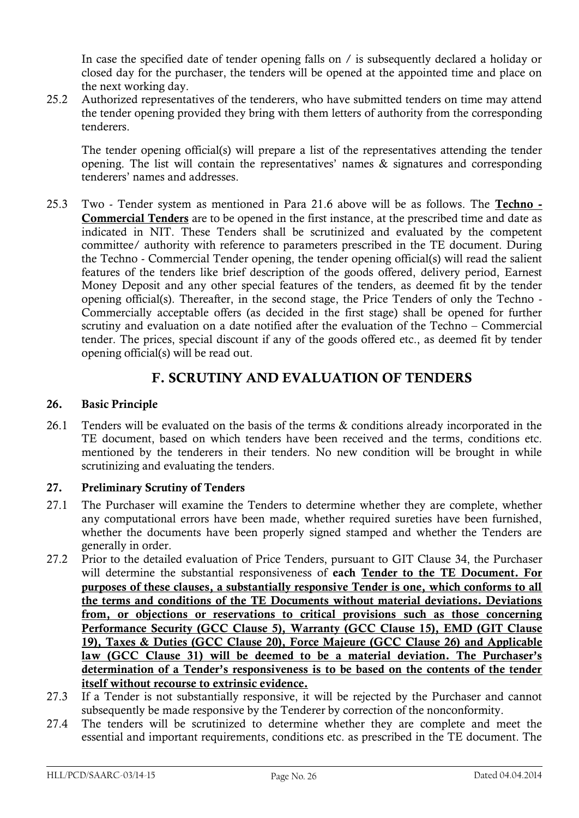In case the specified date of tender opening falls on / is subsequently declared a holiday or closed day for the purchaser, the tenders will be opened at the appointed time and place on the next working day.

25.2 Authorized representatives of the tenderers, who have submitted tenders on time may attend the tender opening provided they bring with them letters of authority from the corresponding tenderers.

The tender opening official(s) will prepare a list of the representatives attending the tender opening. The list will contain the representatives' names  $\&$  signatures and corresponding tenderers" names and addresses.

25.3 Two - Tender system as mentioned in Para 21.6 above will be as follows. The **Techno - Commercial Tenders** are to be opened in the first instance, at the prescribed time and date as indicated in NIT. These Tenders shall be scrutinized and evaluated by the competent committee/ authority with reference to parameters prescribed in the TE document. During the Techno - Commercial Tender opening, the tender opening official(s) will read the salient features of the tenders like brief description of the goods offered, delivery period, Earnest Money Deposit and any other special features of the tenders, as deemed fit by the tender opening official(s). Thereafter, in the second stage, the Price Tenders of only the Techno - Commercially acceptable offers (as decided in the first stage) shall be opened for further scrutiny and evaluation on a date notified after the evaluation of the Techno – Commercial tender. The prices, special discount if any of the goods offered etc., as deemed fit by tender opening official(s) will be read out.

## **F. SCRUTINY AND EVALUATION OF TENDERS**

#### **26. Basic Principle**

26.1 Tenders will be evaluated on the basis of the terms & conditions already incorporated in the TE document, based on which tenders have been received and the terms, conditions etc. mentioned by the tenderers in their tenders. No new condition will be brought in while scrutinizing and evaluating the tenders.

#### **27. Preliminary Scrutiny of Tenders**

- 27.1 The Purchaser will examine the Tenders to determine whether they are complete, whether any computational errors have been made, whether required sureties have been furnished, whether the documents have been properly signed stamped and whether the Tenders are generally in order.
- 27.2 Prior to the detailed evaluation of Price Tenders, pursuant to GIT Clause 34, the Purchaser will determine the substantial responsiveness of **each Tender to the TE Document. For purposes of these clauses, a substantially responsive Tender is one, which conforms to all the terms and conditions of the TE Documents without material deviations. Deviations from, or objections or reservations to critical provisions such as those concerning Performance Security (GCC Clause 5), Warranty (GCC Clause 15), EMD (GIT Clause 19), Taxes & Duties (GCC Clause 20), Force Majeure (GCC Clause 26) and Applicable**  law (GCC Clause 31) will be deemed to be a material deviation. The Purchaser's **determination of a Tender"s responsiveness is to be based on the contents of the tender itself without recourse to extrinsic evidence.**
- 27.3 If a Tender is not substantially responsive, it will be rejected by the Purchaser and cannot subsequently be made responsive by the Tenderer by correction of the nonconformity.
- 27.4 The tenders will be scrutinized to determine whether they are complete and meet the essential and important requirements, conditions etc. as prescribed in the TE document. The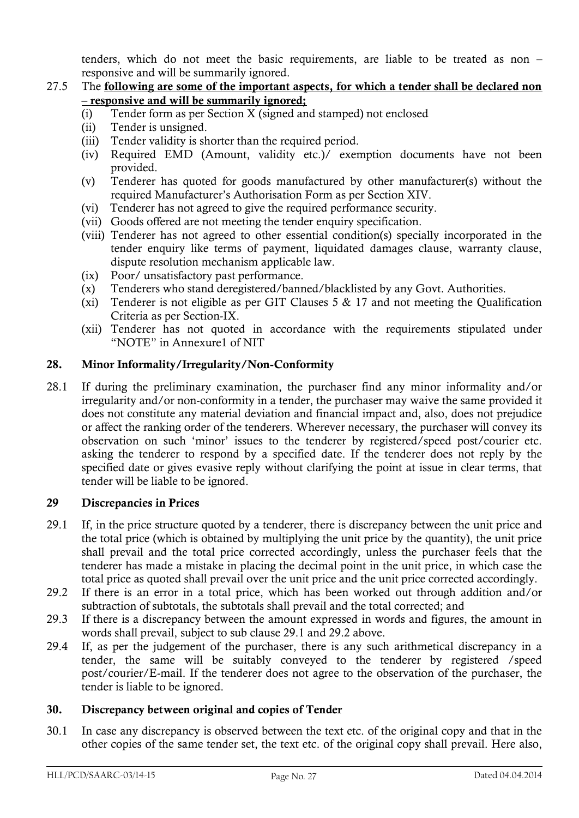tenders, which do not meet the basic requirements, are liable to be treated as non – responsive and will be summarily ignored.

#### 27.5 The **following are some of the important aspects, for which a tender shall be declared non – responsive and will be summarily ignored;**

- (i) Tender form as per Section X (signed and stamped) not enclosed
- (ii) Tender is unsigned.
- (iii) Tender validity is shorter than the required period.
- (iv) Required EMD (Amount, validity etc.)/ exemption documents have not been provided.
- (v) Tenderer has quoted for goods manufactured by other manufacturer(s) without the required Manufacturer"s Authorisation Form as per Section XIV.
- (vi) Tenderer has not agreed to give the required performance security.
- (vii) Goods offered are not meeting the tender enquiry specification.
- (viii) Tenderer has not agreed to other essential condition(s) specially incorporated in the tender enquiry like terms of payment, liquidated damages clause, warranty clause, dispute resolution mechanism applicable law.
- (ix) Poor/ unsatisfactory past performance.
- (x) Tenderers who stand deregistered/banned/blacklisted by any Govt. Authorities.
- (xi) Tenderer is not eligible as per GIT Clauses 5  $\&$  17 and not meeting the Qualification Criteria as per Section-IX.
- (xii) Tenderer has not quoted in accordance with the requirements stipulated under "NOTE" in Annexure1 of NIT

#### **28. Minor Informality/Irregularity/Non-Conformity**

28.1 If during the preliminary examination, the purchaser find any minor informality and/or irregularity and/or non-conformity in a tender, the purchaser may waive the same provided it does not constitute any material deviation and financial impact and, also, does not prejudice or affect the ranking order of the tenderers. Wherever necessary, the purchaser will convey its observation on such "minor" issues to the tenderer by registered/speed post/courier etc. asking the tenderer to respond by a specified date. If the tenderer does not reply by the specified date or gives evasive reply without clarifying the point at issue in clear terms, that tender will be liable to be ignored.

#### **29 Discrepancies in Prices**

- 29.1 If, in the price structure quoted by a tenderer, there is discrepancy between the unit price and the total price (which is obtained by multiplying the unit price by the quantity), the unit price shall prevail and the total price corrected accordingly, unless the purchaser feels that the tenderer has made a mistake in placing the decimal point in the unit price, in which case the total price as quoted shall prevail over the unit price and the unit price corrected accordingly.
- 29.2 If there is an error in a total price, which has been worked out through addition and/or subtraction of subtotals, the subtotals shall prevail and the total corrected; and
- 29.3 If there is a discrepancy between the amount expressed in words and figures, the amount in words shall prevail, subject to sub clause 29.1 and 29.2 above.
- 29.4 If, as per the judgement of the purchaser, there is any such arithmetical discrepancy in a tender, the same will be suitably conveyed to the tenderer by registered /speed post/courier/E-mail. If the tenderer does not agree to the observation of the purchaser, the tender is liable to be ignored.

#### **30. Discrepancy between original and copies of Tender**

30.1 In case any discrepancy is observed between the text etc. of the original copy and that in the other copies of the same tender set, the text etc. of the original copy shall prevail. Here also,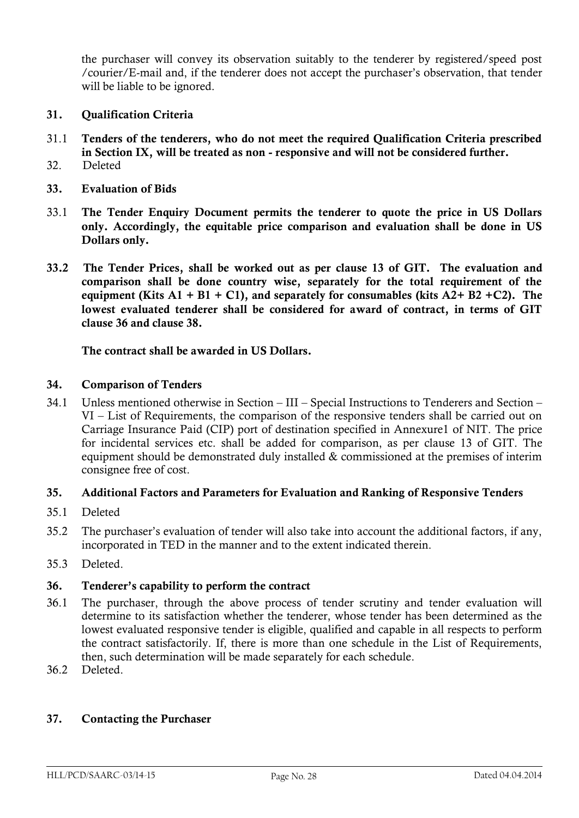the purchaser will convey its observation suitably to the tenderer by registered/speed post /courier/E-mail and, if the tenderer does not accept the purchaser"s observation, that tender will be liable to be ignored.

- **31. Qualification Criteria**
- 31.1 **Tenders of the tenderers, who do not meet the required Qualification Criteria prescribed in Section IX, will be treated as non - responsive and will not be considered further.**
- 32. Deleted
- **33. Evaluation of Bids**
- 33.1 **The Tender Enquiry Document permits the tenderer to quote the price in US Dollars only. Accordingly, the equitable price comparison and evaluation shall be done in US Dollars only.**
- **33.2 The Tender Prices, shall be worked out as per clause 13 of GIT. The evaluation and comparison shall be done country wise, separately for the total requirement of the equipment (Kits A1 + B1 + C1), and separately for consumables (kits A2+ B2 +C2). The lowest evaluated tenderer shall be considered for award of contract, in terms of GIT clause 36 and clause 38.**

#### **The contract shall be awarded in US Dollars.**

#### **34. Comparison of Tenders**

34.1 Unless mentioned otherwise in Section – III – Special Instructions to Tenderers and Section – VI – List of Requirements, the comparison of the responsive tenders shall be carried out on Carriage Insurance Paid (CIP) port of destination specified in Annexure1 of NIT. The price for incidental services etc. shall be added for comparison, as per clause 13 of GIT. The equipment should be demonstrated duly installed & commissioned at the premises of interim consignee free of cost.

#### **35. Additional Factors and Parameters for Evaluation and Ranking of Responsive Tenders**

- 35.1 Deleted
- 35.2 The purchaser"s evaluation of tender will also take into account the additional factors, if any, incorporated in TED in the manner and to the extent indicated therein.
- 35.3 Deleted.

#### **36. Tenderer"s capability to perform the contract**

- 36.1 The purchaser, through the above process of tender scrutiny and tender evaluation will determine to its satisfaction whether the tenderer, whose tender has been determined as the lowest evaluated responsive tender is eligible, qualified and capable in all respects to perform the contract satisfactorily. If, there is more than one schedule in the List of Requirements, then, such determination will be made separately for each schedule.
- 36.2 Deleted.

#### **37. Contacting the Purchaser**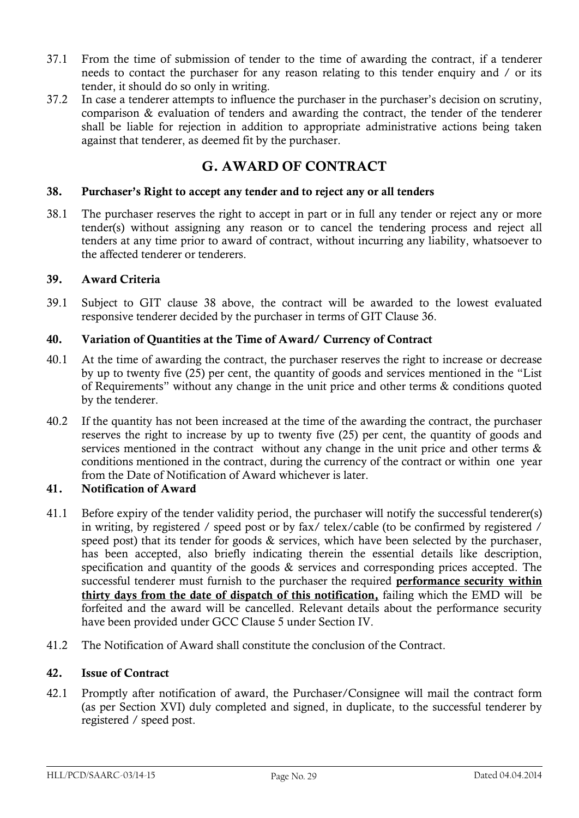- 37.1 From the time of submission of tender to the time of awarding the contract, if a tenderer needs to contact the purchaser for any reason relating to this tender enquiry and / or its tender, it should do so only in writing.
- 37.2 In case a tenderer attempts to influence the purchaser in the purchaser"s decision on scrutiny, comparison & evaluation of tenders and awarding the contract, the tender of the tenderer shall be liable for rejection in addition to appropriate administrative actions being taken against that tenderer, as deemed fit by the purchaser.

## **G. AWARD OF CONTRACT**

#### **38. Purchaser"s Right to accept any tender and to reject any or all tenders**

38.1 The purchaser reserves the right to accept in part or in full any tender or reject any or more tender(s) without assigning any reason or to cancel the tendering process and reject all tenders at any time prior to award of contract, without incurring any liability, whatsoever to the affected tenderer or tenderers.

#### **39. Award Criteria**

39.1 Subject to GIT clause 38 above, the contract will be awarded to the lowest evaluated responsive tenderer decided by the purchaser in terms of GIT Clause 36.

#### **40. Variation of Quantities at the Time of Award/ Currency of Contract**

- 40.1 At the time of awarding the contract, the purchaser reserves the right to increase or decrease by up to twenty five (25) per cent, the quantity of goods and services mentioned in the "List of Requirements" without any change in the unit price and other terms & conditions quoted by the tenderer.
- 40.2 If the quantity has not been increased at the time of the awarding the contract, the purchaser reserves the right to increase by up to twenty five (25) per cent, the quantity of goods and services mentioned in the contract without any change in the unit price and other terms & conditions mentioned in the contract, during the currency of the contract or within one year from the Date of Notification of Award whichever is later.

#### **41. Notification of Award**

- 41.1 Before expiry of the tender validity period, the purchaser will notify the successful tenderer(s) in writing, by registered / speed post or by fax/ telex/cable (to be confirmed by registered / speed post) that its tender for goods & services, which have been selected by the purchaser, has been accepted, also briefly indicating therein the essential details like description, specification and quantity of the goods & services and corresponding prices accepted. The successful tenderer must furnish to the purchaser the required **performance security within thirty days from the date of dispatch of this notification,** failing which the EMD will be forfeited and the award will be cancelled. Relevant details about the performance security have been provided under GCC Clause 5 under Section IV.
- 41.2 The Notification of Award shall constitute the conclusion of the Contract.

#### **42. Issue of Contract**

42.1 Promptly after notification of award, the Purchaser/Consignee will mail the contract form (as per Section XVI) duly completed and signed, in duplicate, to the successful tenderer by registered / speed post.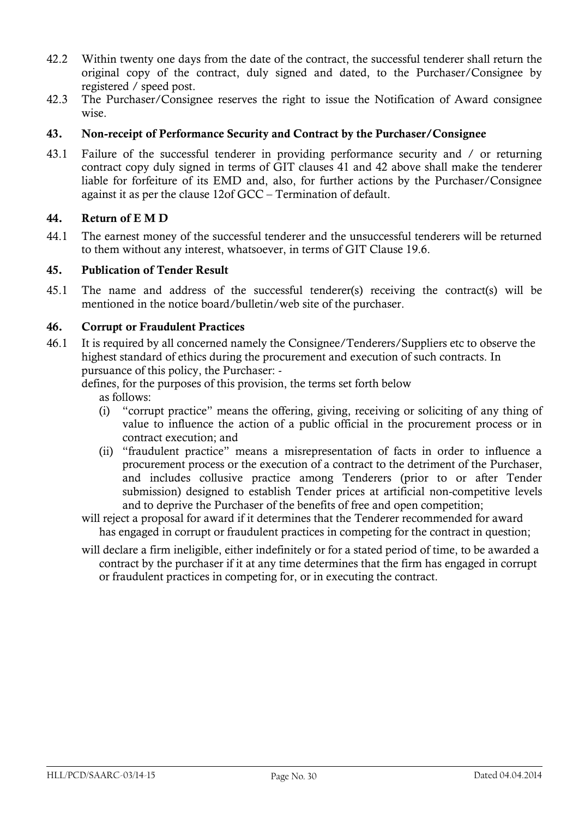- 42.2 Within twenty one days from the date of the contract, the successful tenderer shall return the original copy of the contract, duly signed and dated, to the Purchaser/Consignee by registered / speed post.
- 42.3 The Purchaser/Consignee reserves the right to issue the Notification of Award consignee wise.

#### **43. Non-receipt of Performance Security and Contract by the Purchaser/Consignee**

43.1 Failure of the successful tenderer in providing performance security and / or returning contract copy duly signed in terms of GIT clauses 41 and 42 above shall make the tenderer liable for forfeiture of its EMD and, also, for further actions by the Purchaser/Consignee against it as per the clause 12of GCC – Termination of default.

#### **44. Return of E M D**

44.1 The earnest money of the successful tenderer and the unsuccessful tenderers will be returned to them without any interest, whatsoever, in terms of GIT Clause 19.6.

#### **45. Publication of Tender Result**

45.1 The name and address of the successful tenderer(s) receiving the contract(s) will be mentioned in the notice board/bulletin/web site of the purchaser.

#### **46. Corrupt or Fraudulent Practices**

46.1 It is required by all concerned namely the Consignee/Tenderers/Suppliers etc to observe the highest standard of ethics during the procurement and execution of such contracts. In pursuance of this policy, the Purchaser: -

defines, for the purposes of this provision, the terms set forth below

as follows:

- (i) "corrupt practice" means the offering, giving, receiving or soliciting of any thing of value to influence the action of a public official in the procurement process or in contract execution; and
- (ii) "fraudulent practice" means a misrepresentation of facts in order to influence a procurement process or the execution of a contract to the detriment of the Purchaser, and includes collusive practice among Tenderers (prior to or after Tender submission) designed to establish Tender prices at artificial non-competitive levels and to deprive the Purchaser of the benefits of free and open competition;
- will reject a proposal for award if it determines that the Tenderer recommended for award has engaged in corrupt or fraudulent practices in competing for the contract in question;
- will declare a firm ineligible, either indefinitely or for a stated period of time, to be awarded a contract by the purchaser if it at any time determines that the firm has engaged in corrupt or fraudulent practices in competing for, or in executing the contract.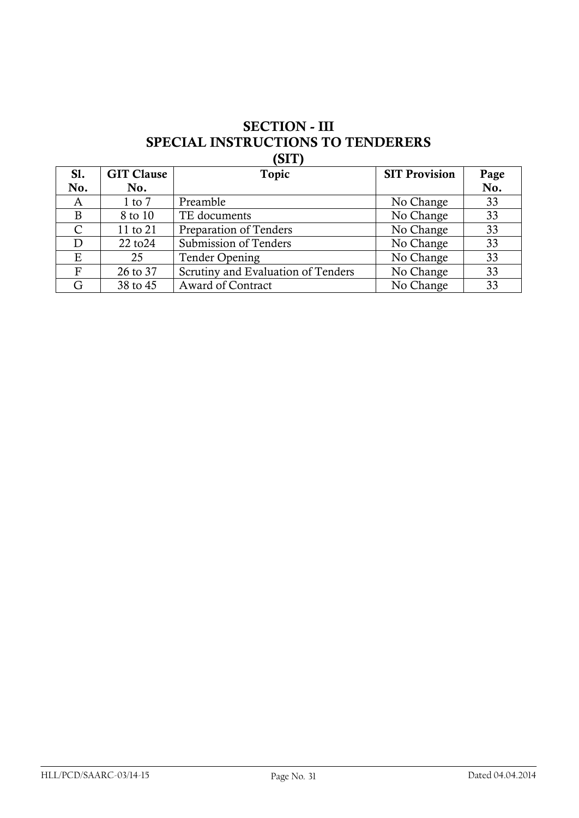## **SECTION - III SPECIAL INSTRUCTIONS TO TENDERERS (SIT)**

| SI.           | <b>GIT Clause</b> | Topic                              | <b>SIT Provision</b> | Page |
|---------------|-------------------|------------------------------------|----------------------|------|
| No.           | No.               |                                    |                      | No.  |
| A             | 1 to $7$          | Preamble                           | No Change            | 33   |
| B             | 8 to 10           | TE documents                       | No Change            | 33   |
| $\mathcal{C}$ | 11 to 21          | Preparation of Tenders             | No Change            | 33   |
| D             | 22 to 24          | Submission of Tenders              | No Change            | 33   |
| Ε             | 25                | <b>Tender Opening</b>              | No Change            | 33   |
| F             | 26 to 37          | Scrutiny and Evaluation of Tenders | No Change            | 33   |
| G             | 38 to 45          | <b>Award of Contract</b>           | No Change            | 33   |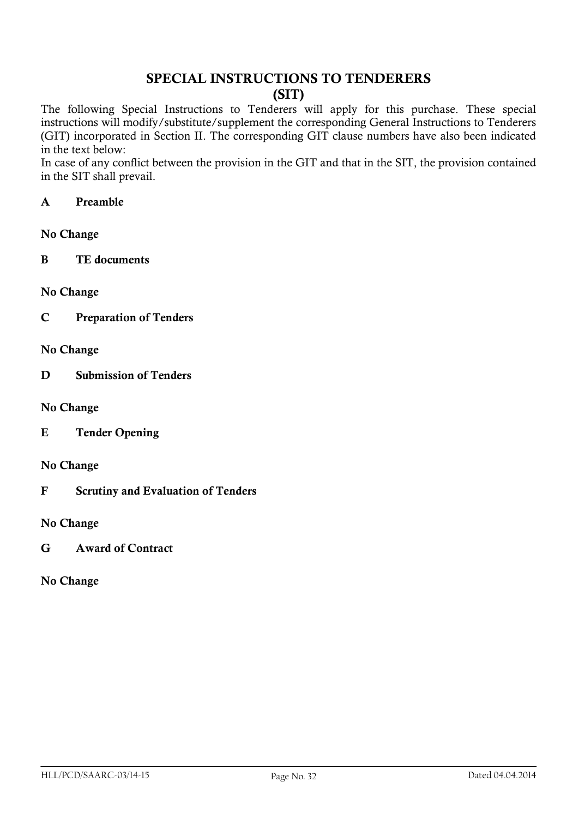## **SPECIAL INSTRUCTIONS TO TENDERERS (SIT)**

The following Special Instructions to Tenderers will apply for this purchase. These special instructions will modify/substitute/supplement the corresponding General Instructions to Tenderers (GIT) incorporated in Section II. The corresponding GIT clause numbers have also been indicated in the text below:

In case of any conflict between the provision in the GIT and that in the SIT, the provision contained in the SIT shall prevail.

#### **A Preamble**

#### **No Change**

**B TE documents**

#### **No Change**

- **C Preparation of Tenders**
- **No Change**
- **D Submission of Tenders**
- **No Change**
- **E Tender Opening**
- **No Change**
- **F Scrutiny and Evaluation of Tenders**

#### **No Change**

**G Award of Contract**

#### **No Change**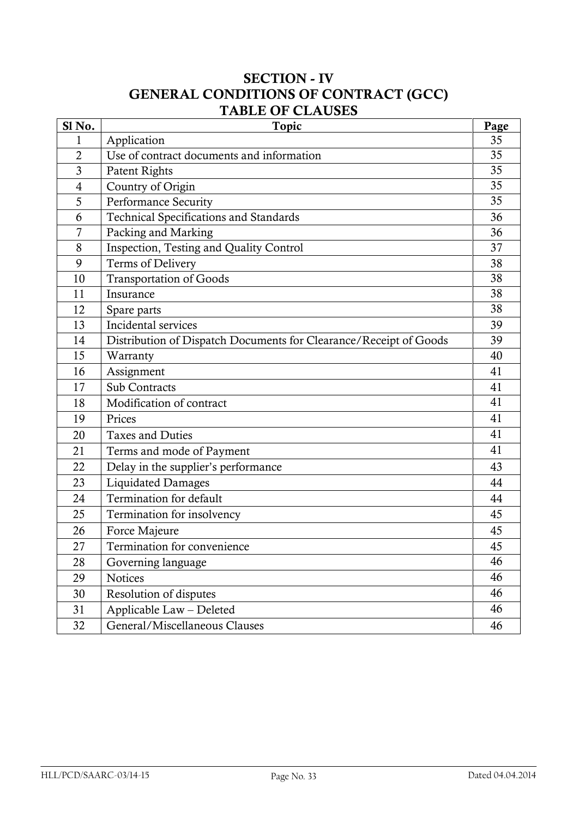## **SECTION - IV GENERAL CONDITIONS OF CONTRACT (GCC) TABLE OF CLAUSES**

| Sl No.         | <b>Topic</b>                                                      | Page |
|----------------|-------------------------------------------------------------------|------|
| 1              | Application                                                       | 35   |
| $\overline{2}$ | Use of contract documents and information                         | 35   |
| 3              | Patent Rights                                                     | 35   |
| $\overline{4}$ | Country of Origin                                                 | 35   |
| 5              | Performance Security                                              | 35   |
| 6              | <b>Technical Specifications and Standards</b>                     | 36   |
| 7              | Packing and Marking                                               | 36   |
| 8              | Inspection, Testing and Quality Control                           | 37   |
| 9              | Terms of Delivery                                                 | 38   |
| 10             | <b>Transportation of Goods</b>                                    | 38   |
| 11             | Insurance                                                         | 38   |
| 12             | Spare parts                                                       | 38   |
| 13             | Incidental services                                               | 39   |
| 14             | Distribution of Dispatch Documents for Clearance/Receipt of Goods | 39   |
| 15             | Warranty                                                          | 40   |
| 16             | Assignment                                                        | 41   |
| 17             | <b>Sub Contracts</b>                                              | 41   |
| 18             | Modification of contract                                          | 41   |
| 19             | Prices                                                            | 41   |
| 20             | <b>Taxes and Duties</b>                                           | 41   |
| 21             | Terms and mode of Payment                                         | 41   |
| 22             | Delay in the supplier's performance                               | 43   |
| 23             | <b>Liquidated Damages</b>                                         | 44   |
| 24             | Termination for default                                           | 44   |
| 25             | Termination for insolvency                                        | 45   |
| 26             | Force Majeure                                                     | 45   |
| 27             | Termination for convenience                                       | 45   |
| 28             | Governing language                                                | 46   |
| 29             | <b>Notices</b>                                                    | 46   |
| 30             | Resolution of disputes                                            | 46   |
| 31             | Applicable Law - Deleted                                          | 46   |
| 32             | General/Miscellaneous Clauses                                     | 46   |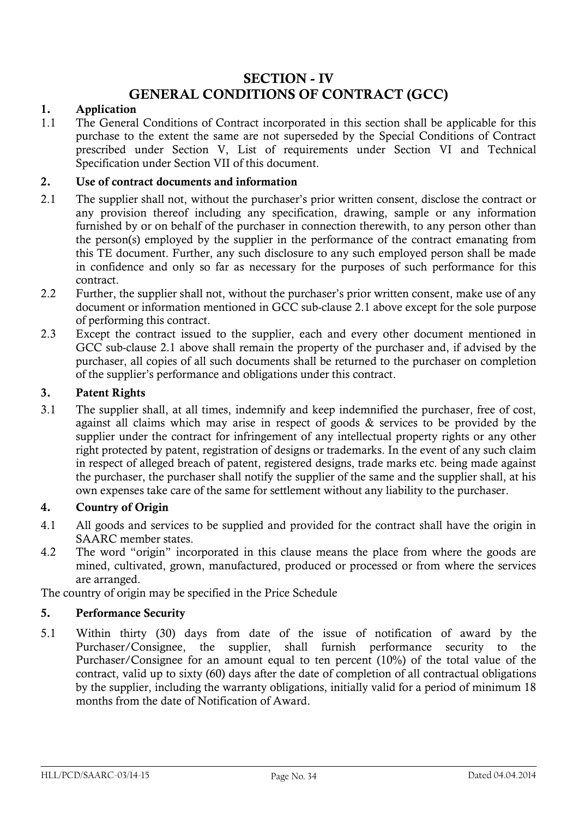## **SECTION - IV**

## **GENERAL CONDITIONS OF CONTRACT (GCC)**

#### **1. Application**

1.1 The General Conditions of Contract incorporated in this section shall be applicable for this purchase to the extent the same are not superseded by the Special Conditions of Contract prescribed under Section V, List of requirements under Section VI and Technical Specification under Section VII of this document.

#### **2. Use of contract documents and information**

- 2.1 The supplier shall not, without the purchaser's prior written consent, disclose the contract or any provision thereof including any specification, drawing, sample or any information furnished by or on behalf of the purchaser in connection therewith, to any person other than the person(s) employed by the supplier in the performance of the contract emanating from this TE document. Further, any such disclosure to any such employed person shall be made in confidence and only so far as necessary for the purposes of such performance for this contract.
- 2.2 Further, the supplier shall not, without the purchaser's prior written consent, make use of any document or information mentioned in GCC sub-clause 2.1 above except for the sole purpose of performing this contract.
- 2.3 Except the contract issued to the supplier, each and every other document mentioned in GCC sub-clause 2.1 above shall remain the property of the purchaser and, if advised by the purchaser, all copies of all such documents shall be returned to the purchaser on completion of the supplier"s performance and obligations under this contract.

#### **3. Patent Rights**

3.1 The supplier shall, at all times, indemnify and keep indemnified the purchaser, free of cost, against all claims which may arise in respect of goods & services to be provided by the supplier under the contract for infringement of any intellectual property rights or any other right protected by patent, registration of designs or trademarks. In the event of any such claim in respect of alleged breach of patent, registered designs, trade marks etc. being made against the purchaser, the purchaser shall notify the supplier of the same and the supplier shall, at his own expenses take care of the same for settlement without any liability to the purchaser.

#### **4. Country of Origin**

- 4.1 All goods and services to be supplied and provided for the contract shall have the origin in SAARC member states.
- 4.2 The word "origin" incorporated in this clause means the place from where the goods are mined, cultivated, grown, manufactured, produced or processed or from where the services are arranged.

The country of origin may be specified in the Price Schedule

#### **5. Performance Security**

5.1 Within thirty (30) days from date of the issue of notification of award by the Purchaser/Consignee, the supplier, shall furnish performance security to the Purchaser/Consignee for an amount equal to ten percent (10%) of the total value of the contract, valid up to sixty (60) days after the date of completion of all contractual obligations by the supplier, including the warranty obligations, initially valid for a period of minimum 18 months from the date of Notification of Award.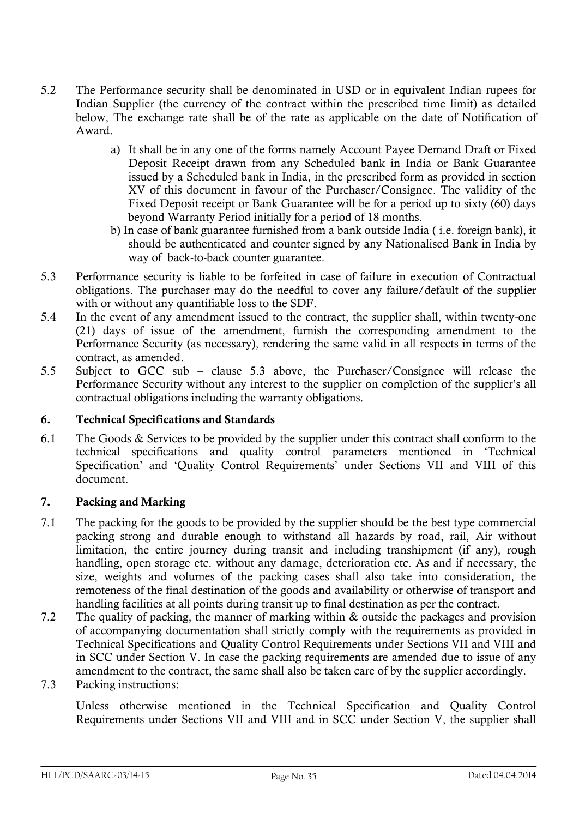- 5.2 The Performance security shall be denominated in USD or in equivalent Indian rupees for Indian Supplier (the currency of the contract within the prescribed time limit) as detailed below, The exchange rate shall be of the rate as applicable on the date of Notification of Award.
	- a) It shall be in any one of the forms namely Account Payee Demand Draft or Fixed Deposit Receipt drawn from any Scheduled bank in India or Bank Guarantee issued by a Scheduled bank in India, in the prescribed form as provided in section XV of this document in favour of the Purchaser/Consignee. The validity of the Fixed Deposit receipt or Bank Guarantee will be for a period up to sixty (60) days beyond Warranty Period initially for a period of 18 months.
	- b) In case of bank guarantee furnished from a bank outside India ( i.e. foreign bank), it should be authenticated and counter signed by any Nationalised Bank in India by way of back-to-back counter guarantee.
- 5.3 Performance security is liable to be forfeited in case of failure in execution of Contractual obligations. The purchaser may do the needful to cover any failure/default of the supplier with or without any quantifiable loss to the SDF.
- 5.4 In the event of any amendment issued to the contract, the supplier shall, within twenty-one (21) days of issue of the amendment, furnish the corresponding amendment to the Performance Security (as necessary), rendering the same valid in all respects in terms of the contract, as amended.
- 5.5 Subject to GCC sub clause 5.3 above, the Purchaser/Consignee will release the Performance Security without any interest to the supplier on completion of the supplier's all contractual obligations including the warranty obligations.

#### **6. Technical Specifications and Standards**

6.1 The Goods & Services to be provided by the supplier under this contract shall conform to the technical specifications and quality control parameters mentioned in "Technical Specification' and 'Quality Control Requirements' under Sections VII and VIII of this document.

#### **7. Packing and Marking**

- 7.1 The packing for the goods to be provided by the supplier should be the best type commercial packing strong and durable enough to withstand all hazards by road, rail, Air without limitation, the entire journey during transit and including transhipment (if any), rough handling, open storage etc. without any damage, deterioration etc. As and if necessary, the size, weights and volumes of the packing cases shall also take into consideration, the remoteness of the final destination of the goods and availability or otherwise of transport and handling facilities at all points during transit up to final destination as per the contract.
- 7.2 The quality of packing, the manner of marking within & outside the packages and provision of accompanying documentation shall strictly comply with the requirements as provided in Technical Specifications and Quality Control Requirements under Sections VII and VIII and in SCC under Section V. In case the packing requirements are amended due to issue of any amendment to the contract, the same shall also be taken care of by the supplier accordingly.
- 7.3 Packing instructions:

Unless otherwise mentioned in the Technical Specification and Quality Control Requirements under Sections VII and VIII and in SCC under Section V, the supplier shall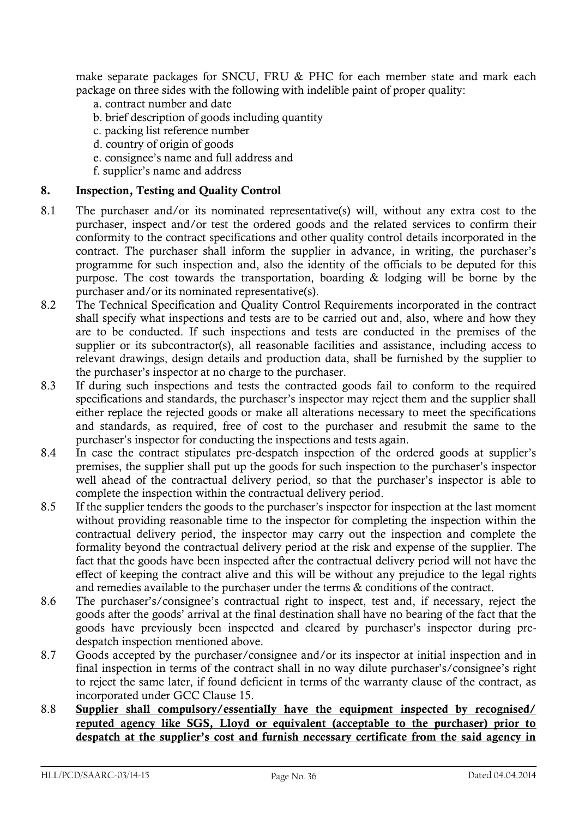make separate packages for SNCU, FRU & PHC for each member state and mark each package on three sides with the following with indelible paint of proper quality:

- a. contract number and date
- b. brief description of goods including quantity
- c. packing list reference number
- d. country of origin of goods
- e. consignee"s name and full address and
- f. supplier"s name and address

#### **8. Inspection, Testing and Quality Control**

- 8.1 The purchaser and/or its nominated representative(s) will, without any extra cost to the purchaser, inspect and/or test the ordered goods and the related services to confirm their conformity to the contract specifications and other quality control details incorporated in the contract. The purchaser shall inform the supplier in advance, in writing, the purchaser's programme for such inspection and, also the identity of the officials to be deputed for this purpose. The cost towards the transportation, boarding & lodging will be borne by the purchaser and/or its nominated representative(s).
- 8.2 The Technical Specification and Quality Control Requirements incorporated in the contract shall specify what inspections and tests are to be carried out and, also, where and how they are to be conducted. If such inspections and tests are conducted in the premises of the supplier or its subcontractor(s), all reasonable facilities and assistance, including access to relevant drawings, design details and production data, shall be furnished by the supplier to the purchaser"s inspector at no charge to the purchaser.
- 8.3 If during such inspections and tests the contracted goods fail to conform to the required specifications and standards, the purchaser's inspector may reject them and the supplier shall either replace the rejected goods or make all alterations necessary to meet the specifications and standards, as required, free of cost to the purchaser and resubmit the same to the purchaser"s inspector for conducting the inspections and tests again.
- 8.4 In case the contract stipulates pre-despatch inspection of the ordered goods at supplier"s premises, the supplier shall put up the goods for such inspection to the purchaser"s inspector well ahead of the contractual delivery period, so that the purchaser's inspector is able to complete the inspection within the contractual delivery period.
- 8.5 If the supplier tenders the goods to the purchaser"s inspector for inspection at the last moment without providing reasonable time to the inspector for completing the inspection within the contractual delivery period, the inspector may carry out the inspection and complete the formality beyond the contractual delivery period at the risk and expense of the supplier. The fact that the goods have been inspected after the contractual delivery period will not have the effect of keeping the contract alive and this will be without any prejudice to the legal rights and remedies available to the purchaser under the terms & conditions of the contract.
- 8.6 The purchaser"s/consignee"s contractual right to inspect, test and, if necessary, reject the goods after the goods" arrival at the final destination shall have no bearing of the fact that the goods have previously been inspected and cleared by purchaser"s inspector during predespatch inspection mentioned above.
- 8.7 Goods accepted by the purchaser/consignee and/or its inspector at initial inspection and in final inspection in terms of the contract shall in no way dilute purchaser"s/consignee"s right to reject the same later, if found deficient in terms of the warranty clause of the contract, as incorporated under GCC Clause 15.
- 8.8 **Supplier shall compulsory/essentially have the equipment inspected by recognised/ reputed agency like SGS, Lloyd or equivalent (acceptable to the purchaser) prior to**  despatch at the supplier's cost and furnish necessary certificate from the said agency in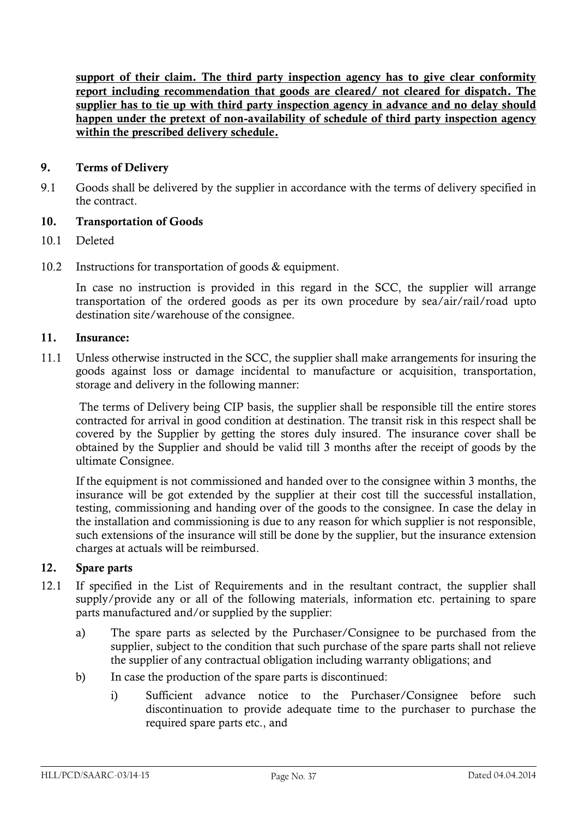**support of their claim. The third party inspection agency has to give clear conformity report including recommendation that goods are cleared/ not cleared for dispatch. The supplier has to tie up with third party inspection agency in advance and no delay should happen under the pretext of non-availability of schedule of third party inspection agency within the prescribed delivery schedule.**

### **9. Terms of Delivery**

9.1 Goods shall be delivered by the supplier in accordance with the terms of delivery specified in the contract.

### **10. Transportation of Goods**

- 10.1 Deleted
- 10.2 Instructions for transportation of goods & equipment.

In case no instruction is provided in this regard in the SCC, the supplier will arrange transportation of the ordered goods as per its own procedure by sea/air/rail/road upto destination site/warehouse of the consignee.

### **11. Insurance:**

11.1 Unless otherwise instructed in the SCC, the supplier shall make arrangements for insuring the goods against loss or damage incidental to manufacture or acquisition, transportation, storage and delivery in the following manner:

 The terms of Delivery being CIP basis, the supplier shall be responsible till the entire stores contracted for arrival in good condition at destination. The transit risk in this respect shall be covered by the Supplier by getting the stores duly insured. The insurance cover shall be obtained by the Supplier and should be valid till 3 months after the receipt of goods by the ultimate Consignee.

If the equipment is not commissioned and handed over to the consignee within 3 months, the insurance will be got extended by the supplier at their cost till the successful installation, testing, commissioning and handing over of the goods to the consignee. In case the delay in the installation and commissioning is due to any reason for which supplier is not responsible, such extensions of the insurance will still be done by the supplier, but the insurance extension charges at actuals will be reimbursed.

### **12. Spare parts**

- 12.1 If specified in the List of Requirements and in the resultant contract, the supplier shall supply/provide any or all of the following materials, information etc. pertaining to spare parts manufactured and/or supplied by the supplier:
	- a) The spare parts as selected by the Purchaser/Consignee to be purchased from the supplier, subject to the condition that such purchase of the spare parts shall not relieve the supplier of any contractual obligation including warranty obligations; and
	- b) In case the production of the spare parts is discontinued:
		- i) Sufficient advance notice to the Purchaser/Consignee before such discontinuation to provide adequate time to the purchaser to purchase the required spare parts etc., and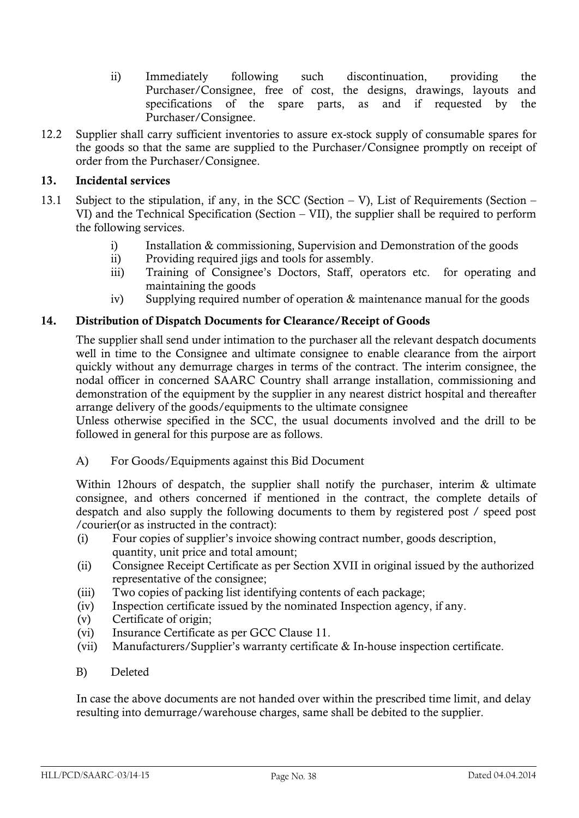- ii) Immediately following such discontinuation, providing the Purchaser/Consignee, free of cost, the designs, drawings, layouts and specifications of the spare parts, as and if requested by the Purchaser/Consignee.
- 12.2 Supplier shall carry sufficient inventories to assure ex-stock supply of consumable spares for the goods so that the same are supplied to the Purchaser/Consignee promptly on receipt of order from the Purchaser/Consignee.

### **13. Incidental services**

- 13.1 Subject to the stipulation, if any, in the SCC (Section V), List of Requirements (Section VI) and the Technical Specification (Section – VII), the supplier shall be required to perform the following services.
	- i) Installation & commissioning, Supervision and Demonstration of the goods
	- ii) Providing required jigs and tools for assembly.
	- iii) Training of Consignee's Doctors, Staff, operators etc. for operating and maintaining the goods
	- iv) Supplying required number of operation & maintenance manual for the goods

### **14. Distribution of Dispatch Documents for Clearance/Receipt of Goods**

The supplier shall send under intimation to the purchaser all the relevant despatch documents well in time to the Consignee and ultimate consignee to enable clearance from the airport quickly without any demurrage charges in terms of the contract. The interim consignee, the nodal officer in concerned SAARC Country shall arrange installation, commissioning and demonstration of the equipment by the supplier in any nearest district hospital and thereafter arrange delivery of the goods/equipments to the ultimate consignee

Unless otherwise specified in the SCC, the usual documents involved and the drill to be followed in general for this purpose are as follows.

A) For Goods/Equipments against this Bid Document

Within 12hours of despatch, the supplier shall notify the purchaser, interim & ultimate consignee, and others concerned if mentioned in the contract, the complete details of despatch and also supply the following documents to them by registered post / speed post /courier(or as instructed in the contract):

- (i) Four copies of supplier"s invoice showing contract number, goods description, quantity, unit price and total amount;
- (ii) Consignee Receipt Certificate as per Section XVII in original issued by the authorized representative of the consignee;
- (iii) Two copies of packing list identifying contents of each package;
- (iv) Inspection certificate issued by the nominated Inspection agency, if any.
- (v) Certificate of origin;
- (vi) Insurance Certificate as per GCC Clause 11.
- (vii) Manufacturers/Supplier"s warranty certificate & In-house inspection certificate.
- B) Deleted

 In case the above documents are not handed over within the prescribed time limit, and delay resulting into demurrage/warehouse charges, same shall be debited to the supplier.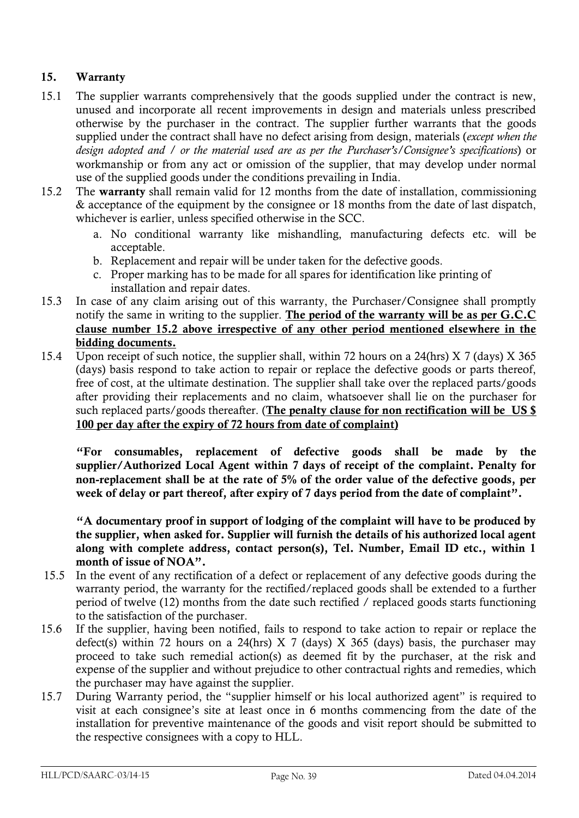## **15. Warranty**

- 15.1 The supplier warrants comprehensively that the goods supplied under the contract is new, unused and incorporate all recent improvements in design and materials unless prescribed otherwise by the purchaser in the contract. The supplier further warrants that the goods supplied under the contract shall have no defect arising from design, materials (*except when the design adopted and / or the material used are as per the Purchaser's/Consignee's specifications*) or workmanship or from any act or omission of the supplier, that may develop under normal use of the supplied goods under the conditions prevailing in India.
- 15.2 The **warranty** shall remain valid for 12 months from the date of installation, commissioning & acceptance of the equipment by the consignee or 18 months from the date of last dispatch, whichever is earlier, unless specified otherwise in the SCC.
	- a. No conditional warranty like mishandling, manufacturing defects etc. will be acceptable.
	- b. Replacement and repair will be under taken for the defective goods.
	- c. Proper marking has to be made for all spares for identification like printing of installation and repair dates.
- 15.3 In case of any claim arising out of this warranty, the Purchaser/Consignee shall promptly notify the same in writing to the supplier. **The period of the warranty will be as per G.C.C clause number 15.2 above irrespective of any other period mentioned elsewhere in the bidding documents.**
- 15.4 Upon receipt of such notice, the supplier shall, within 72 hours on a 24(hrs) X 7 (days) X 365 (days) basis respond to take action to repair or replace the defective goods or parts thereof, free of cost, at the ultimate destination. The supplier shall take over the replaced parts/goods after providing their replacements and no claim, whatsoever shall lie on the purchaser for such replaced parts/goods thereafter. (**The penalty clause for non rectification will be US \$ 100 per day after the expiry of 72 hours from date of complaint)**

 **"For consumables, replacement of defective goods shall be made by the supplier/Authorized Local Agent within 7 days of receipt of the complaint. Penalty for non-replacement shall be at the rate of 5% of the order value of the defective goods, per week of delay or part thereof, after expiry of 7 days period from the date of complaint".**

 **"A documentary proof in support of lodging of the complaint will have to be produced by the supplier, when asked for. Supplier will furnish the details of his authorized local agent along with complete address, contact person(s), Tel. Number, Email ID etc., within 1 month of issue of NOA".**

- 15.5 In the event of any rectification of a defect or replacement of any defective goods during the warranty period, the warranty for the rectified/replaced goods shall be extended to a further period of twelve (12) months from the date such rectified / replaced goods starts functioning to the satisfaction of the purchaser.
- 15.6 If the supplier, having been notified, fails to respond to take action to repair or replace the defect(s) within 72 hours on a 24(hrs) X 7 (days) X 365 (days) basis, the purchaser may proceed to take such remedial action(s) as deemed fit by the purchaser, at the risk and expense of the supplier and without prejudice to other contractual rights and remedies, which the purchaser may have against the supplier.
- 15.7 During Warranty period, the "supplier himself or his local authorized agent" is required to visit at each consignee"s site at least once in 6 months commencing from the date of the installation for preventive maintenance of the goods and visit report should be submitted to the respective consignees with a copy to HLL.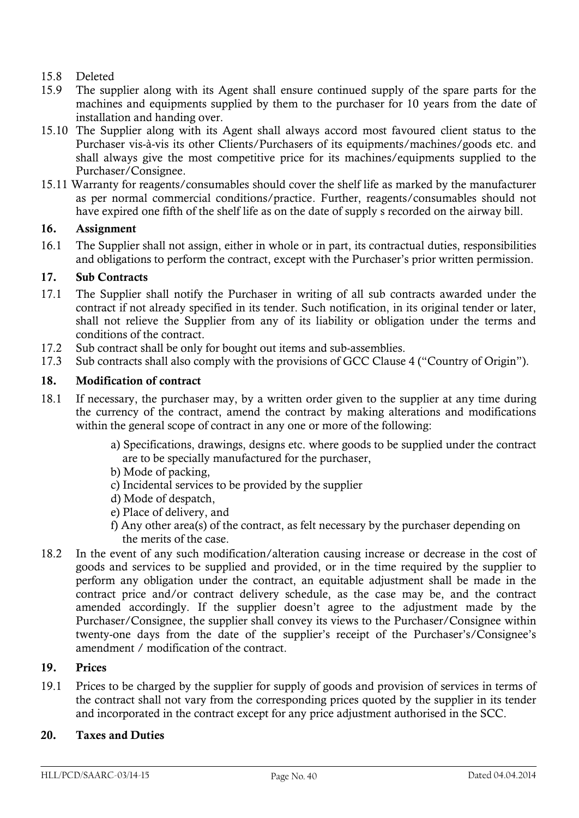### 15.8 Deleted

- 15.9 The supplier along with its Agent shall ensure continued supply of the spare parts for the machines and equipments supplied by them to the purchaser for 10 years from the date of installation and handing over.
- 15.10 The Supplier along with its Agent shall always accord most favoured client status to the Purchaser vis-à-vis its other Clients/Purchasers of its equipments/machines/goods etc. and shall always give the most competitive price for its machines/equipments supplied to the Purchaser/Consignee.
- 15.11 Warranty for reagents/consumables should cover the shelf life as marked by the manufacturer as per normal commercial conditions/practice. Further, reagents/consumables should not have expired one fifth of the shelf life as on the date of supply s recorded on the airway bill.

### **16. Assignment**

16.1 The Supplier shall not assign, either in whole or in part, its contractual duties, responsibilities and obligations to perform the contract, except with the Purchaser's prior written permission.

### **17. Sub Contracts**

- 17.1 The Supplier shall notify the Purchaser in writing of all sub contracts awarded under the contract if not already specified in its tender. Such notification, in its original tender or later, shall not relieve the Supplier from any of its liability or obligation under the terms and conditions of the contract.
- 17.2 Sub contract shall be only for bought out items and sub-assemblies.
- 17.3 Sub contracts shall also comply with the provisions of GCC Clause 4 ("Country of Origin").

### **18. Modification of contract**

- 18.1 If necessary, the purchaser may, by a written order given to the supplier at any time during the currency of the contract, amend the contract by making alterations and modifications within the general scope of contract in any one or more of the following:
	- a) Specifications, drawings, designs etc. where goods to be supplied under the contract are to be specially manufactured for the purchaser,
	- b) Mode of packing,
	- c) Incidental services to be provided by the supplier
	- d) Mode of despatch,
	- e) Place of delivery, and
	- f) Any other area(s) of the contract, as felt necessary by the purchaser depending on the merits of the case.
- 18.2 In the event of any such modification/alteration causing increase or decrease in the cost of goods and services to be supplied and provided, or in the time required by the supplier to perform any obligation under the contract, an equitable adjustment shall be made in the contract price and/or contract delivery schedule, as the case may be, and the contract amended accordingly. If the supplier doesn"t agree to the adjustment made by the Purchaser/Consignee, the supplier shall convey its views to the Purchaser/Consignee within twenty-one days from the date of the supplier's receipt of the Purchaser's/Consignee's amendment / modification of the contract.

### **19. Prices**

19.1 Prices to be charged by the supplier for supply of goods and provision of services in terms of the contract shall not vary from the corresponding prices quoted by the supplier in its tender and incorporated in the contract except for any price adjustment authorised in the SCC.

### **20. Taxes and Duties**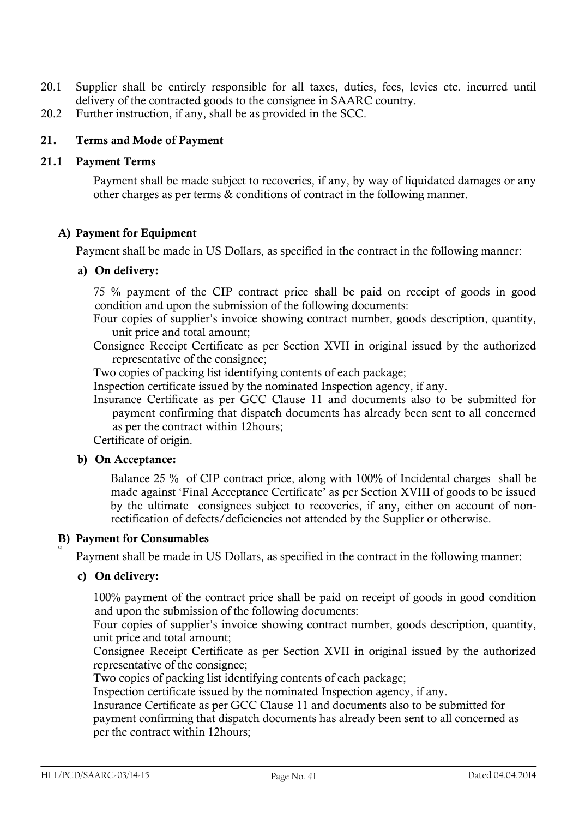- 20.1 Supplier shall be entirely responsible for all taxes, duties, fees, levies etc. incurred until delivery of the contracted goods to the consignee in SAARC country.
- 20.2 Further instruction, if any, shall be as provided in the SCC.

### **21. Terms and Mode of Payment**

### **21.1 Payment Terms**

Payment shall be made subject to recoveries, if any, by way of liquidated damages or any other charges as per terms & conditions of contract in the following manner.

### **A) Payment for Equipment**

Payment shall be made in US Dollars, as specified in the contract in the following manner:

### **a) On delivery:**

75 % payment of the CIP contract price shall be paid on receipt of goods in good condition and upon the submission of the following documents:

Four copies of supplier"s invoice showing contract number, goods description, quantity, unit price and total amount;

Consignee Receipt Certificate as per Section XVII in original issued by the authorized representative of the consignee;

Two copies of packing list identifying contents of each package;

Inspection certificate issued by the nominated Inspection agency, if any.

Insurance Certificate as per GCC Clause 11 and documents also to be submitted for payment confirming that dispatch documents has already been sent to all concerned as per the contract within 12hours;

Certificate of origin.

### **b) On Acceptance:**

Balance 25 % of CIP contract price, along with 100% of Incidental charges shall be made against "Final Acceptance Certificate" as per Section XVIII of goods to be issued by the ultimate consignees subject to recoveries, if any, either on account of nonrectification of defects/deficiencies not attended by the Supplier or otherwise.

### **B) Payment for Consumables**

Payment shall be made in US Dollars, as specified in the contract in the following manner:

### **c) On delivery:**

C)

100% payment of the contract price shall be paid on receipt of goods in good condition and upon the submission of the following documents:

Four copies of supplier"s invoice showing contract number, goods description, quantity, unit price and total amount;

Consignee Receipt Certificate as per Section XVII in original issued by the authorized representative of the consignee;

Two copies of packing list identifying contents of each package;

Inspection certificate issued by the nominated Inspection agency, if any.

Insurance Certificate as per GCC Clause 11 and documents also to be submitted for payment confirming that dispatch documents has already been sent to all concerned as per the contract within 12hours;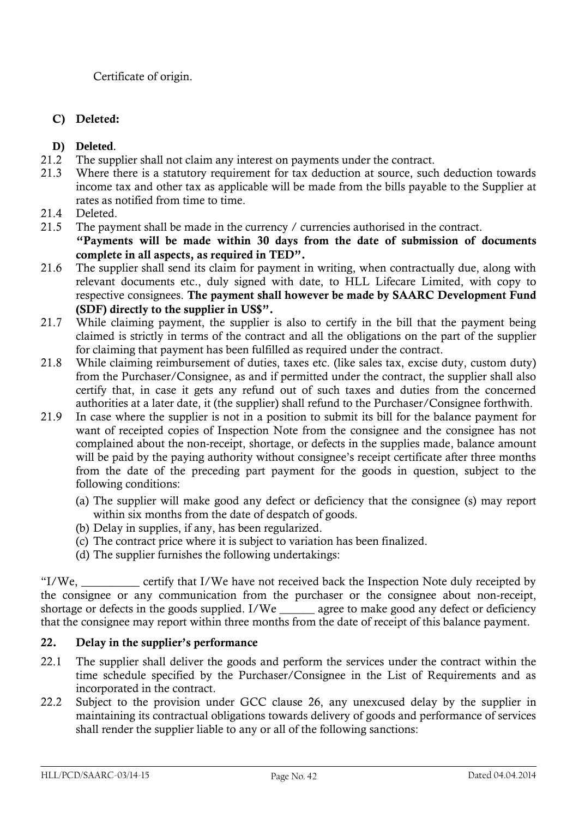Certificate of origin.

## **C) Deleted:**

- **D) Deleted**.
- 21.2 The supplier shall not claim any interest on payments under the contract.
- 21.3 Where there is a statutory requirement for tax deduction at source, such deduction towards income tax and other tax as applicable will be made from the bills payable to the Supplier at rates as notified from time to time.
- 21.4 Deleted.
- 21.5 The payment shall be made in the currency / currencies authorised in the contract. **"Payments will be made within 30 days from the date of submission of documents complete in all aspects, as required in TED".**
- 21.6 The supplier shall send its claim for payment in writing, when contractually due, along with relevant documents etc., duly signed with date, to HLL Lifecare Limited, with copy to respective consignees. **The payment shall however be made by SAARC Development Fund (SDF) directly to the supplier in US\$".**
- 21.7 While claiming payment, the supplier is also to certify in the bill that the payment being claimed is strictly in terms of the contract and all the obligations on the part of the supplier for claiming that payment has been fulfilled as required under the contract.
- 21.8 While claiming reimbursement of duties, taxes etc. (like sales tax, excise duty, custom duty) from the Purchaser/Consignee, as and if permitted under the contract, the supplier shall also certify that, in case it gets any refund out of such taxes and duties from the concerned authorities at a later date, it (the supplier) shall refund to the Purchaser/Consignee forthwith.
- 21.9 In case where the supplier is not in a position to submit its bill for the balance payment for want of receipted copies of Inspection Note from the consignee and the consignee has not complained about the non-receipt, shortage, or defects in the supplies made, balance amount will be paid by the paying authority without consignee's receipt certificate after three months from the date of the preceding part payment for the goods in question, subject to the following conditions:
	- (a) The supplier will make good any defect or deficiency that the consignee (s) may report within six months from the date of despatch of goods.
	- (b) Delay in supplies, if any, has been regularized.
	- (c) The contract price where it is subject to variation has been finalized.
	- (d) The supplier furnishes the following undertakings:

"I/We, \_\_\_\_\_\_\_\_\_\_ certify that I/We have not received back the Inspection Note duly receipted by the consignee or any communication from the purchaser or the consignee about non-receipt, shortage or defects in the goods supplied. I/We \_\_\_\_\_\_\_ agree to make good any defect or deficiency that the consignee may report within three months from the date of receipt of this balance payment.

## **22. Delay in the supplier"s performance**

- 22.1 The supplier shall deliver the goods and perform the services under the contract within the time schedule specified by the Purchaser/Consignee in the List of Requirements and as incorporated in the contract.
- 22.2 Subject to the provision under GCC clause 26, any unexcused delay by the supplier in maintaining its contractual obligations towards delivery of goods and performance of services shall render the supplier liable to any or all of the following sanctions: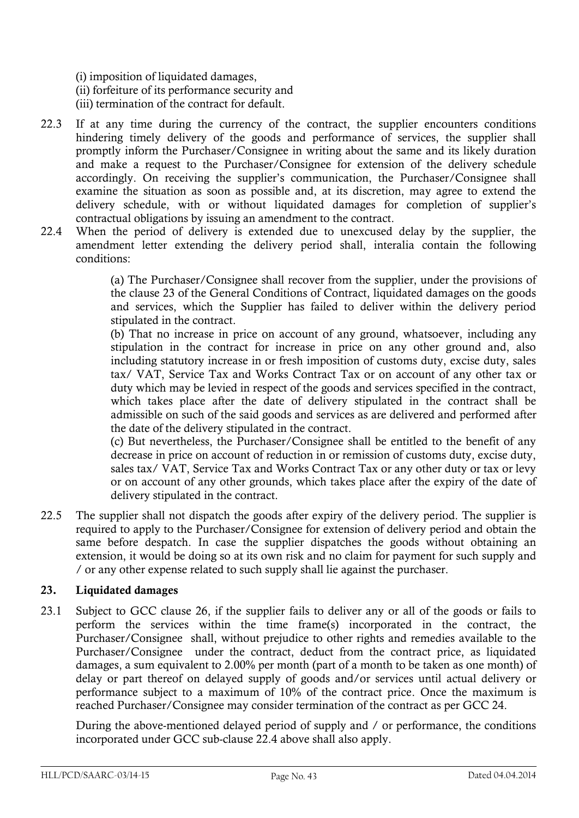- (i) imposition of liquidated damages,
- (ii) forfeiture of its performance security and
- (iii) termination of the contract for default.
- 22.3 If at any time during the currency of the contract, the supplier encounters conditions hindering timely delivery of the goods and performance of services, the supplier shall promptly inform the Purchaser/Consignee in writing about the same and its likely duration and make a request to the Purchaser/Consignee for extension of the delivery schedule accordingly. On receiving the supplier's communication, the Purchaser/Consignee shall examine the situation as soon as possible and, at its discretion, may agree to extend the delivery schedule, with or without liquidated damages for completion of supplier's contractual obligations by issuing an amendment to the contract.
- 22.4 When the period of delivery is extended due to unexcused delay by the supplier, the amendment letter extending the delivery period shall, interalia contain the following conditions:

(a) The Purchaser/Consignee shall recover from the supplier, under the provisions of the clause 23 of the General Conditions of Contract, liquidated damages on the goods and services, which the Supplier has failed to deliver within the delivery period stipulated in the contract.

(b) That no increase in price on account of any ground, whatsoever, including any stipulation in the contract for increase in price on any other ground and, also including statutory increase in or fresh imposition of customs duty, excise duty, sales tax/ VAT, Service Tax and Works Contract Tax or on account of any other tax or duty which may be levied in respect of the goods and services specified in the contract, which takes place after the date of delivery stipulated in the contract shall be admissible on such of the said goods and services as are delivered and performed after the date of the delivery stipulated in the contract.

(c) But nevertheless, the Purchaser/Consignee shall be entitled to the benefit of any decrease in price on account of reduction in or remission of customs duty, excise duty, sales tax/ VAT, Service Tax and Works Contract Tax or any other duty or tax or levy or on account of any other grounds, which takes place after the expiry of the date of delivery stipulated in the contract.

22.5 The supplier shall not dispatch the goods after expiry of the delivery period. The supplier is required to apply to the Purchaser/Consignee for extension of delivery period and obtain the same before despatch. In case the supplier dispatches the goods without obtaining an extension, it would be doing so at its own risk and no claim for payment for such supply and / or any other expense related to such supply shall lie against the purchaser.

### **23. Liquidated damages**

23.1 Subject to GCC clause 26, if the supplier fails to deliver any or all of the goods or fails to perform the services within the time frame(s) incorporated in the contract, the Purchaser/Consignee shall, without prejudice to other rights and remedies available to the Purchaser/Consignee under the contract, deduct from the contract price, as liquidated damages, a sum equivalent to 2.00% per month (part of a month to be taken as one month) of delay or part thereof on delayed supply of goods and/or services until actual delivery or performance subject to a maximum of 10% of the contract price. Once the maximum is reached Purchaser/Consignee may consider termination of the contract as per GCC 24.

During the above-mentioned delayed period of supply and / or performance, the conditions incorporated under GCC sub-clause 22.4 above shall also apply.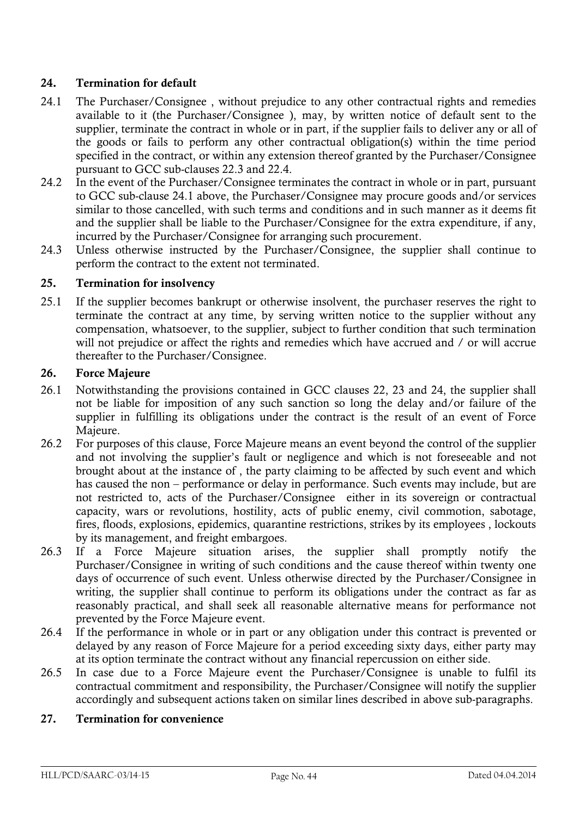### **24. Termination for default**

- 24.1 The Purchaser/Consignee , without prejudice to any other contractual rights and remedies available to it (the Purchaser/Consignee ), may, by written notice of default sent to the supplier, terminate the contract in whole or in part, if the supplier fails to deliver any or all of the goods or fails to perform any other contractual obligation(s) within the time period specified in the contract, or within any extension thereof granted by the Purchaser/Consignee pursuant to GCC sub-clauses 22.3 and 22.4.
- 24.2 In the event of the Purchaser/Consignee terminates the contract in whole or in part, pursuant to GCC sub-clause 24.1 above, the Purchaser/Consignee may procure goods and/or services similar to those cancelled, with such terms and conditions and in such manner as it deems fit and the supplier shall be liable to the Purchaser/Consignee for the extra expenditure, if any, incurred by the Purchaser/Consignee for arranging such procurement.
- 24.3 Unless otherwise instructed by the Purchaser/Consignee, the supplier shall continue to perform the contract to the extent not terminated.

### **25. Termination for insolvency**

25.1 If the supplier becomes bankrupt or otherwise insolvent, the purchaser reserves the right to terminate the contract at any time, by serving written notice to the supplier without any compensation, whatsoever, to the supplier, subject to further condition that such termination will not prejudice or affect the rights and remedies which have accrued and / or will accrue thereafter to the Purchaser/Consignee.

### **26. Force Majeure**

- 26.1 Notwithstanding the provisions contained in GCC clauses 22, 23 and 24, the supplier shall not be liable for imposition of any such sanction so long the delay and/or failure of the supplier in fulfilling its obligations under the contract is the result of an event of Force Majeure.
- 26.2 For purposes of this clause, Force Majeure means an event beyond the control of the supplier and not involving the supplier"s fault or negligence and which is not foreseeable and not brought about at the instance of , the party claiming to be affected by such event and which has caused the non – performance or delay in performance. Such events may include, but are not restricted to, acts of the Purchaser/Consignee either in its sovereign or contractual capacity, wars or revolutions, hostility, acts of public enemy, civil commotion, sabotage, fires, floods, explosions, epidemics, quarantine restrictions, strikes by its employees , lockouts by its management, and freight embargoes.
- 26.3 If a Force Majeure situation arises, the supplier shall promptly notify the Purchaser/Consignee in writing of such conditions and the cause thereof within twenty one days of occurrence of such event. Unless otherwise directed by the Purchaser/Consignee in writing, the supplier shall continue to perform its obligations under the contract as far as reasonably practical, and shall seek all reasonable alternative means for performance not prevented by the Force Majeure event.
- 26.4 If the performance in whole or in part or any obligation under this contract is prevented or delayed by any reason of Force Majeure for a period exceeding sixty days, either party may at its option terminate the contract without any financial repercussion on either side.
- 26.5 In case due to a Force Majeure event the Purchaser/Consignee is unable to fulfil its contractual commitment and responsibility, the Purchaser/Consignee will notify the supplier accordingly and subsequent actions taken on similar lines described in above sub-paragraphs.

### **27. Termination for convenience**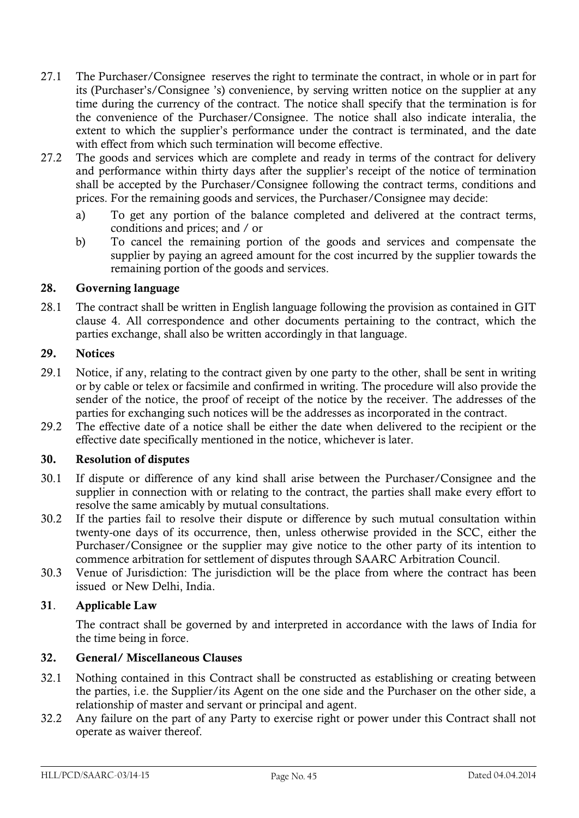- 27.1 The Purchaser/Consignee reserves the right to terminate the contract, in whole or in part for its (Purchaser"s/Consignee "s) convenience, by serving written notice on the supplier at any time during the currency of the contract. The notice shall specify that the termination is for the convenience of the Purchaser/Consignee. The notice shall also indicate interalia, the extent to which the supplier's performance under the contract is terminated, and the date with effect from which such termination will become effective.
- 27.2 The goods and services which are complete and ready in terms of the contract for delivery and performance within thirty days after the supplier's receipt of the notice of termination shall be accepted by the Purchaser/Consignee following the contract terms, conditions and prices. For the remaining goods and services, the Purchaser/Consignee may decide:
	- a) To get any portion of the balance completed and delivered at the contract terms, conditions and prices; and / or
	- b) To cancel the remaining portion of the goods and services and compensate the supplier by paying an agreed amount for the cost incurred by the supplier towards the remaining portion of the goods and services.

### **28. Governing language**

28.1 The contract shall be written in English language following the provision as contained in GIT clause 4. All correspondence and other documents pertaining to the contract, which the parties exchange, shall also be written accordingly in that language.

### **29. Notices**

- 29.1 Notice, if any, relating to the contract given by one party to the other, shall be sent in writing or by cable or telex or facsimile and confirmed in writing. The procedure will also provide the sender of the notice, the proof of receipt of the notice by the receiver. The addresses of the parties for exchanging such notices will be the addresses as incorporated in the contract.
- 29.2 The effective date of a notice shall be either the date when delivered to the recipient or the effective date specifically mentioned in the notice, whichever is later.

### **30. Resolution of disputes**

- 30.1 If dispute or difference of any kind shall arise between the Purchaser/Consignee and the supplier in connection with or relating to the contract, the parties shall make every effort to resolve the same amicably by mutual consultations.
- 30.2 If the parties fail to resolve their dispute or difference by such mutual consultation within twenty-one days of its occurrence, then, unless otherwise provided in the SCC, either the Purchaser/Consignee or the supplier may give notice to the other party of its intention to commence arbitration for settlement of disputes through SAARC Arbitration Council.
- 30.3 Venue of Jurisdiction: The jurisdiction will be the place from where the contract has been issued or New Delhi, India.

### **31**. **Applicable Law**

The contract shall be governed by and interpreted in accordance with the laws of India for the time being in force.

### **32. General/ Miscellaneous Clauses**

- 32.1 Nothing contained in this Contract shall be constructed as establishing or creating between the parties, i.e. the Supplier/its Agent on the one side and the Purchaser on the other side, a relationship of master and servant or principal and agent.
- 32.2 Any failure on the part of any Party to exercise right or power under this Contract shall not operate as waiver thereof.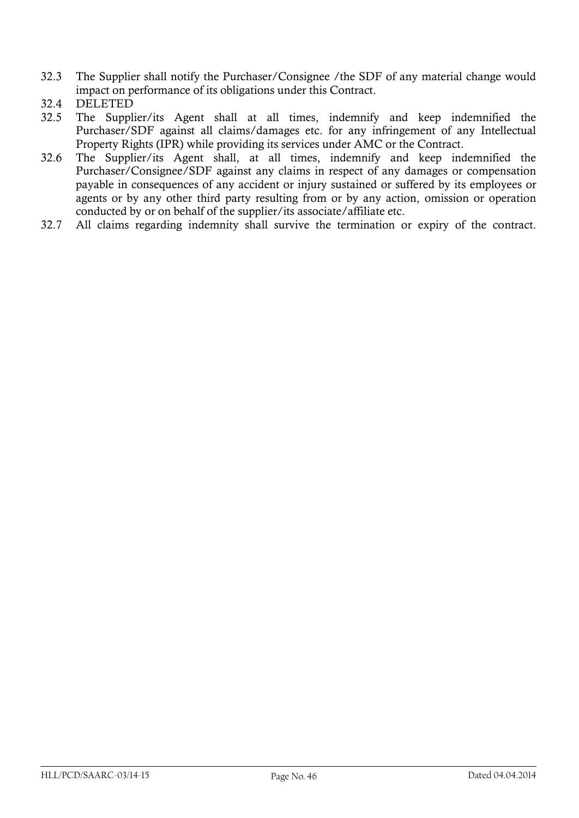- 32.3 The Supplier shall notify the Purchaser/Consignee /the SDF of any material change would impact on performance of its obligations under this Contract.
- 32.4 DELETED
- 32.5 The Supplier/its Agent shall at all times, indemnify and keep indemnified the Purchaser/SDF against all claims/damages etc. for any infringement of any Intellectual Property Rights (IPR) while providing its services under AMC or the Contract.
- 32.6 The Supplier/its Agent shall, at all times, indemnify and keep indemnified the Purchaser/Consignee/SDF against any claims in respect of any damages or compensation payable in consequences of any accident or injury sustained or suffered by its employees or agents or by any other third party resulting from or by any action, omission or operation conducted by or on behalf of the supplier/its associate/affiliate etc.
- 32.7 All claims regarding indemnity shall survive the termination or expiry of the contract.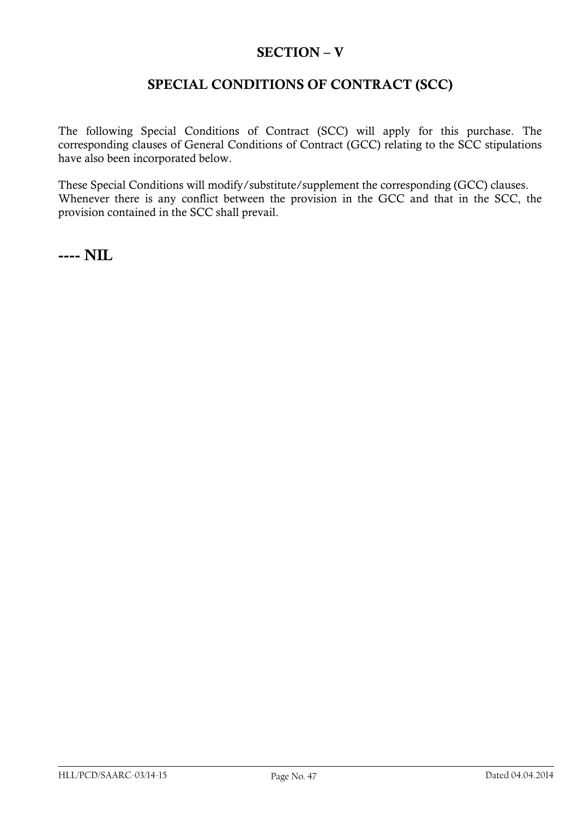## **SECTION – V**

## **SPECIAL CONDITIONS OF CONTRACT (SCC)**

The following Special Conditions of Contract (SCC) will apply for this purchase. The corresponding clauses of General Conditions of Contract (GCC) relating to the SCC stipulations have also been incorporated below.

These Special Conditions will modify/substitute/supplement the corresponding (GCC) clauses. Whenever there is any conflict between the provision in the GCC and that in the SCC, the provision contained in the SCC shall prevail.

**---- NIL**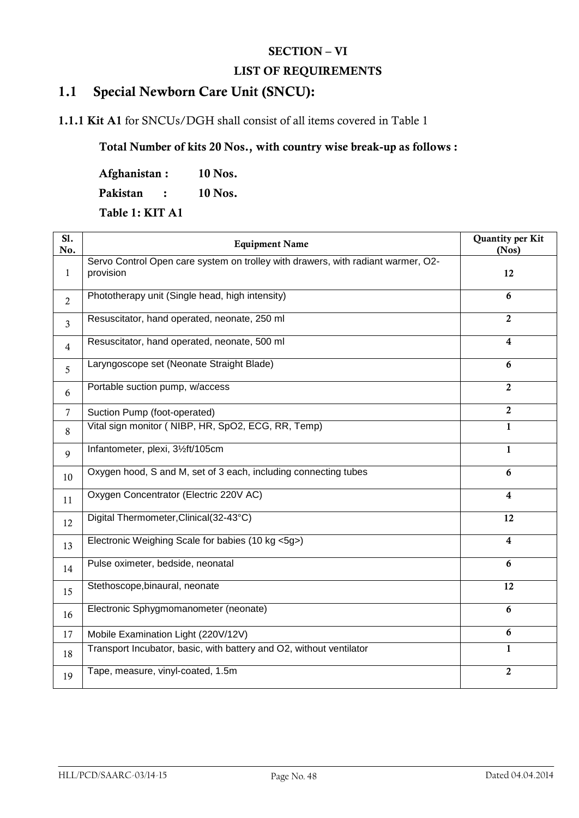## **SECTION – VI**

### **LIST OF REQUIREMENTS**

## **1.1 Special Newborn Care Unit (SNCU):**

## **1.1.1 Kit A1** for SNCUs/DGH shall consist of all items covered in Table 1

## **Total Number of kits 20 Nos., with country wise break-up as follows :**

**Afghanistan : 10 Nos.**

**Pakistan : 10 Nos.**

**Table 1: KIT A1** 

| SI.<br>No.     | <b>Equipment Name</b>                                                                         | Quantity per Kit<br>(Nos) |
|----------------|-----------------------------------------------------------------------------------------------|---------------------------|
| $\mathbf{1}$   | Servo Control Open care system on trolley with drawers, with radiant warmer, O2-<br>provision | 12                        |
| $\overline{2}$ | Phototherapy unit (Single head, high intensity)                                               | 6                         |
| $\overline{3}$ | Resuscitator, hand operated, neonate, 250 ml                                                  | $\overline{2}$            |
| $\overline{4}$ | Resuscitator, hand operated, neonate, 500 ml                                                  | $\overline{\mathbf{4}}$   |
| 5              | Laryngoscope set (Neonate Straight Blade)                                                     | 6                         |
| 6              | Portable suction pump, w/access                                                               | $\overline{2}$            |
| $\overline{7}$ | Suction Pump (foot-operated)                                                                  | $\overline{2}$            |
| 8              | Vital sign monitor (NIBP, HR, SpO2, ECG, RR, Temp)                                            | 1                         |
| 9              | Infantometer, plexi, 31/2ft/105cm                                                             | $\mathbf{1}$              |
| 10             | Oxygen hood, S and M, set of 3 each, including connecting tubes                               | 6                         |
| 11             | Oxygen Concentrator (Electric 220V AC)                                                        | 4                         |
| 12             | Digital Thermometer, Clinical (32-43°C)                                                       | 12                        |
| 13             | Electronic Weighing Scale for babies (10 kg <5g>)                                             | $\overline{\mathbf{4}}$   |
| 14             | Pulse oximeter, bedside, neonatal                                                             | 6                         |
| 15             | Stethoscope, binaural, neonate                                                                | 12                        |
| 16             | Electronic Sphygmomanometer (neonate)                                                         | 6                         |
| 17             | Mobile Examination Light (220V/12V)                                                           | 6                         |
| 18             | Transport Incubator, basic, with battery and O2, without ventilator                           | $\mathbf{1}$              |
| 19             | Tape, measure, vinyl-coated, 1.5m                                                             | $\overline{2}$            |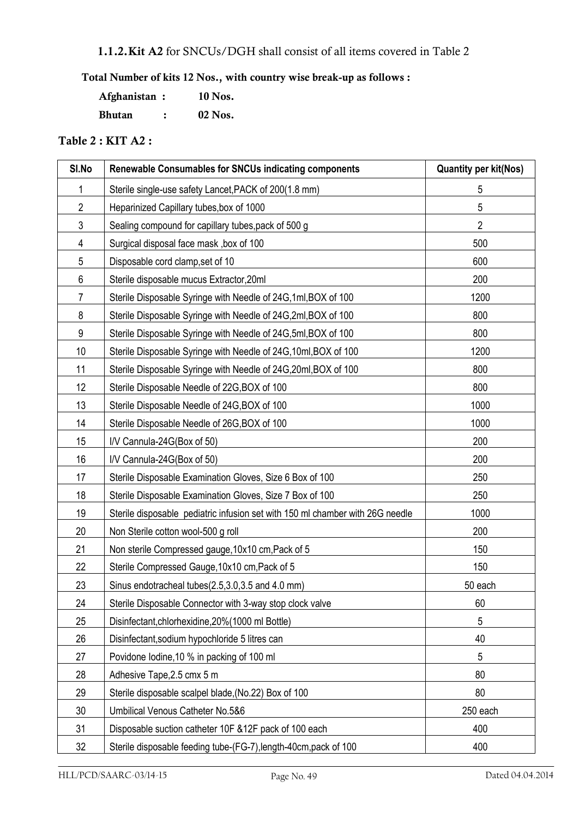## **1.1.2.Kit A2** for SNCUs/DGH shall consist of all items covered in Table 2

## **Total Number of kits 12 Nos., with country wise break-up as follows :**

| Afghanistan : | 10 Nos.   |
|---------------|-----------|
| <b>Bhutan</b> | $02$ Nos. |

## **Table 2 : KIT A2 :**

| SI.No          | Renewable Consumables for SNCUs indicating components                         | <b>Quantity per kit(Nos)</b> |
|----------------|-------------------------------------------------------------------------------|------------------------------|
| 1              | Sterile single-use safety Lancet, PACK of 200(1.8 mm)                         | 5                            |
| $\overline{2}$ | Heparinized Capillary tubes, box of 1000                                      | 5                            |
| 3              | Sealing compound for capillary tubes, pack of 500 g                           | $\overline{2}$               |
| 4              | Surgical disposal face mask, box of 100                                       | 500                          |
| 5              | Disposable cord clamp, set of 10                                              | 600                          |
| 6              | Sterile disposable mucus Extractor, 20ml                                      | 200                          |
| $\overline{7}$ | Sterile Disposable Syringe with Needle of 24G, 1ml, BOX of 100                | 1200                         |
| 8              | Sterile Disposable Syringe with Needle of 24G, 2ml, BOX of 100                | 800                          |
| 9              | Sterile Disposable Syringe with Needle of 24G, 5ml, BOX of 100                | 800                          |
| 10             | Sterile Disposable Syringe with Needle of 24G, 10ml, BOX of 100               | 1200                         |
| 11             | Sterile Disposable Syringe with Needle of 24G, 20ml, BOX of 100               | 800                          |
| 12             | Sterile Disposable Needle of 22G, BOX of 100                                  | 800                          |
| 13             | Sterile Disposable Needle of 24G, BOX of 100                                  | 1000                         |
| 14             | Sterile Disposable Needle of 26G, BOX of 100                                  | 1000                         |
| 15             | I/V Cannula-24G(Box of 50)                                                    | 200                          |
| 16             | I/V Cannula-24G(Box of 50)                                                    | 200                          |
| 17             | Sterile Disposable Examination Gloves, Size 6 Box of 100                      | 250                          |
| 18             | Sterile Disposable Examination Gloves, Size 7 Box of 100                      | 250                          |
| 19             | Sterile disposable pediatric infusion set with 150 ml chamber with 26G needle | 1000                         |
| 20             | Non Sterile cotton wool-500 g roll                                            | 200                          |
| 21             | Non sterile Compressed gauge, 10x10 cm, Pack of 5                             | 150                          |
| 22             | Sterile Compressed Gauge, 10x10 cm, Pack of 5                                 | 150                          |
| 23             | Sinus endotracheal tubes(2.5,3.0,3.5 and 4.0 mm)                              | 50 each                      |
| 24             | Sterile Disposable Connector with 3-way stop clock valve                      | 60                           |
| 25             | Disinfectant, chlorhexidine, 20% (1000 ml Bottle)                             | 5                            |
| 26             | Disinfectant, sodium hypochloride 5 litres can                                | 40                           |
| 27             | Povidone lodine, 10 % in packing of 100 ml                                    | 5                            |
| 28             | Adhesive Tape, 2.5 cmx 5 m                                                    | 80                           |
| 29             | Sterile disposable scalpel blade, (No.22) Box of 100                          | 80                           |
| 30             | Umbilical Venous Catheter No.5&6                                              | 250 each                     |
| 31             | Disposable suction catheter 10F & 12F pack of 100 each                        | 400                          |
| 32             | Sterile disposable feeding tube-(FG-7), length-40cm, pack of 100              | 400                          |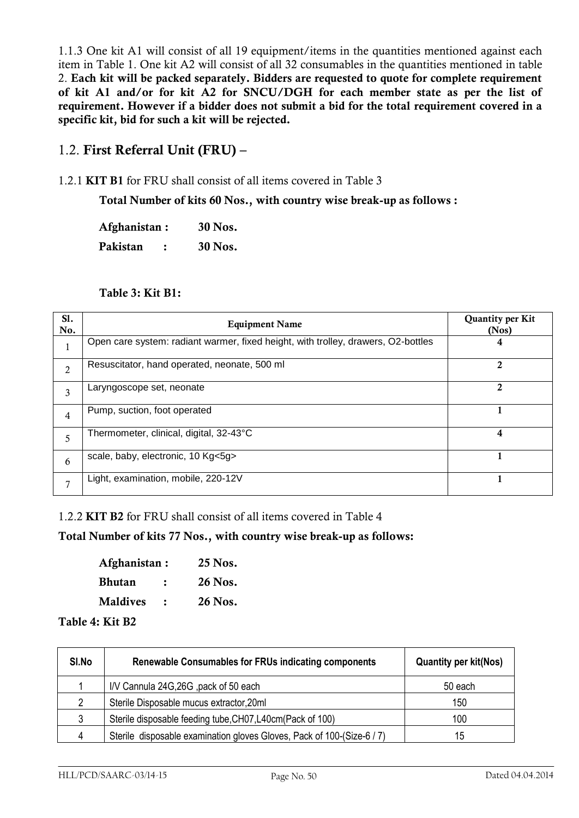1.1.3 One kit A1 will consist of all 19 equipment/items in the quantities mentioned against each item in Table 1. One kit A2 will consist of all 32 consumables in the quantities mentioned in table 2. **Each kit will be packed separately. Bidders are requested to quote for complete requirement of kit A1 and/or for kit A2 for SNCU/DGH for each member state as per the list of requirement. However if a bidder does not submit a bid for the total requirement covered in a specific kit, bid for such a kit will be rejected.**

## 1.2. **First Referral Unit (FRU) –**

### 1.2.1 **KIT B1** for FRU shall consist of all items covered in Table 3

**Total Number of kits 60 Nos., with country wise break-up as follows :** 

**Afghanistan : 30 Nos. Pakistan : 30 Nos.**

#### **Table 3: Kit B1:**

| S1.<br>No.     | <b>Equipment Name</b>                                                             | <b>Quantity per Kit</b><br>(Nos) |
|----------------|-----------------------------------------------------------------------------------|----------------------------------|
| л.             | Open care system: radiant warmer, fixed height, with trolley, drawers, O2-bottles | 4                                |
| $\overline{2}$ | Resuscitator, hand operated, neonate, 500 ml                                      | 2                                |
| 3              | Laryngoscope set, neonate                                                         | 2                                |
| $\overline{4}$ | Pump, suction, foot operated                                                      |                                  |
| 5              | Thermometer, clinical, digital, 32-43°C                                           | 4                                |
| 6              | scale, baby, electronic, 10 Kg<5g>                                                |                                  |
| 7              | Light, examination, mobile, 220-12V                                               |                                  |

1.2.2 **KIT B2** for FRU shall consist of all items covered in Table 4

### **Total Number of kits 77 Nos., with country wise break-up as follows:**

| Afghanistan:    |   | 25 Nos. |
|-----------------|---|---------|
| <b>Bhutan</b>   | : | 26 Nos. |
| <b>Maldives</b> |   | 26 Nos. |

### **Table 4: Kit B2**

| SI.No         | <b>Renewable Consumables for FRUs indicating components</b>            | <b>Quantity per kit(Nos)</b> |
|---------------|------------------------------------------------------------------------|------------------------------|
|               | I/V Cannula 24G, 26G, pack of 50 each                                  | 50 each                      |
| $\mathcal{P}$ | Sterile Disposable mucus extractor, 20ml                               | 150                          |
| 3             | Sterile disposable feeding tube, CH07, L40cm (Pack of 100)             | 100                          |
| 4             | Sterile disposable examination gloves Gloves, Pack of 100-(Size-6 / 7) | 15                           |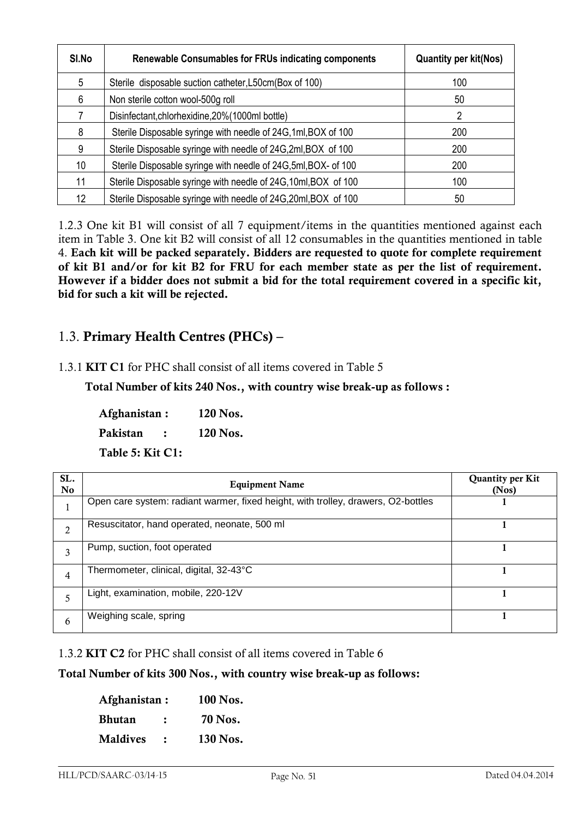| SI.No | Renewable Consumables for FRUs indicating components            | <b>Quantity per kit(Nos)</b> |
|-------|-----------------------------------------------------------------|------------------------------|
| 5     | Sterile disposable suction catheter, L50cm (Box of 100)         | 100                          |
| 6     | Non sterile cotton wool-500g roll                               | 50                           |
|       | Disinfectant, chlorhexidine, 20% (1000ml bottle)                | 2                            |
| 8     | Sterile Disposable syringe with needle of 24G, 1ml, BOX of 100  | 200                          |
| 9     | Sterile Disposable syringe with needle of 24G,2ml, BOX of 100   | 200                          |
| 10    | Sterile Disposable syringe with needle of 24G,5ml, BOX- of 100  | 200                          |
| 11    | Sterile Disposable syringe with needle of 24G, 10ml, BOX of 100 | 100                          |
| 12.   | Sterile Disposable syringe with needle of 24G, 20ml, BOX of 100 | 50                           |

1.2.3 One kit B1 will consist of all 7 equipment/items in the quantities mentioned against each item in Table 3. One kit B2 will consist of all 12 consumables in the quantities mentioned in table 4. **Each kit will be packed separately. Bidders are requested to quote for complete requirement of kit B1 and/or for kit B2 for FRU for each member state as per the list of requirement. However if a bidder does not submit a bid for the total requirement covered in a specific kit, bid for such a kit will be rejected.**

## 1.3. **Primary Health Centres (PHCs) –**

## 1.3.1 **KIT C1** for PHC shall consist of all items covered in Table 5

 **Total Number of kits 240 Nos., with country wise break-up as follows :** 

**Afghanistan : 120 Nos. Pakistan : 120 Nos.**

**Table 5: Kit C1:** 

| SL.<br><b>No</b> | <b>Equipment Name</b>                                                             | <b>Quantity per Kit</b><br>(Nos) |
|------------------|-----------------------------------------------------------------------------------|----------------------------------|
|                  | Open care system: radiant warmer, fixed height, with trolley, drawers, O2-bottles |                                  |
| $\overline{2}$   | Resuscitator, hand operated, neonate, 500 ml                                      |                                  |
| 3                | Pump, suction, foot operated                                                      |                                  |
| 4                | Thermometer, clinical, digital, 32-43°C                                           |                                  |
| 5                | Light, examination, mobile, 220-12V                                               |                                  |
| 6                | Weighing scale, spring                                                            |                                  |

1.3.2 **KIT C2** for PHC shall consist of all items covered in Table 6

### **Total Number of kits 300 Nos., with country wise break-up as follows:**

| Afghanistan:    |                | 100 Nos.       |
|-----------------|----------------|----------------|
| Bhutan          | $\ddot{\cdot}$ | <b>70 Nos.</b> |
| <b>Maldives</b> |                | 130 Nos.       |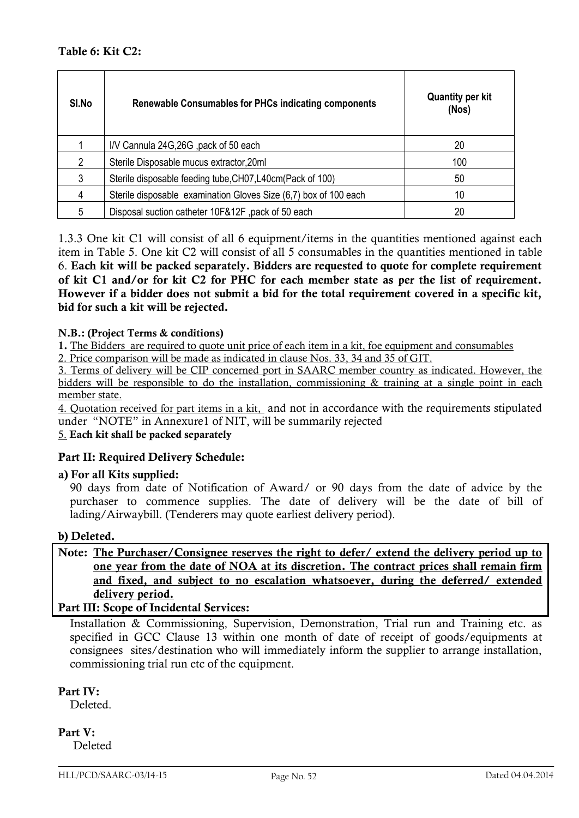| SI.No | <b>Renewable Consumables for PHCs indicating components</b>      | <b>Quantity per kit</b><br>(Nos) |
|-------|------------------------------------------------------------------|----------------------------------|
|       | I/V Cannula 24G, 26G, pack of 50 each                            | 20                               |
| 2     | Sterile Disposable mucus extractor, 20ml                         | 100                              |
| 3     | Sterile disposable feeding tube, CH07, L40cm (Pack of 100)       | 50                               |
| 4     | Sterile disposable examination Gloves Size (6,7) box of 100 each | 10                               |
| 5     | Disposal suction catheter 10F&12F, pack of 50 each               | 20                               |

1.3.3 One kit C1 will consist of all 6 equipment/items in the quantities mentioned against each item in Table 5. One kit C2 will consist of all 5 consumables in the quantities mentioned in table 6. **Each kit will be packed separately. Bidders are requested to quote for complete requirement of kit C1 and/or for kit C2 for PHC for each member state as per the list of requirement. However if a bidder does not submit a bid for the total requirement covered in a specific kit, bid for such a kit will be rejected.**

### **N.B.: (Project Terms & conditions)**

**1.** The Bidders are required to quote unit price of each item in a kit, foe equipment and consumables

2. Price comparison will be made as indicated in clause Nos. 33, 34 and 35 of GIT.

3. Terms of delivery will be CIP concerned port in SAARC member country as indicated. However, the bidders will be responsible to do the installation, commissioning & training at a single point in each member state.

4. Quotation received for part items in a kit, and not in accordance with the requirements stipulated under "NOTE" in Annexure1 of NIT, will be summarily rejected

### 5. **Each kit shall be packed separately**

### **Part II: Required Delivery Schedule:**

**a) For all Kits supplied:**

90 days from date of Notification of Award/ or 90 days from the date of advice by the purchaser to commence supplies. The date of delivery will be the date of bill of lading/Airwaybill. (Tenderers may quote earliest delivery period).

### **b) Deleted.**

**Note: The Purchaser/Consignee reserves the right to defer/ extend the delivery period up to one year from the date of NOA at its discretion. The contract prices shall remain firm and fixed, and subject to no escalation whatsoever, during the deferred/ extended delivery period.**

### **Part III: Scope of Incidental Services:**

Installation & Commissioning, Supervision, Demonstration, Trial run and Training etc. as specified in GCC Clause 13 within one month of date of receipt of goods/equipments at consignees sites/destination who will immediately inform the supplier to arrange installation, commissioning trial run etc of the equipment.

### **Part IV:**

Deleted.

**Part V:** Deleted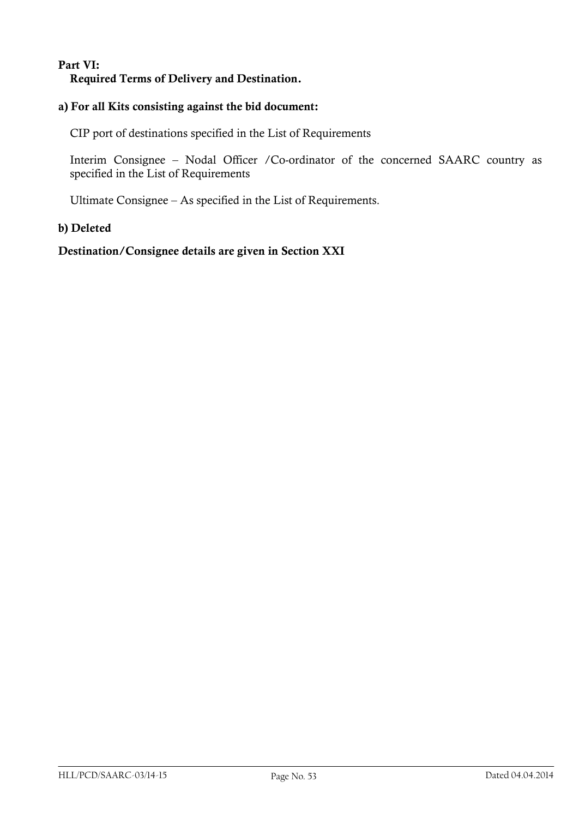## **Part VI: Required Terms of Delivery and Destination.**

## **a) For all Kits consisting against the bid document:**

CIP port of destinations specified in the List of Requirements

Interim Consignee – Nodal Officer /Co-ordinator of the concerned SAARC country as specified in the List of Requirements

Ultimate Consignee – As specified in the List of Requirements.

### **b) Deleted**

**Destination/Consignee details are given in Section XXI**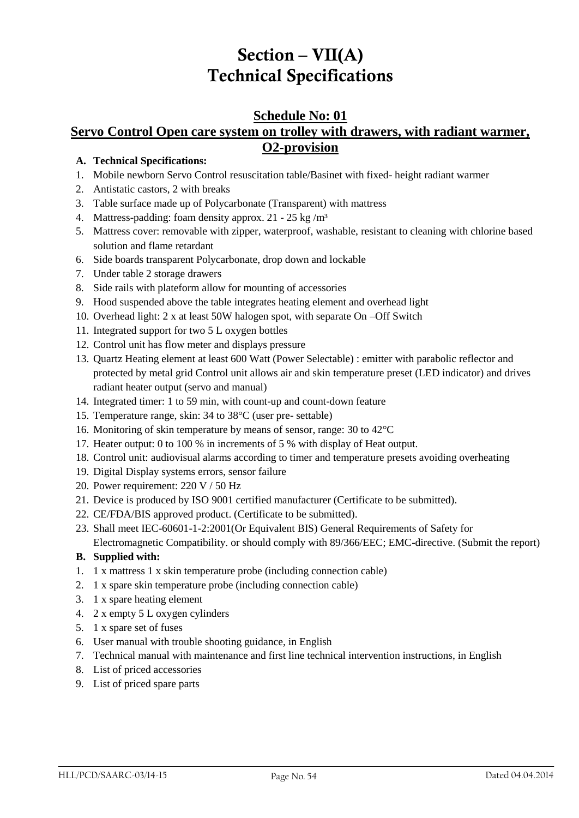# **Section – VII(A) Technical Specifications**

## **Schedule No: 01 Servo Control Open care system on trolley with drawers, with radiant warmer, O2-provision**

### **A. Technical Specifications:**

- 1. Mobile newborn Servo Control resuscitation table/Basinet with fixed- height radiant warmer
- 2. Antistatic castors, 2 with breaks
- 3. Table surface made up of Polycarbonate (Transparent) with mattress
- 4. Mattress-padding: foam density approx. 21 25 kg /m³
- 5. Mattress cover: removable with zipper, waterproof, washable, resistant to cleaning with chlorine based solution and flame retardant
- 6. Side boards transparent Polycarbonate, drop down and lockable
- 7. Under table 2 storage drawers
- 8. Side rails with plateform allow for mounting of accessories
- 9. Hood suspended above the table integrates heating element and overhead light
- 10. Overhead light: 2 x at least 50W halogen spot, with separate On –Off Switch
- 11. Integrated support for two 5 L oxygen bottles
- 12. Control unit has flow meter and displays pressure
- 13. Quartz Heating element at least 600 Watt (Power Selectable) : emitter with parabolic reflector and protected by metal grid Control unit allows air and skin temperature preset (LED indicator) and drives radiant heater output (servo and manual)
- 14. Integrated timer: 1 to 59 min, with count-up and count-down feature
- 15. Temperature range, skin: 34 to 38°C (user pre- settable)
- 16. Monitoring of skin temperature by means of sensor, range: 30 to 42°C
- 17. Heater output: 0 to 100 % in increments of 5 % with display of Heat output.
- 18. Control unit: audiovisual alarms according to timer and temperature presets avoiding overheating
- 19. Digital Display systems errors, sensor failure
- 20. Power requirement: 220 V / 50 Hz
- 21. Device is produced by ISO 9001 certified manufacturer (Certificate to be submitted).
- 22. CE/FDA/BIS approved product. (Certificate to be submitted).
- 23. Shall meet IEC-60601-1-2:2001(Or Equivalent BIS) General Requirements of Safety for
	- Electromagnetic Compatibility. or should comply with 89/366/EEC; EMC-directive. (Submit the report)

- 1. 1 x mattress 1 x skin temperature probe (including connection cable)
- 2. 1 x spare skin temperature probe (including connection cable)
- 3. 1 x spare heating element
- 4. 2 x empty 5 L oxygen cylinders
- 5. 1 x spare set of fuses
- 6. User manual with trouble shooting guidance, in English
- 7. Technical manual with maintenance and first line technical intervention instructions, in English
- 8. List of priced accessories
- 9. List of priced spare parts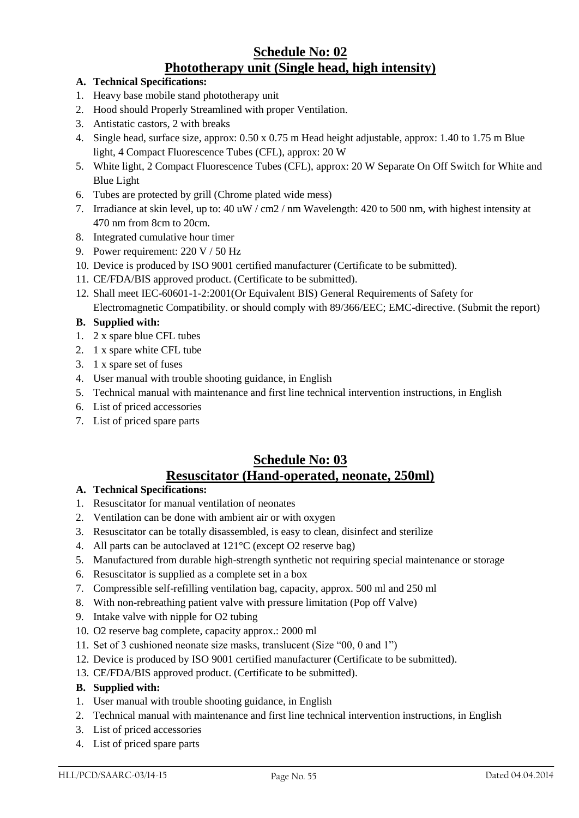## **Schedule No: 02 Phototherapy unit (Single head, high intensity)**

- **A. Technical Specifications:**
- 1. Heavy base mobile stand phototherapy unit
- 2. Hood should Properly Streamlined with proper Ventilation.
- 3. Antistatic castors, 2 with breaks
- 4. Single head, surface size, approx: 0.50 x 0.75 m Head height adjustable, approx: 1.40 to 1.75 m Blue light, 4 Compact Fluorescence Tubes (CFL), approx: 20 W
- 5. White light, 2 Compact Fluorescence Tubes (CFL), approx: 20 W Separate On Off Switch for White and Blue Light
- 6. Tubes are protected by grill (Chrome plated wide mess)
- 7. Irradiance at skin level, up to: 40 uW / cm2 / nm Wavelength: 420 to 500 nm, with highest intensity at 470 nm from 8cm to 20cm.
- 8. Integrated cumulative hour timer
- 9. Power requirement: 220 V / 50 Hz
- 10. Device is produced by ISO 9001 certified manufacturer (Certificate to be submitted).
- 11. CE/FDA/BIS approved product. (Certificate to be submitted).
- 12. Shall meet IEC-60601-1-2:2001(Or Equivalent BIS) General Requirements of Safety for Electromagnetic Compatibility. or should comply with 89/366/EEC; EMC-directive. (Submit the report)

### **B. Supplied with:**

- 1. 2 x spare blue CFL tubes
- 2. 1 x spare white CFL tube
- 3. 1 x spare set of fuses
- 4. User manual with trouble shooting guidance, in English
- 5. Technical manual with maintenance and first line technical intervention instructions, in English
- 6. List of priced accessories
- 7. List of priced spare parts

## **Schedule No: 03 Resuscitator (Hand-operated, neonate, 250ml)**

### **A. Technical Specifications:**

- 1. Resuscitator for manual ventilation of neonates
- 2. Ventilation can be done with ambient air or with oxygen
- 3. Resuscitator can be totally disassembled, is easy to clean, disinfect and sterilize
- 4. All parts can be autoclaved at 121°C (except O2 reserve bag)
- 5. Manufactured from durable high-strength synthetic not requiring special maintenance or storage
- 6. Resuscitator is supplied as a complete set in a box
- 7. Compressible self-refilling ventilation bag, capacity, approx. 500 ml and 250 ml
- 8. With non-rebreathing patient valve with pressure limitation (Pop off Valve)
- 9. Intake valve with nipple for O2 tubing
- 10. O2 reserve bag complete, capacity approx.: 2000 ml
- 11. Set of 3 cushioned neonate size masks, translucent (Size "00, 0 and 1")
- 12. Device is produced by ISO 9001 certified manufacturer (Certificate to be submitted).
- 13. CE/FDA/BIS approved product. (Certificate to be submitted).

- 1. User manual with trouble shooting guidance, in English
- 2. Technical manual with maintenance and first line technical intervention instructions, in English
- 3. List of priced accessories
- 4. List of priced spare parts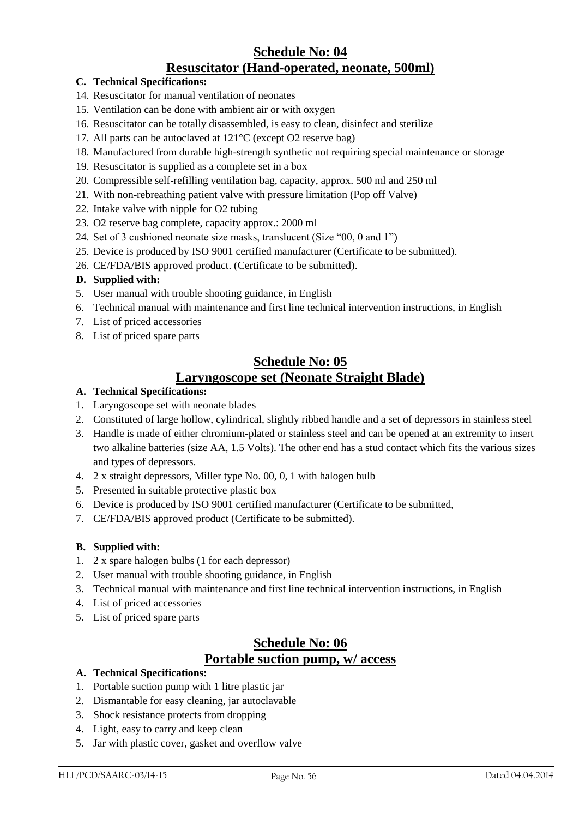## **Schedule No: 04 Resuscitator (Hand-operated, neonate, 500ml)**

### **C. Technical Specifications:**

- 14. Resuscitator for manual ventilation of neonates
- 15. Ventilation can be done with ambient air or with oxygen
- 16. Resuscitator can be totally disassembled, is easy to clean, disinfect and sterilize
- 17. All parts can be autoclaved at 121°C (except O2 reserve bag)
- 18. Manufactured from durable high-strength synthetic not requiring special maintenance or storage
- 19. Resuscitator is supplied as a complete set in a box
- 20. Compressible self-refilling ventilation bag, capacity, approx. 500 ml and 250 ml
- 21. With non-rebreathing patient valve with pressure limitation (Pop off Valve)
- 22. Intake valve with nipple for O2 tubing
- 23. O2 reserve bag complete, capacity approx.: 2000 ml
- 24. Set of 3 cushioned neonate size masks, translucent (Size "00, 0 and 1")
- 25. Device is produced by ISO 9001 certified manufacturer (Certificate to be submitted).
- 26. CE/FDA/BIS approved product. (Certificate to be submitted).

### **D. Supplied with:**

- 5. User manual with trouble shooting guidance, in English
- 6. Technical manual with maintenance and first line technical intervention instructions, in English
- 7. List of priced accessories
- 8. List of priced spare parts

### **Schedule No: 05 Laryngoscope set (Neonate Straight Blade)**

### **A. Technical Specifications:**

- 1. Laryngoscope set with neonate blades
- 2. Constituted of large hollow, cylindrical, slightly ribbed handle and a set of depressors in stainless steel
- 3. Handle is made of either chromium-plated or stainless steel and can be opened at an extremity to insert two alkaline batteries (size AA, 1.5 Volts). The other end has a stud contact which fits the various sizes and types of depressors.
- 4. 2 x straight depressors, Miller type No. 00, 0, 1 with halogen bulb
- 5. Presented in suitable protective plastic box
- 6. Device is produced by ISO 9001 certified manufacturer (Certificate to be submitted,
- 7. CE/FDA/BIS approved product (Certificate to be submitted).

### **B. Supplied with:**

- 1. 2 x spare halogen bulbs (1 for each depressor)
- 2. User manual with trouble shooting guidance, in English
- 3. Technical manual with maintenance and first line technical intervention instructions, in English
- 4. List of priced accessories
- 5. List of priced spare parts

## **Schedule No: 06 Portable suction pump, w/ access**

- 1. Portable suction pump with 1 litre plastic jar
- 2. Dismantable for easy cleaning, jar autoclavable
- 3. Shock resistance protects from dropping
- 4. Light, easy to carry and keep clean
- 5. Jar with plastic cover, gasket and overflow valve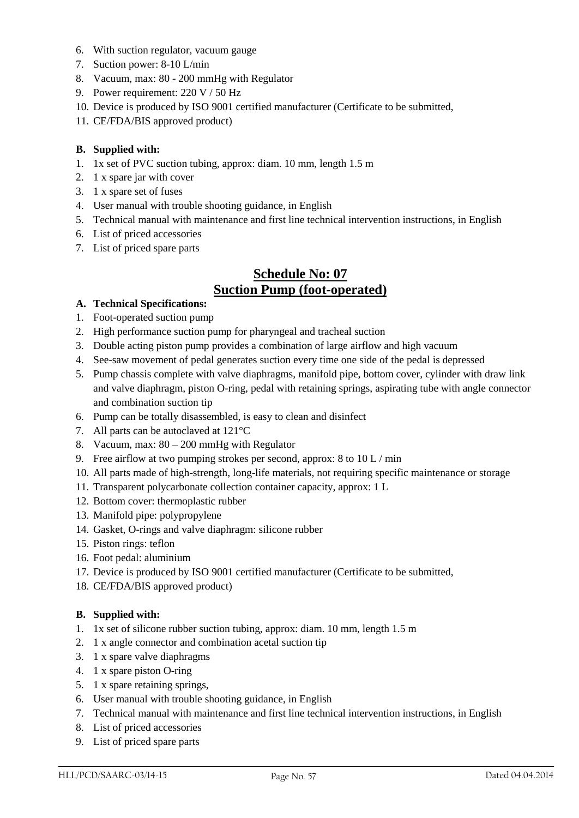- 6. With suction regulator, vacuum gauge
- 7. Suction power: 8-10 L/min
- 8. Vacuum, max: 80 200 mmHg with Regulator
- 9. Power requirement: 220 V / 50 Hz
- 10. Device is produced by ISO 9001 certified manufacturer (Certificate to be submitted,
- 11. CE/FDA/BIS approved product)

- 1. 1x set of PVC suction tubing, approx: diam. 10 mm, length 1.5 m
- 2. 1 x spare jar with cover
- 3. 1 x spare set of fuses
- 4. User manual with trouble shooting guidance, in English
- 5. Technical manual with maintenance and first line technical intervention instructions, in English
- 6. List of priced accessories
- 7. List of priced spare parts

## **Schedule No: 07 Suction Pump (foot-operated)**

#### **A. Technical Specifications:**

- 1. Foot-operated suction pump
- 2. High performance suction pump for pharyngeal and tracheal suction
- 3. Double acting piston pump provides a combination of large airflow and high vacuum
- 4. See-saw movement of pedal generates suction every time one side of the pedal is depressed
- 5. Pump chassis complete with valve diaphragms, manifold pipe, bottom cover, cylinder with draw link and valve diaphragm, piston O-ring, pedal with retaining springs, aspirating tube with angle connector and combination suction tip
- 6. Pump can be totally disassembled, is easy to clean and disinfect
- 7. All parts can be autoclaved at 121°C
- 8. Vacuum, max: 80 200 mmHg with Regulator
- 9. Free airflow at two pumping strokes per second, approx: 8 to 10 L / min
- 10. All parts made of high-strength, long-life materials, not requiring specific maintenance or storage
- 11. Transparent polycarbonate collection container capacity, approx: 1 L
- 12. Bottom cover: thermoplastic rubber
- 13. Manifold pipe: polypropylene
- 14. Gasket, O-rings and valve diaphragm: silicone rubber
- 15. Piston rings: teflon
- 16. Foot pedal: aluminium
- 17. Device is produced by ISO 9001 certified manufacturer (Certificate to be submitted,
- 18. CE/FDA/BIS approved product)

- 1. 1x set of silicone rubber suction tubing, approx: diam. 10 mm, length 1.5 m
- 2. 1 x angle connector and combination acetal suction tip
- 3. 1 x spare valve diaphragms
- 4. 1 x spare piston O-ring
- 5. 1 x spare retaining springs,
- 6. User manual with trouble shooting guidance, in English
- 7. Technical manual with maintenance and first line technical intervention instructions, in English
- 8. List of priced accessories
- 9. List of priced spare parts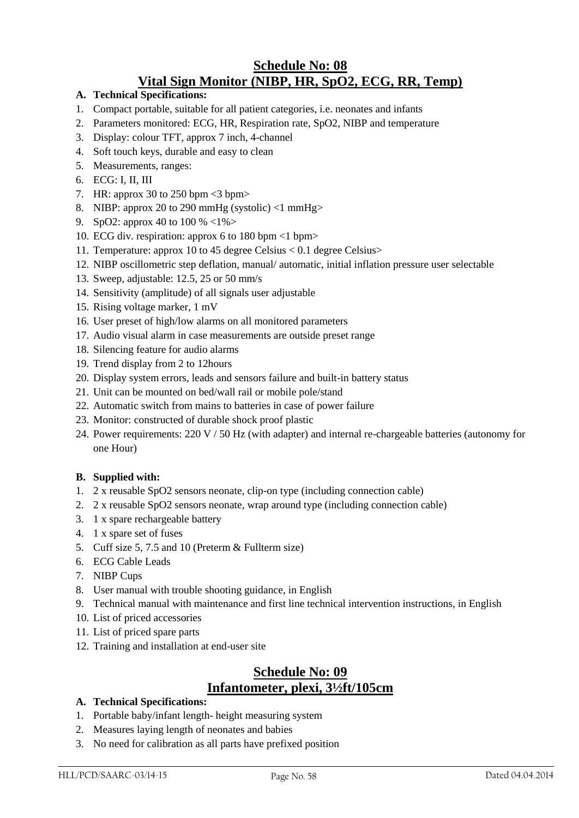## **Schedule No: 08 Vital Sign Monitor (NIBP, HR, SpO2, ECG, RR, Temp)**

- **A. Technical Specifications:**
- 1. Compact portable, suitable for all patient categories, i.e. neonates and infants
- 2. Parameters monitored: ECG, HR, Respiration rate, SpO2, NIBP and temperature
- 3. Display: colour TFT, approx 7 inch, 4-channel
- 4. Soft touch keys, durable and easy to clean
- 5. Measurements, ranges:
- 6. ECG: I, II, III
- 7. HR: approx 30 to 250 bpm  $\leq$ 3 bpm>
- 8. NIBP: approx 20 to 290 mmHg (systolic)  $\langle$ 1 mmHg $\rangle$
- 9. SpO2: approx 40 to 100 % <1%>
- 10. ECG div. respiration: approx 6 to 180 bpm <1 bpm>
- 11. Temperature: approx 10 to 45 degree Celsius < 0.1 degree Celsius>
- 12. NIBP oscillometric step deflation, manual/ automatic, initial inflation pressure user selectable
- 13. Sweep, adjustable: 12.5, 25 or 50 mm/s
- 14. Sensitivity (amplitude) of all signals user adjustable
- 15. Rising voltage marker, 1 mV
- 16. User preset of high/low alarms on all monitored parameters
- 17. Audio visual alarm in case measurements are outside preset range
- 18. Silencing feature for audio alarms
- 19. Trend display from 2 to 12hours
- 20. Display system errors, leads and sensors failure and built-in battery status
- 21. Unit can be mounted on bed/wall rail or mobile pole/stand
- 22. Automatic switch from mains to batteries in case of power failure
- 23. Monitor: constructed of durable shock proof plastic
- 24. Power requirements: 220 V / 50 Hz (with adapter) and internal re-chargeable batteries (autonomy for one Hour)

### **B. Supplied with:**

- 1. 2 x reusable SpO2 sensors neonate, clip-on type (including connection cable)
- 2. 2 x reusable SpO2 sensors neonate, wrap around type (including connection cable)
- 3. 1 x spare rechargeable battery
- 4. 1 x spare set of fuses
- 5. Cuff size 5, 7.5 and 10 (Preterm & Fullterm size)
- 6. ECG Cable Leads
- 7. NIBP Cups
- 8. User manual with trouble shooting guidance, in English
- 9. Technical manual with maintenance and first line technical intervention instructions, in English
- 10. List of priced accessories
- 11. List of priced spare parts
- 12. Training and installation at end-user site

## **Schedule No: 09 Infantometer, plexi, 3½ft/105cm**

- 1. Portable baby/infant length- height measuring system
- 2. Measures laying length of neonates and babies
- 3. No need for calibration as all parts have prefixed position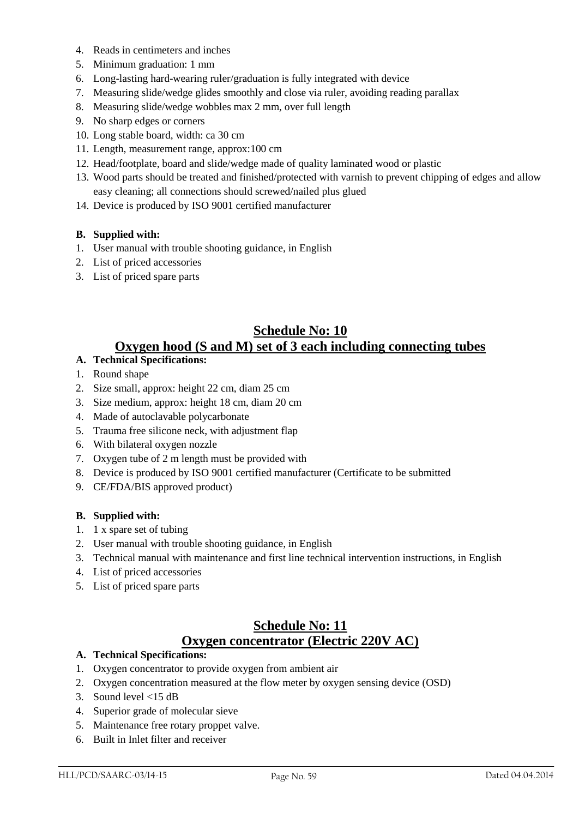- 4. Reads in centimeters and inches
- 5. Minimum graduation: 1 mm
- 6. Long-lasting hard-wearing ruler/graduation is fully integrated with device
- 7. Measuring slide/wedge glides smoothly and close via ruler, avoiding reading parallax
- 8. Measuring slide/wedge wobbles max 2 mm, over full length
- 9. No sharp edges or corners
- 10. Long stable board, width: ca 30 cm
- 11. Length, measurement range, approx:100 cm
- 12. Head/footplate, board and slide/wedge made of quality laminated wood or plastic
- 13. Wood parts should be treated and finished/protected with varnish to prevent chipping of edges and allow easy cleaning; all connections should screwed/nailed plus glued
- 14. Device is produced by ISO 9001 certified manufacturer

- 1. User manual with trouble shooting guidance, in English
- 2. List of priced accessories
- 3. List of priced spare parts

## **Schedule No: 10 Oxygen hood (S and M) set of 3 each including connecting tubes**

### **A. Technical Specifications:**

- 1. Round shape
- 2. Size small, approx: height 22 cm, diam 25 cm
- 3. Size medium, approx: height 18 cm, diam 20 cm
- 4. Made of autoclavable polycarbonate
- 5. Trauma free silicone neck, with adjustment flap
- 6. With bilateral oxygen nozzle
- 7. Oxygen tube of 2 m length must be provided with
- 8. Device is produced by ISO 9001 certified manufacturer (Certificate to be submitted
- 9. CE/FDA/BIS approved product)

#### **B. Supplied with:**

- 1. 1 x spare set of tubing
- 2. User manual with trouble shooting guidance, in English
- 3. Technical manual with maintenance and first line technical intervention instructions, in English
- 4. List of priced accessories
- 5. List of priced spare parts

## **Schedule No: 11 Oxygen concentrator (Electric 220V AC)**

- 1. Oxygen concentrator to provide oxygen from ambient air
- 2. Oxygen concentration measured at the flow meter by oxygen sensing device (OSD)
- 3. Sound level <15 dB
- 4. Superior grade of molecular sieve
- 5. Maintenance free rotary proppet valve.
- 6. Built in Inlet filter and receiver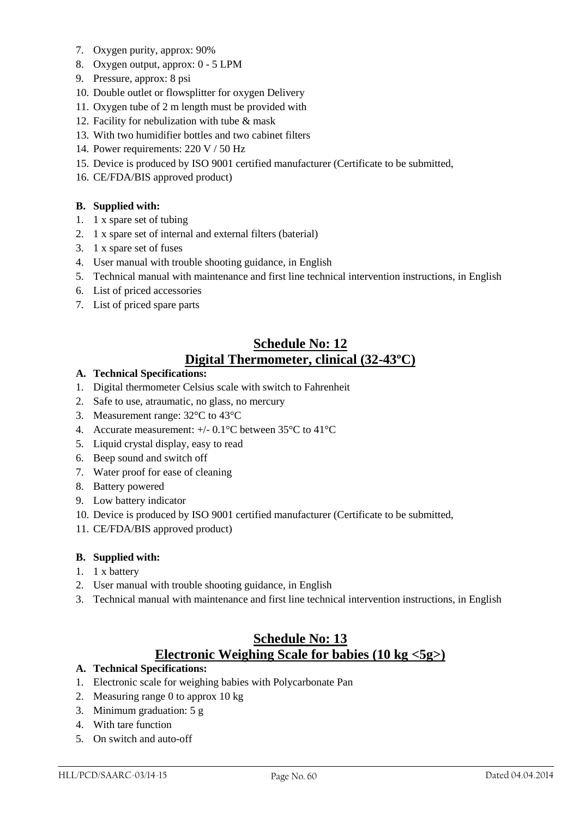- 7. Oxygen purity, approx: 90%
- 8. Oxygen output, approx: 0 5 LPM
- 9. Pressure, approx: 8 psi
- 10. Double outlet or flowsplitter for oxygen Delivery
- 11. Oxygen tube of 2 m length must be provided with
- 12. Facility for nebulization with tube & mask
- 13. With two humidifier bottles and two cabinet filters
- 14. Power requirements: 220 V / 50 Hz
- 15. Device is produced by ISO 9001 certified manufacturer (Certificate to be submitted,
- 16. CE/FDA/BIS approved product)

- 1. 1 x spare set of tubing
- 2. 1 x spare set of internal and external filters (baterial)
- 3. 1 x spare set of fuses
- 4. User manual with trouble shooting guidance, in English
- 5. Technical manual with maintenance and first line technical intervention instructions, in English
- 6. List of priced accessories
- 7. List of priced spare parts

## **Schedule No: 12 Digital Thermometer, clinical (32-43ºC)**

#### **A. Technical Specifications:**

- 1. Digital thermometer Celsius scale with switch to Fahrenheit
- 2. Safe to use, atraumatic, no glass, no mercury
- 3. Measurement range: 32°C to 43°C
- 4. Accurate measurement: +/- 0.1°C between 35°C to 41°C
- 5. Liquid crystal display, easy to read
- 6. Beep sound and switch off
- 7. Water proof for ease of cleaning
- 8. Battery powered
- 9. Low battery indicator
- 10. Device is produced by ISO 9001 certified manufacturer (Certificate to be submitted,
- 11. CE/FDA/BIS approved product)

#### **B. Supplied with:**

- 1. 1 x battery
- 2. User manual with trouble shooting guidance, in English
- 3. Technical manual with maintenance and first line technical intervention instructions, in English

## **Schedule No: 13 Electronic Weighing Scale for babies (10 kg <5g>)**

- 1. Electronic scale for weighing babies with Polycarbonate Pan
- 2. Measuring range 0 to approx 10 kg
- 3. Minimum graduation: 5 g
- 4. With tare function
- 5. On switch and auto-off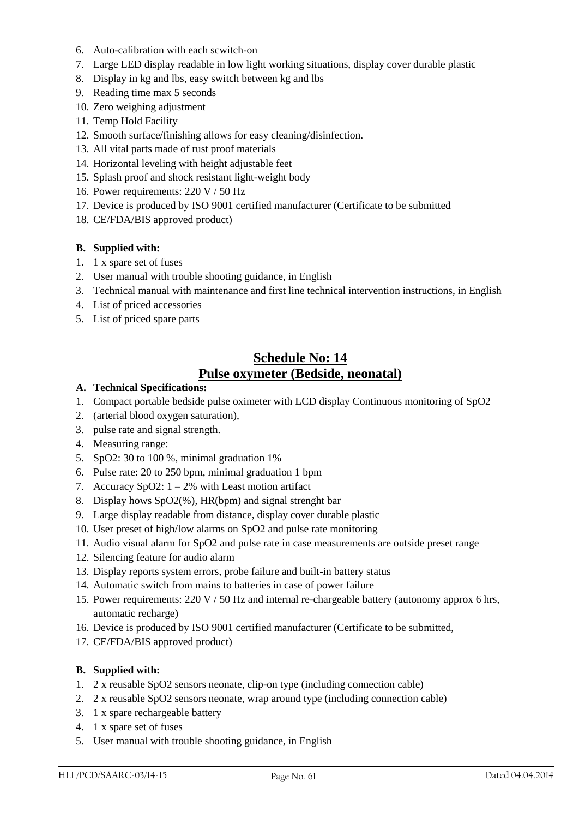- 6. Auto-calibration with each scwitch-on
- 7. Large LED display readable in low light working situations, display cover durable plastic
- 8. Display in kg and lbs, easy switch between kg and lbs
- 9. Reading time max 5 seconds
- 10. Zero weighing adjustment
- 11. Temp Hold Facility
- 12. Smooth surface/finishing allows for easy cleaning/disinfection.
- 13. All vital parts made of rust proof materials
- 14. Horizontal leveling with height adjustable feet
- 15. Splash proof and shock resistant light-weight body
- 16. Power requirements: 220 V / 50 Hz
- 17. Device is produced by ISO 9001 certified manufacturer (Certificate to be submitted
- 18. CE/FDA/BIS approved product)

- 1. 1 x spare set of fuses
- 2. User manual with trouble shooting guidance, in English
- 3. Technical manual with maintenance and first line technical intervention instructions, in English
- 4. List of priced accessories
- 5. List of priced spare parts

## **Schedule No: 14 Pulse oxymeter (Bedside, neonatal)**

- **A. Technical Specifications:**
- 1. Compact portable bedside pulse oximeter with LCD display Continuous monitoring of SpO2
- 2. (arterial blood oxygen saturation),
- 3. pulse rate and signal strength.
- 4. Measuring range:
- 5. SpO2: 30 to 100 %, minimal graduation 1%
- 6. Pulse rate: 20 to 250 bpm, minimal graduation 1 bpm
- 7. Accuracy SpO2:  $1 2\%$  with Least motion artifact
- 8. Display hows SpO2(%), HR(bpm) and signal strenght bar
- 9. Large display readable from distance, display cover durable plastic
- 10. User preset of high/low alarms on SpO2 and pulse rate monitoring
- 11. Audio visual alarm for SpO2 and pulse rate in case measurements are outside preset range
- 12. Silencing feature for audio alarm
- 13. Display reports system errors, probe failure and built-in battery status
- 14. Automatic switch from mains to batteries in case of power failure
- 15. Power requirements: 220 V / 50 Hz and internal re-chargeable battery (autonomy approx 6 hrs, automatic recharge)
- 16. Device is produced by ISO 9001 certified manufacturer (Certificate to be submitted,
- 17. CE/FDA/BIS approved product)

- 1. 2 x reusable SpO2 sensors neonate, clip-on type (including connection cable)
- 2. 2 x reusable SpO2 sensors neonate, wrap around type (including connection cable)
- 3. 1 x spare rechargeable battery
- 4. 1 x spare set of fuses
- 5. User manual with trouble shooting guidance, in English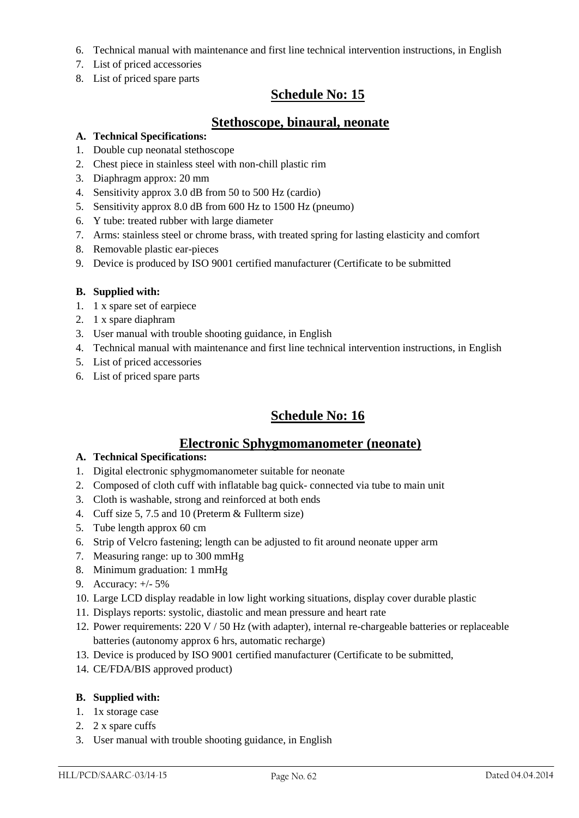- 6. Technical manual with maintenance and first line technical intervention instructions, in English
- 7. List of priced accessories
- 8. List of priced spare parts

## **Schedule No: 15**

### **Stethoscope, binaural, neonate**

### **A. Technical Specifications:**

- 1. Double cup neonatal stethoscope
- 2. Chest piece in stainless steel with non-chill plastic rim
- 3. Diaphragm approx: 20 mm
- 4. Sensitivity approx 3.0 dB from 50 to 500 Hz (cardio)
- 5. Sensitivity approx 8.0 dB from 600 Hz to 1500 Hz (pneumo)
- 6. Y tube: treated rubber with large diameter
- 7. Arms: stainless steel or chrome brass, with treated spring for lasting elasticity and comfort
- 8. Removable plastic ear-pieces
- 9. Device is produced by ISO 9001 certified manufacturer (Certificate to be submitted

#### **B. Supplied with:**

- 1. 1 x spare set of earpiece
- 2. 1 x spare diaphram
- 3. User manual with trouble shooting guidance, in English
- 4. Technical manual with maintenance and first line technical intervention instructions, in English
- 5. List of priced accessories
- 6. List of priced spare parts

## **Schedule No: 16**

### **Electronic Sphygmomanometer (neonate)**

#### **A. Technical Specifications:**

- 1. Digital electronic sphygmomanometer suitable for neonate
- 2. Composed of cloth cuff with inflatable bag quick- connected via tube to main unit
- 3. Cloth is washable, strong and reinforced at both ends
- 4. Cuff size 5, 7.5 and 10 (Preterm & Fullterm size)
- 5. Tube length approx 60 cm
- 6. Strip of Velcro fastening; length can be adjusted to fit around neonate upper arm
- 7. Measuring range: up to 300 mmHg
- 8. Minimum graduation: 1 mmHg
- 9. Accuracy: +/- 5%
- 10. Large LCD display readable in low light working situations, display cover durable plastic
- 11. Displays reports: systolic, diastolic and mean pressure and heart rate
- 12. Power requirements: 220 V / 50 Hz (with adapter), internal re-chargeable batteries or replaceable batteries (autonomy approx 6 hrs, automatic recharge)
- 13. Device is produced by ISO 9001 certified manufacturer (Certificate to be submitted,
- 14. CE/FDA/BIS approved product)

- 1. 1x storage case
- 2. 2 x spare cuffs
- 3. User manual with trouble shooting guidance, in English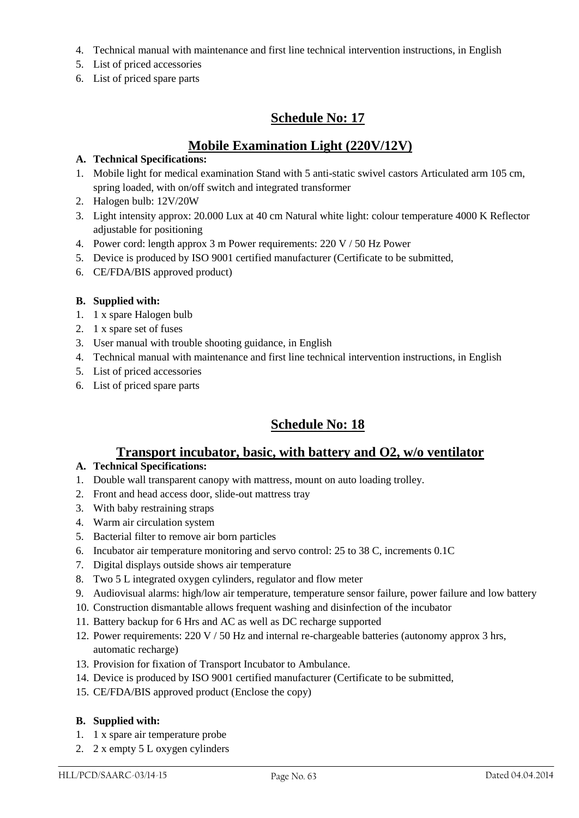- 4. Technical manual with maintenance and first line technical intervention instructions, in English
- 5. List of priced accessories
- 6. List of priced spare parts

## **Schedule No: 17**

## **Mobile Examination Light (220V/12V)**

### **A. Technical Specifications:**

- 1. Mobile light for medical examination Stand with 5 anti-static swivel castors Articulated arm 105 cm, spring loaded, with on/off switch and integrated transformer
- 2. Halogen bulb: 12V/20W
- 3. Light intensity approx: 20.000 Lux at 40 cm Natural white light: colour temperature 4000 K Reflector adjustable for positioning
- 4. Power cord: length approx 3 m Power requirements: 220 V / 50 Hz Power
- 5. Device is produced by ISO 9001 certified manufacturer (Certificate to be submitted,
- 6. CE/FDA/BIS approved product)

### **B. Supplied with:**

- 1. 1 x spare Halogen bulb
- 2. 1 x spare set of fuses
- 3. User manual with trouble shooting guidance, in English
- 4. Technical manual with maintenance and first line technical intervention instructions, in English
- 5. List of priced accessories
- 6. List of priced spare parts

## **Schedule No: 18**

## **Transport incubator, basic, with battery and O2, w/o ventilator**

### **A. Technical Specifications:**

- 1. Double wall transparent canopy with mattress, mount on auto loading trolley.
- 2. Front and head access door, slide-out mattress tray
- 3. With baby restraining straps
- 4. Warm air circulation system
- 5. Bacterial filter to remove air born particles
- 6. Incubator air temperature monitoring and servo control: 25 to 38 C, increments 0.1C
- 7. Digital displays outside shows air temperature
- 8. Two 5 L integrated oxygen cylinders, regulator and flow meter
- 9. Audiovisual alarms: high/low air temperature, temperature sensor failure, power failure and low battery
- 10. Construction dismantable allows frequent washing and disinfection of the incubator
- 11. Battery backup for 6 Hrs and AC as well as DC recharge supported
- 12. Power requirements: 220 V / 50 Hz and internal re-chargeable batteries (autonomy approx 3 hrs, automatic recharge)
- 13. Provision for fixation of Transport Incubator to Ambulance.
- 14. Device is produced by ISO 9001 certified manufacturer (Certificate to be submitted,
- 15. CE/FDA/BIS approved product (Enclose the copy)

- 1. 1 x spare air temperature probe
- 2. 2 x empty 5 L oxygen cylinders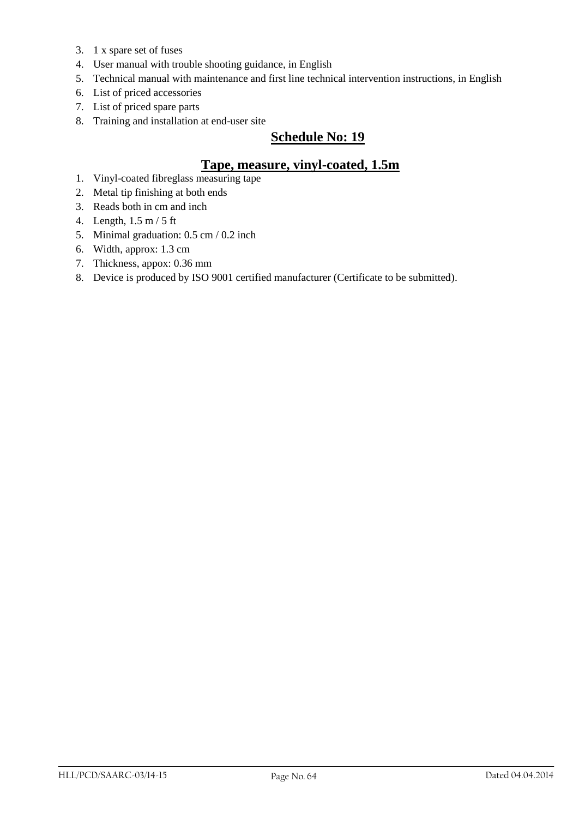- 3. 1 x spare set of fuses
- 4. User manual with trouble shooting guidance, in English
- 5. Technical manual with maintenance and first line technical intervention instructions, in English
- 6. List of priced accessories
- 7. List of priced spare parts
- 8. Training and installation at end-user site

## **Schedule No: 19**

## **Tape, measure, vinyl-coated, 1.5m**

- 1. Vinyl-coated fibreglass measuring tape
- 2. Metal tip finishing at both ends
- 3. Reads both in cm and inch
- 4. Length, 1.5 m / 5 ft
- 5. Minimal graduation: 0.5 cm / 0.2 inch
- 6. Width, approx: 1.3 cm
- 7. Thickness, appox: 0.36 mm
- 8. Device is produced by ISO 9001 certified manufacturer (Certificate to be submitted).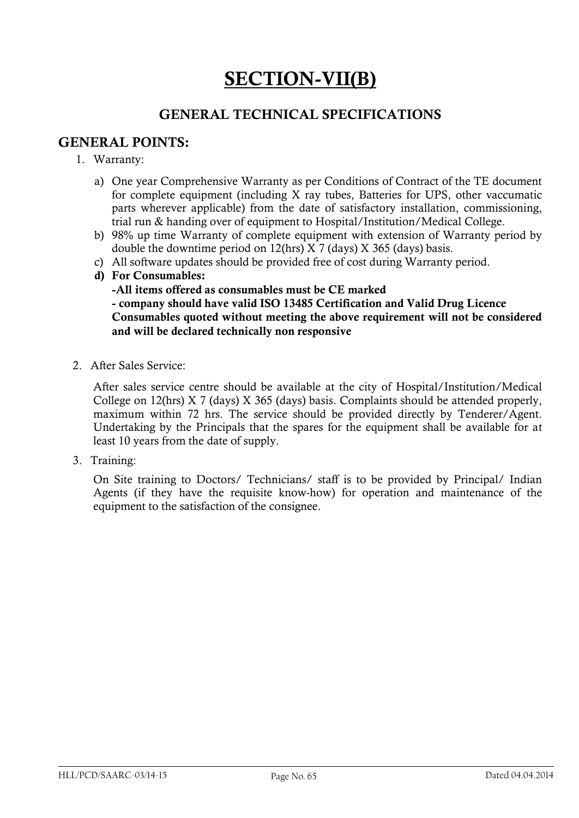# **SECTION-VII(B)**

## **GENERAL TECHNICAL SPECIFICATIONS**

## **GENERAL POINTS:**

- 1. Warranty:
	- a) One year Comprehensive Warranty as per Conditions of Contract of the TE document for complete equipment (including X ray tubes, Batteries for UPS, other vaccumatic parts wherever applicable) from the date of satisfactory installation, commissioning, trial run & handing over of equipment to Hospital/Institution/Medical College.
	- b) 98% up time Warranty of complete equipment with extension of Warranty period by double the downtime period on 12(hrs) X 7 (days) X 365 (days) basis.
	- c) All software updates should be provided free of cost during Warranty period.
	- **d) For Consumables:**

**-All items offered as consumables must be CE marked - company should have valid ISO 13485 Certification and Valid Drug Licence Consumables quoted without meeting the above requirement will not be considered and will be declared technically non responsive**

2. After Sales Service:

After sales service centre should be available at the city of Hospital/Institution/Medical College on 12(hrs) X 7 (days) X 365 (days) basis. Complaints should be attended properly, maximum within 72 hrs. The service should be provided directly by Tenderer/Agent. Undertaking by the Principals that the spares for the equipment shall be available for at least 10 years from the date of supply.

3. Training:

On Site training to Doctors/ Technicians/ staff is to be provided by Principal/ Indian Agents (if they have the requisite know-how) for operation and maintenance of the equipment to the satisfaction of the consignee.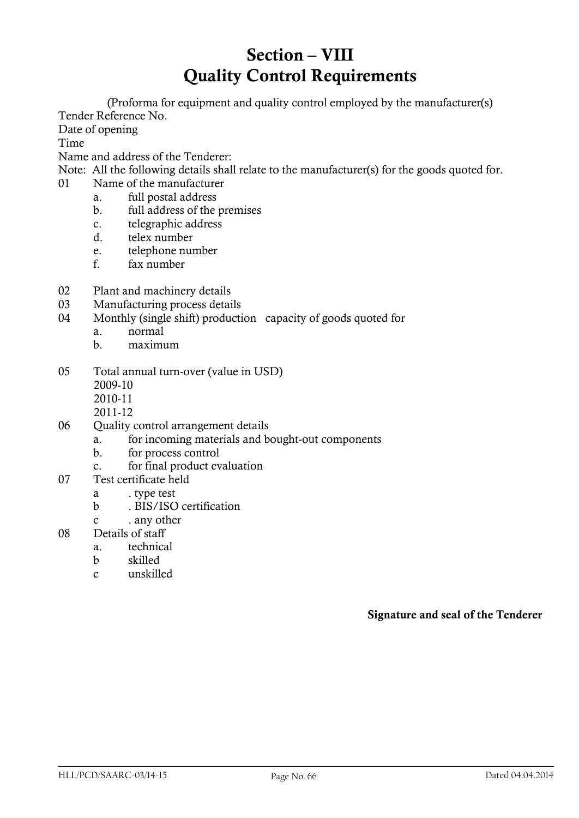# **Section – VIII Quality Control Requirements**

(Proforma for equipment and quality control employed by the manufacturer(s) Tender Reference No.

Date of opening

Time

Name and address of the Tenderer:

- Note: All the following details shall relate to the manufacturer(s) for the goods quoted for.
- 01 Name of the manufacturer
	- a. full postal address
	- b. full address of the premises
	- c. telegraphic address
	- d. telex number
	- e. telephone number
	- f. fax number
- 02 Plant and machinery details
- 03 Manufacturing process details
- 04 Monthly (single shift) production capacity of goods quoted for
	- a. normal
	- b. maximum
- 05 Total annual turn-over (value in USD)
	- 2009-10
	- 2010-11
	- 2011-12
- 06 Quality control arrangement details
	- a. for incoming materials and bought-out components
		- b. for process control
		- c. for final product evaluation
- 07 Test certificate held
	- a . type test
	- b . BIS/ISO certification
	- c . any other
- 08 Details of staff
	- a. technical
	- b skilled
	- c unskilled

**Signature and seal of the Tenderer**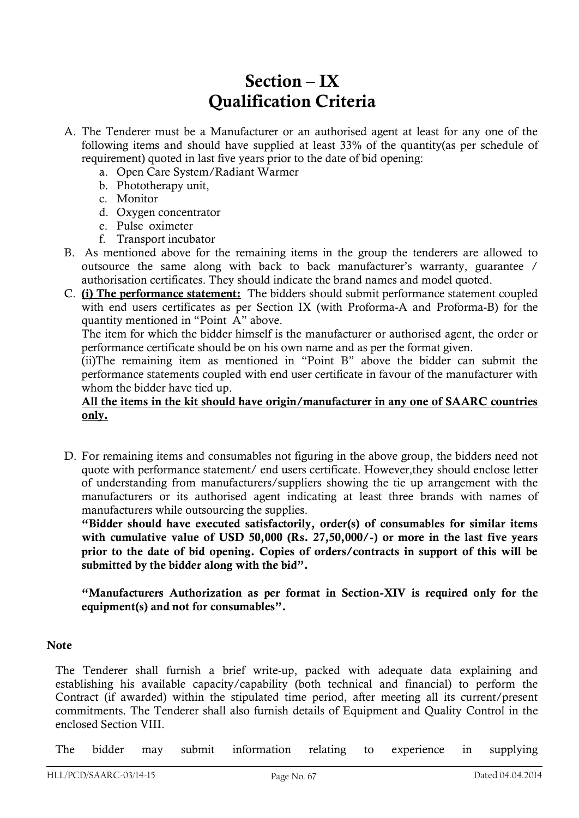# **Section – IX Qualification Criteria**

- A. The Tenderer must be a Manufacturer or an authorised agent at least for any one of the following items and should have supplied at least 33% of the quantity(as per schedule of requirement) quoted in last five years prior to the date of bid opening:
	- a. Open Care System/Radiant Warmer
	- b. Phototherapy unit,
	- c. Monitor
	- d. Oxygen concentrator
	- e. Pulse oximeter
	- f. Transport incubator
- B. As mentioned above for the remaining items in the group the tenderers are allowed to outsource the same along with back to back manufacturer"s warranty, guarantee / authorisation certificates. They should indicate the brand names and model quoted.
- C. **(i) The performance statement:** The bidders should submit performance statement coupled with end users certificates as per Section IX (with Proforma-A and Proforma-B) for the quantity mentioned in "Point A" above.

The item for which the bidder himself is the manufacturer or authorised agent, the order or performance certificate should be on his own name and as per the format given.

(ii)The remaining item as mentioned in "Point B" above the bidder can submit the performance statements coupled with end user certificate in favour of the manufacturer with whom the bidder have tied up.

### **All the items in the kit should have origin/manufacturer in any one of SAARC countries only.**

D. For remaining items and consumables not figuring in the above group, the bidders need not quote with performance statement/ end users certificate. However,they should enclose letter of understanding from manufacturers/suppliers showing the tie up arrangement with the manufacturers or its authorised agent indicating at least three brands with names of manufacturers while outsourcing the supplies.

**"Bidder should have executed satisfactorily, order(s) of consumables for similar items with cumulative value of USD 50,000 (Rs. 27,50,000/-) or more in the last five years prior to the date of bid opening. Copies of orders/contracts in support of this will be**  submitted by the bidder along with the bid".

**"Manufacturers Authorization as per format in Section-XIV is required only for the equipment(s) and not for consumables".**

### **Note**

The Tenderer shall furnish a brief write-up, packed with adequate data explaining and establishing his available capacity/capability (both technical and financial) to perform the Contract (if awarded) within the stipulated time period, after meeting all its current/present commitments. The Tenderer shall also furnish details of Equipment and Quality Control in the enclosed Section VIII.

The bidder may submit information relating to experience in supplying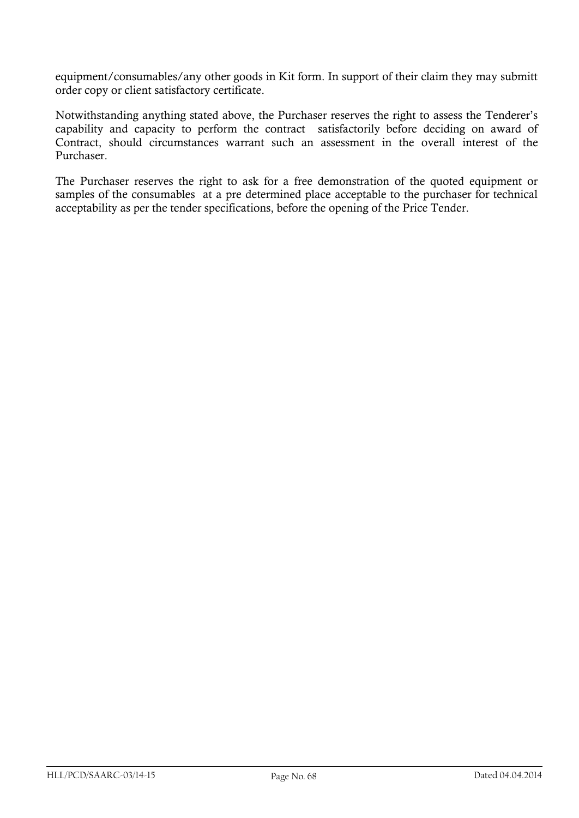equipment/consumables/any other goods in Kit form. In support of their claim they may submitt order copy or client satisfactory certificate.

Notwithstanding anything stated above, the Purchaser reserves the right to assess the Tenderer"s capability and capacity to perform the contract satisfactorily before deciding on award of Contract, should circumstances warrant such an assessment in the overall interest of the Purchaser.

The Purchaser reserves the right to ask for a free demonstration of the quoted equipment or samples of the consumables at a pre determined place acceptable to the purchaser for technical acceptability as per the tender specifications, before the opening of the Price Tender.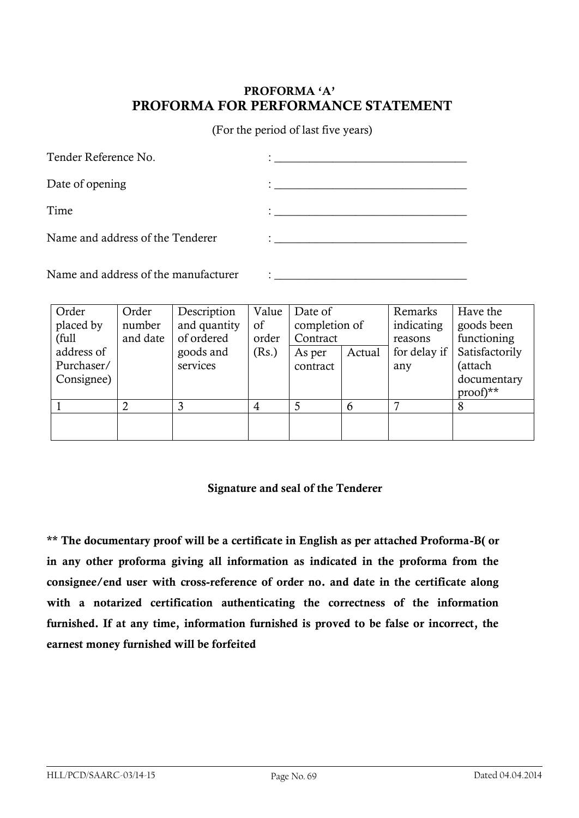## **PROFORMA "A" PROFORMA FOR PERFORMANCE STATEMENT**

(For the period of last five years)

| Tender Reference No.             | <u> 1980 - John Stone, amerikansk politiker (</u>               |
|----------------------------------|-----------------------------------------------------------------|
| Date of opening                  | <u> 1989 - Andrea Andrew Maria (h. 1989).</u>                   |
| Time                             |                                                                 |
| Name and address of the Tenderer | $\ddot{\cdot}$ . The contract of the contract of $\ddot{\cdot}$ |
|                                  |                                                                 |

Name and address of the manufacturer  $\cdot$ 

| Order      | Order    | Description  | Value | Date of       |        | Remarks      | Have the       |
|------------|----------|--------------|-------|---------------|--------|--------------|----------------|
| placed by  | number   | and quantity | of    | completion of |        | indicating   | goods been     |
| (full      | and date | of ordered   | order | Contract      |        | reasons      | functioning    |
| address of |          | goods and    | (Rs.) | As per        | Actual | for delay if | Satisfactorily |
| Purchaser/ |          | services     |       | contract      |        | any          | (attach        |
| Consignee) |          |              |       |               |        |              | documentary    |
|            |          |              |       |               |        |              | $proof)**$     |
|            |          |              | 4     | 5             | 6      |              |                |
|            |          |              |       |               |        |              |                |
|            |          |              |       |               |        |              |                |

### **Signature and seal of the Tenderer**

**\*\* The documentary proof will be a certificate in English as per attached Proforma-B( or in any other proforma giving all information as indicated in the proforma from the consignee/end user with cross-reference of order no. and date in the certificate along with a notarized certification authenticating the correctness of the information furnished. If at any time, information furnished is proved to be false or incorrect, the earnest money furnished will be forfeited**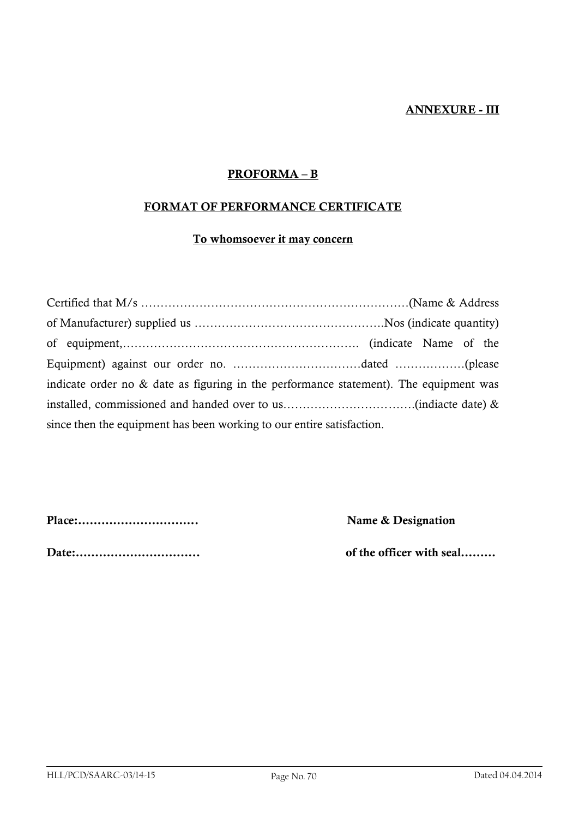### **ANNEXURE - III**

### **PROFORMA – B**

### **FORMAT OF PERFORMANCE CERTIFICATE**

## **To whomsoever it may concern**

| indicate order no $\&$ date as figuring in the performance statement). The equipment was |  |  |  |  |  |  |
|------------------------------------------------------------------------------------------|--|--|--|--|--|--|
|                                                                                          |  |  |  |  |  |  |
| since then the equipment has been working to our entire satisfaction.                    |  |  |  |  |  |  |

**Place:…………………………. Name & Designation**

**Date:………………………….. of the officer with seal………**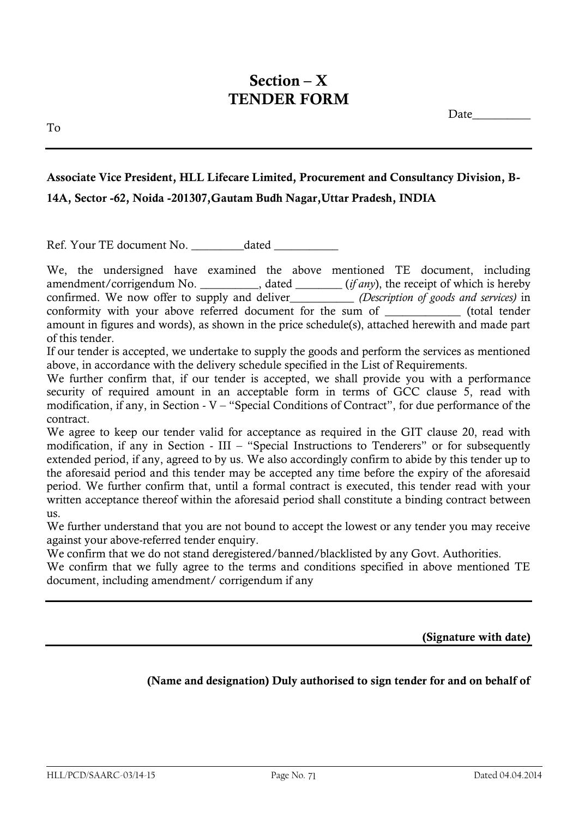## **Section – X TENDER FORM**

Date\_\_\_\_\_\_\_\_\_\_

## **Associate Vice President, HLL Lifecare Limited, Procurement and Consultancy Division, B-14A, Sector -62, Noida -201307,Gautam Budh Nagar,Uttar Pradesh, INDIA**

Ref. Your TE document No. \_\_\_\_\_\_\_\_\_dated \_\_\_\_\_\_\_\_\_\_\_

We, the undersigned have examined the above mentioned TE document, including amendment/corrigendum No. \_\_\_\_\_\_\_\_\_\_, dated \_\_\_\_\_\_\_\_ (*if any*), the receipt of which is hereby confirmed. We now offer to supply and deliver\_\_\_\_\_\_\_\_\_\_\_ *(Description of goods and services)* in conformity with your above referred document for the sum of \_\_\_\_\_\_\_\_\_\_\_\_\_ (total tender amount in figures and words), as shown in the price schedule(s), attached herewith and made part of this tender.

If our tender is accepted, we undertake to supply the goods and perform the services as mentioned above, in accordance with the delivery schedule specified in the List of Requirements.

We further confirm that, if our tender is accepted, we shall provide you with a performance security of required amount in an acceptable form in terms of GCC clause 5, read with modification, if any, in Section - V – "Special Conditions of Contract", for due performance of the contract.

We agree to keep our tender valid for acceptance as required in the GIT clause 20, read with modification, if any in Section - III – "Special Instructions to Tenderers" or for subsequently extended period, if any, agreed to by us. We also accordingly confirm to abide by this tender up to the aforesaid period and this tender may be accepted any time before the expiry of the aforesaid period. We further confirm that, until a formal contract is executed, this tender read with your written acceptance thereof within the aforesaid period shall constitute a binding contract between us.

We further understand that you are not bound to accept the lowest or any tender you may receive against your above-referred tender enquiry.

We confirm that we do not stand deregistered/banned/blacklisted by any Govt. Authorities.

We confirm that we fully agree to the terms and conditions specified in above mentioned TE document, including amendment/ corrigendum if any

**(Signature with date)** 

## **(Name and designation) Duly authorised to sign tender for and on behalf of**

To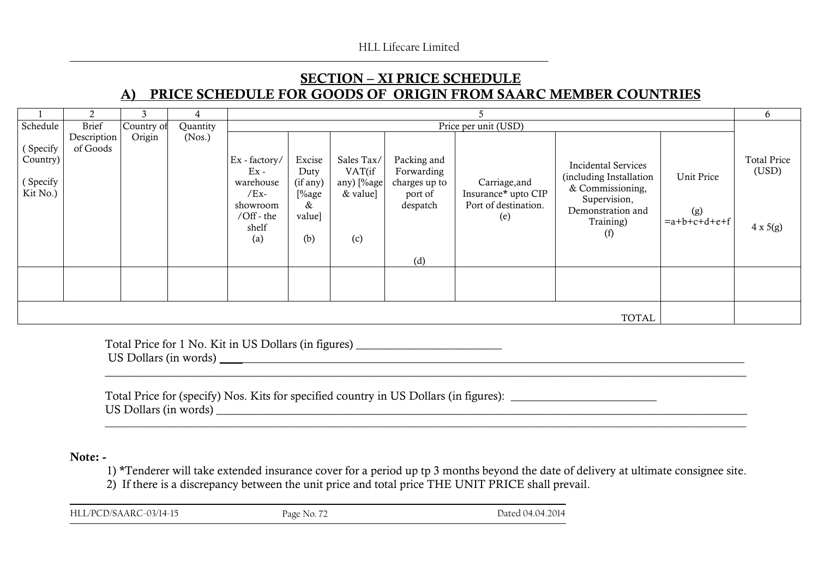## **SECTION – XI PRICE SCHEDULE A) PRICE SCHEDULE FOR GOODS OF ORIGIN FROM SAARC MEMBER COUNTRIES**

|                                              |                         |            |          |                                                                                          |                                                           |                                                         |                                                                   |                                                                     | 6                                                                                                                                  |                                     |                                                |
|----------------------------------------------|-------------------------|------------|----------|------------------------------------------------------------------------------------------|-----------------------------------------------------------|---------------------------------------------------------|-------------------------------------------------------------------|---------------------------------------------------------------------|------------------------------------------------------------------------------------------------------------------------------------|-------------------------------------|------------------------------------------------|
| Schedule                                     | <b>Brief</b>            | Country of | Quantity |                                                                                          | Price per unit (USD)                                      |                                                         |                                                                   |                                                                     |                                                                                                                                    |                                     |                                                |
| (Specify<br>Country)<br>(Specify<br>Kit No.) | Description<br>of Goods | Origin     | (Nos.)   | Ex - factory/<br>$Ex -$<br>warehouse<br>$/Ex-$<br>showroom<br>/Off - the<br>shelf<br>(a) | Excise<br>Duty<br>(if any)<br>[%age<br>&<br>value]<br>(b) | Sales Tax/<br>VAT(if<br>any) [%age<br>$&$ value]<br>(c) | Packing and<br>Forwarding<br>charges up to<br>port of<br>despatch | Carriage, and<br>Insurance* upto CIP<br>Port of destination.<br>(e) | <b>Incidental Services</b><br>(including Installation<br>& Commissioning,<br>Supervision,<br>Demonstration and<br>Training)<br>(f) | Unit Price<br>(g)<br>$=a+b+c+d+e+f$ | <b>Total Price</b><br>(USD)<br>$4 \times 5(g)$ |
|                                              |                         |            |          |                                                                                          |                                                           |                                                         | (d)                                                               |                                                                     |                                                                                                                                    |                                     |                                                |
|                                              |                         |            |          |                                                                                          |                                                           |                                                         |                                                                   |                                                                     |                                                                                                                                    |                                     |                                                |
| <b>TOTAL</b>                                 |                         |            |          |                                                                                          |                                                           |                                                         |                                                                   |                                                                     |                                                                                                                                    |                                     |                                                |

Total Price for 1 No. Kit in US Dollars (in figures) \_\_\_\_\_\_\_\_\_\_\_\_\_\_\_\_\_\_\_\_\_\_\_\_\_\_\_ US Dollars (in words)  $\Box$ 

Total Price for (specify) Nos. Kits for specified country in US Dollars (in figures): US Dollars (in words) \_\_\_\_\_\_\_\_\_\_\_\_\_\_\_\_\_\_\_\_\_\_\_\_\_\_\_\_\_\_\_\_\_\_\_\_\_\_\_\_\_\_\_\_\_\_\_\_\_\_\_\_\_\_\_\_\_\_\_\_\_\_\_\_\_\_\_\_\_\_\_\_\_\_\_\_\_\_\_\_\_\_\_\_\_\_\_\_\_\_\_ \_\_\_\_\_\_\_\_\_\_\_\_\_\_\_\_\_\_\_\_\_\_\_\_\_\_\_\_\_\_\_\_\_\_\_\_\_\_\_\_\_\_\_\_\_\_\_\_\_\_\_\_\_\_\_\_\_\_\_\_\_\_\_\_\_\_\_\_\_\_\_\_\_\_\_\_\_\_\_\_\_\_\_\_\_\_\_\_\_\_\_\_\_\_\_\_\_\_\_\_\_\_\_\_\_\_\_\_\_\_\_\_\_\_\_\_\_\_\_\_

#### **Note: -**

1) **\***Tenderer will take extended insurance cover for a period up tp 3 months beyond the date of delivery at ultimate consignee site.

 $\_$  , and the set of the set of the set of the set of the set of the set of the set of the set of the set of the set of the set of the set of the set of the set of the set of the set of the set of the set of the set of th

2) If there is a discrepancy between the unit price and total price THE UNIT PRICE shall prevail.

| HLL/PCD/SAARC-03/14-15 | Page No. 72 | Dated 04.04.2014 |
|------------------------|-------------|------------------|
|------------------------|-------------|------------------|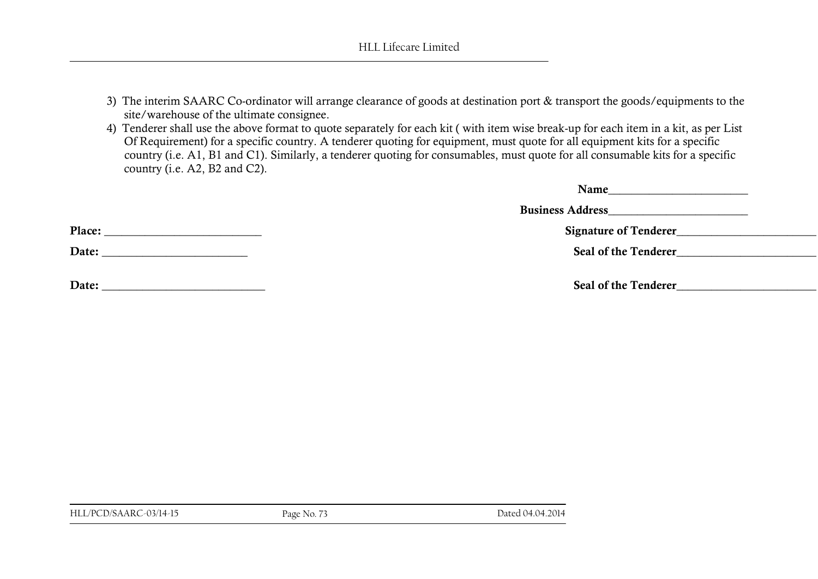- 3) The interim SAARC Co-ordinator will arrange clearance of goods at destination port & transport the goods/equipments to the site/warehouse of the ultimate consignee.
- 4) Tenderer shall use the above format to quote separately for each kit ( with item wise break-up for each item in a kit, as per List Of Requirement) for a specific country. A tenderer quoting for equipment, must quote for all equipment kits for a specific country (i.e. A1, B1 and C1). Similarly, a tenderer quoting for consumables, must quote for all consumable kits for a specific country (i.e. A2, B2 and C2).

| Name<br><u> 1989 - Andrea Station, amerikansk politik (</u>                    |  |
|--------------------------------------------------------------------------------|--|
| <b>Business Address Exercísion Exercísion Exercísion Exercísion Exercísion</b> |  |
| Signature of Tenderer                                                          |  |
| Seal of the Tenderer                                                           |  |
|                                                                                |  |
| Seal of the Tenderer                                                           |  |

**Place: \_\_\_\_\_\_\_\_\_\_\_\_\_\_\_\_\_\_\_\_\_\_\_\_\_\_\_ Signature of Tenderer\_\_\_\_\_\_\_\_\_\_\_\_\_\_\_\_\_\_\_\_\_\_\_\_**

**Date: \_\_\_\_\_\_\_\_\_\_\_\_\_\_\_\_\_\_\_\_\_\_\_\_\_ Seal of the Tenderer\_\_\_\_\_\_\_\_\_\_\_\_\_\_\_\_\_\_\_\_\_\_\_\_**

**Date: \_\_\_\_\_\_\_\_\_\_\_\_\_\_\_\_\_\_\_\_\_\_\_\_\_\_\_\_ Seal of the Tenderer\_\_\_\_\_\_\_\_\_\_\_\_\_\_\_\_\_\_\_\_\_\_\_\_**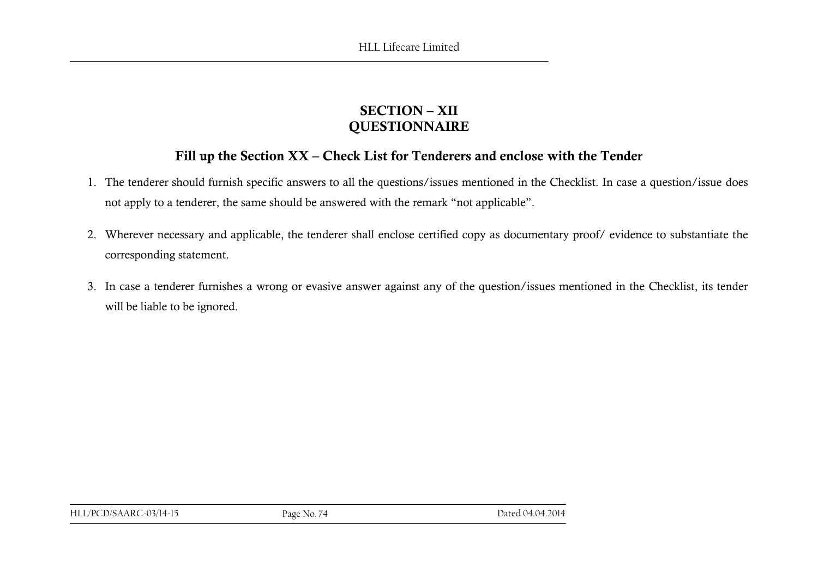### **SECTION – XII QUESTIONNAIRE**

### **Fill up the Section XX – Check List for Tenderers and enclose with the Tender**

- 1. The tenderer should furnish specific answers to all the questions/issues mentioned in the Checklist. In case a question/issue does not apply to a tenderer, the same should be answered with the remark "not applicable".
- 2. Wherever necessary and applicable, the tenderer shall enclose certified copy as documentary proof/ evidence to substantiate the corresponding statement.
- 3. In case a tenderer furnishes a wrong or evasive answer against any of the question/issues mentioned in the Checklist, its tender will be liable to be ignored.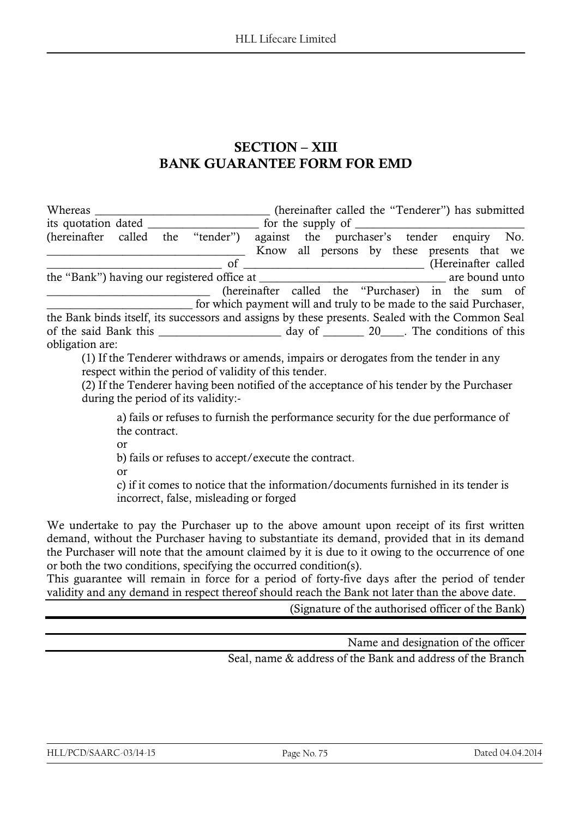### **SECTION – XIII BANK GUARANTEE FORM FOR EMD**

|                                                                                                  |  |                                                                    |                                                   | (hereinafter called the "Tenderer") has submitted |  |  |  |
|--------------------------------------------------------------------------------------------------|--|--------------------------------------------------------------------|---------------------------------------------------|---------------------------------------------------|--|--|--|
| its quotation dated <u>services</u> for the supply of                                            |  |                                                                    |                                                   |                                                   |  |  |  |
| (hereinafter called the "tender")                                                                |  |                                                                    |                                                   | against the purchaser's tender enquiry No.        |  |  |  |
|                                                                                                  |  |                                                                    |                                                   | Know all persons by these presents that we        |  |  |  |
|                                                                                                  |  |                                                                    | of (Hereinafter called                            |                                                   |  |  |  |
|                                                                                                  |  |                                                                    |                                                   |                                                   |  |  |  |
|                                                                                                  |  |                                                                    | (hereinafter called the "Purchaser) in the sum of |                                                   |  |  |  |
|                                                                                                  |  | for which payment will and truly to be made to the said Purchaser, |                                                   |                                                   |  |  |  |
| the Bank binds itself, its successors and assigns by these presents. Sealed with the Common Seal |  |                                                                    |                                                   |                                                   |  |  |  |
|                                                                                                  |  |                                                                    |                                                   |                                                   |  |  |  |
| obligation are:                                                                                  |  |                                                                    |                                                   |                                                   |  |  |  |

(1) If the Tenderer withdraws or amends, impairs or derogates from the tender in any respect within the period of validity of this tender.

(2) If the Tenderer having been notified of the acceptance of his tender by the Purchaser during the period of its validity:-

a) fails or refuses to furnish the performance security for the due performance of the contract.

or

b) fails or refuses to accept/execute the contract.

or

c) if it comes to notice that the information/documents furnished in its tender is incorrect, false, misleading or forged

We undertake to pay the Purchaser up to the above amount upon receipt of its first written demand, without the Purchaser having to substantiate its demand, provided that in its demand the Purchaser will note that the amount claimed by it is due to it owing to the occurrence of one or both the two conditions, specifying the occurred condition(s).

This guarantee will remain in force for a period of forty-five days after the period of tender validity and any demand in respect thereof should reach the Bank not later than the above date.

(Signature of the authorised officer of the Bank)

Name and designation of the officer

Seal, name & address of the Bank and address of the Branch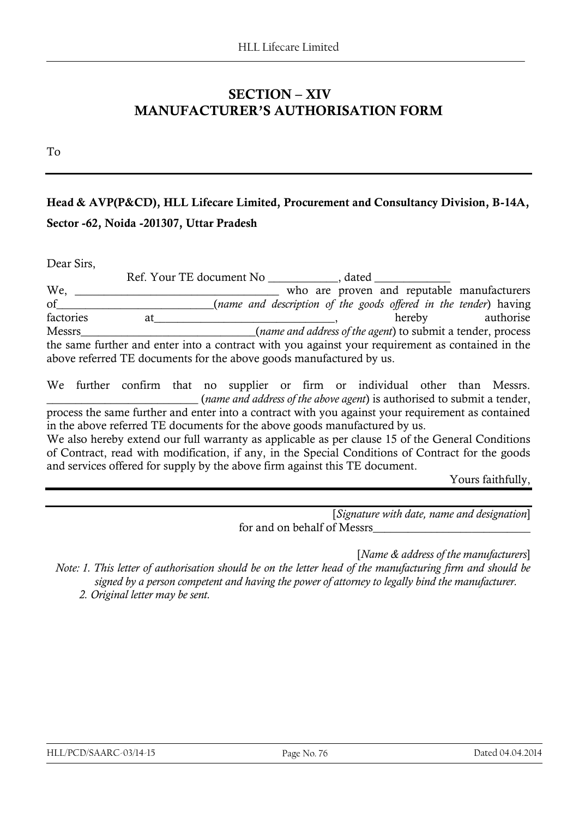### **SECTION – XIV MANUFACTURER"S AUTHORISATION FORM**

To

## **Head & AVP(P&CD), HLL Lifecare Limited, Procurement and Consultancy Division, B-14A, Sector -62, Noida -201307, Uttar Pradesh**

Dear Sirs,

Ref. Your TE document No \_\_\_\_\_\_\_\_\_\_\_\_, dated \_\_\_\_\_\_\_\_\_\_\_\_\_ We, \_\_\_\_\_\_\_\_\_\_\_\_\_\_\_\_\_\_\_\_\_\_\_\_\_\_\_\_\_\_\_\_\_\_\_ who are proven and reputable manufacturers of\_\_\_\_\_\_\_\_\_\_\_\_\_\_\_\_\_\_\_\_\_\_\_\_\_\_\_(*name and description of the goods offered in the tender*) having factories at and all all and all all and authorise hereby authorise Messrs\_\_\_\_\_\_\_\_\_\_\_\_\_\_\_\_\_\_\_\_\_\_\_\_\_\_\_\_\_\_(*name and address of the agent*) to submit a tender, process the same further and enter into a contract with you against your requirement as contained in the above referred TE documents for the above goods manufactured by us.

We further confirm that no supplier or firm or individual other than Messrs. \_\_\_\_\_\_\_\_\_\_\_\_\_\_\_\_\_\_\_\_\_\_\_\_\_\_ (*name and address of the above agent*) is authorised to submit a tender, process the same further and enter into a contract with you against your requirement as contained in the above referred TE documents for the above goods manufactured by us. We also hereby extend our full warranty as applicable as per clause 15 of the General Conditions of Contract, read with modification, if any, in the Special Conditions of Contract for the goods

and services offered for supply by the above firm against this TE document.

#### Yours faithfully,

[*Signature with date, name and designation*] for and on behalf of Messrs

[*Name & address of the manufacturers*]

*Note: 1. This letter of authorisation should be on the letter head of the manufacturing firm and should be signed by a person competent and having the power of attorney to legally bind the manufacturer.*

 *2. Original letter may be sent.*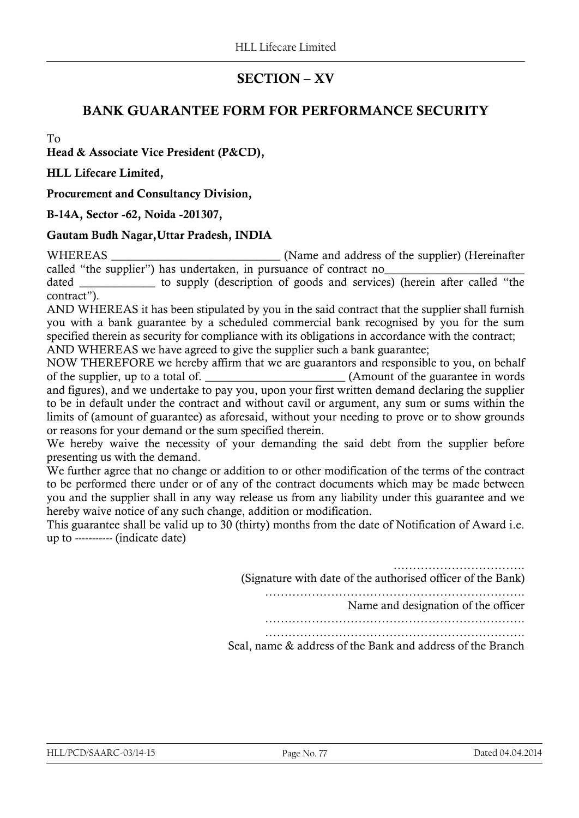### **SECTION – XV**

### **BANK GUARANTEE FORM FOR PERFORMANCE SECURITY**

To

**Head & Associate Vice President (P&CD),** 

**HLL Lifecare Limited,** 

**Procurement and Consultancy Division,** 

#### **B-14A, Sector -62, Noida -201307,**

#### **Gautam Budh Nagar,Uttar Pradesh, INDIA**

WHEREAS **EXECUTE:** (Name and address of the supplier) (Hereinafter called "the supplier") has undertaken, in pursuance of contract no\_\_\_\_\_\_\_\_\_\_\_\_\_\_\_\_\_\_\_\_\_\_\_\_

dated to supply (description of goods and services) (herein after called "the contract").

AND WHEREAS it has been stipulated by you in the said contract that the supplier shall furnish you with a bank guarantee by a scheduled commercial bank recognised by you for the sum specified therein as security for compliance with its obligations in accordance with the contract;

AND WHEREAS we have agreed to give the supplier such a bank guarantee;

NOW THEREFORE we hereby affirm that we are guarantors and responsible to you, on behalf of the supplier, up to a total of. \_\_\_\_\_\_\_\_\_\_\_\_\_\_\_\_\_\_\_\_\_\_\_\_ (Amount of the guarantee in words and figures), and we undertake to pay you, upon your first written demand declaring the supplier to be in default under the contract and without cavil or argument, any sum or sums within the limits of (amount of guarantee) as aforesaid, without your needing to prove or to show grounds or reasons for your demand or the sum specified therein.

We hereby waive the necessity of your demanding the said debt from the supplier before presenting us with the demand.

We further agree that no change or addition to or other modification of the terms of the contract to be performed there under or of any of the contract documents which may be made between you and the supplier shall in any way release us from any liability under this guarantee and we hereby waive notice of any such change, addition or modification.

This guarantee shall be valid up to 30 (thirty) months from the date of Notification of Award i.e. up to ----------- (indicate date)

> ………………………………………… (Signature with date of the authorised officer of the Bank) …………………………………………………………. Name and designation of the officer …………………………………………………………. …………………………………………………………. Seal, name & address of the Bank and address of the Branch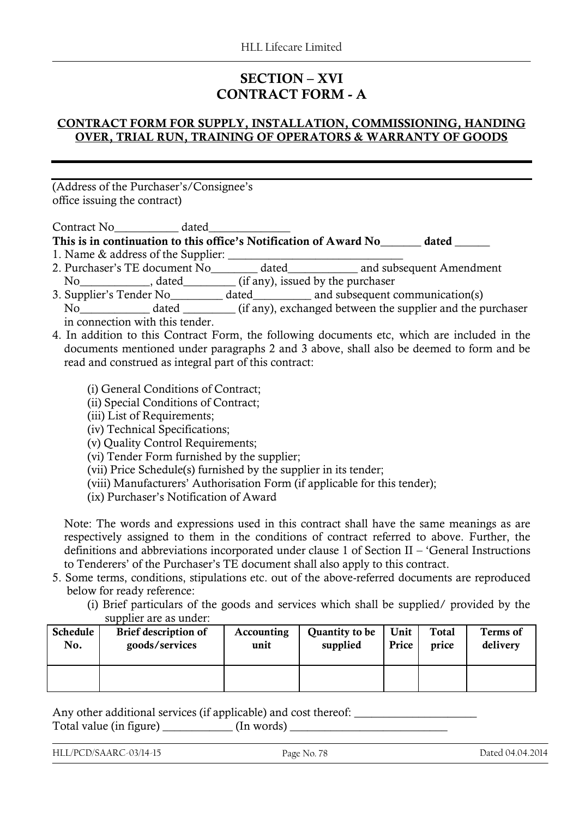### **SECTION – XVI CONTRACT FORM - A**

#### **CONTRACT FORM FOR SUPPLY, INSTALLATION, COMMISSIONING, HANDING OVER, TRIAL RUN, TRAINING OF OPERATORS & WARRANTY OF GOODS**

(Address of the Purchaser"s/Consignee"s office issuing the contract)

Contract No\_\_\_\_\_\_\_\_\_\_\_ dated\_\_\_\_\_\_\_\_\_\_\_\_\_\_

**This is in continuation to this office"s Notification of Award No\_\_\_\_\_\_\_ dated \_\_\_\_\_\_**

- 1. Name & address of the Supplier: \_\_\_\_\_\_\_\_\_\_\_\_\_\_\_\_\_\_\_\_\_\_\_\_\_\_\_\_\_\_
- 2. Purchaser"s TE document No\_\_\_\_\_\_\_\_ dated\_\_\_\_\_\_\_\_\_\_\_\_ and subsequent Amendment
- No\_\_\_\_\_\_\_\_\_\_\_\_, dated\_\_\_\_\_\_\_\_\_ (if any), issued by the purchaser
- 3. Supplier's Tender No<sub>\_\_\_\_\_\_\_</sub> dated\_\_\_\_\_\_\_\_ and subsequent communication(s)
	- No\_\_\_\_\_\_\_\_\_\_\_\_ dated \_\_\_\_\_\_\_\_\_ (if any), exchanged between the supplier and the purchaser in connection with this tender.
- 4. In addition to this Contract Form, the following documents etc, which are included in the documents mentioned under paragraphs 2 and 3 above, shall also be deemed to form and be read and construed as integral part of this contract:
	- (i) General Conditions of Contract;
	- (ii) Special Conditions of Contract;
	- (iii) List of Requirements;
	- (iv) Technical Specifications;
	- (v) Quality Control Requirements;
	- (vi) Tender Form furnished by the supplier;
	- (vii) Price Schedule(s) furnished by the supplier in its tender;
	- (viii) Manufacturers" Authorisation Form (if applicable for this tender);
	- (ix) Purchaser"s Notification of Award

Note: The words and expressions used in this contract shall have the same meanings as are respectively assigned to them in the conditions of contract referred to above. Further, the definitions and abbreviations incorporated under clause 1 of Section II – "General Instructions to Tenderers" of the Purchaser"s TE document shall also apply to this contract.

- 5. Some terms, conditions, stipulations etc. out of the above-referred documents are reproduced below for ready reference:
	- (i) Brief particulars of the goods and services which shall be supplied/ provided by the supplier are as under:

| Schedule | Brief description of | Accounting | Quantity to be | Unit  | Total | Terms of |
|----------|----------------------|------------|----------------|-------|-------|----------|
| No.      | goods/services       | unit       | supplied       | Price | price | delivery |
|          |                      |            |                |       |       |          |

Any other additional services (if applicable) and cost thereof: Total value (in figure) \_\_\_\_\_\_\_\_\_\_\_\_ (In words) \_\_\_\_\_\_\_\_\_\_\_\_\_\_\_\_\_\_\_\_\_\_\_\_\_\_\_

HLL/PCD/SAARC-03/14-15 Page No. 78 Dated 04.04.2014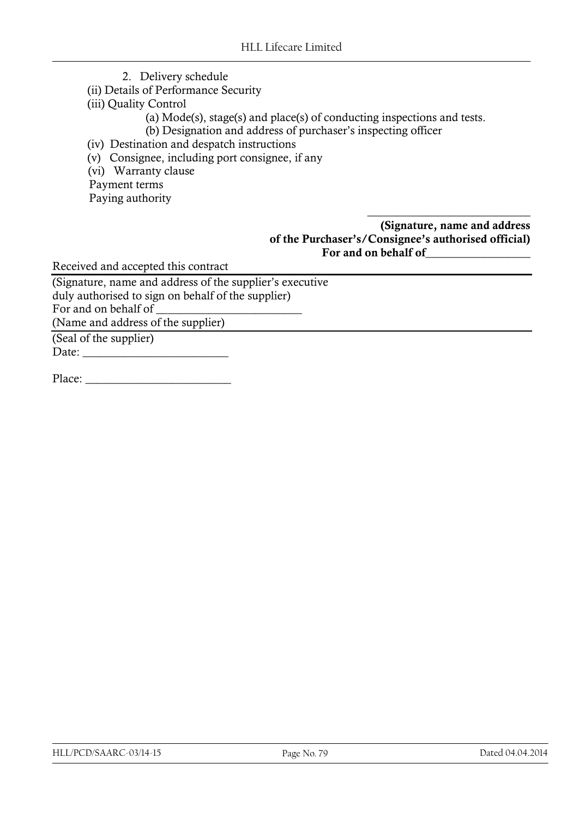- 2. Delivery schedule
- (ii) Details of Performance Security
- (iii) Quality Control
	- (a) Mode(s), stage(s) and place(s) of conducting inspections and tests.
	- (b) Designation and address of purchaser's inspecting officer
- (iv) Destination and despatch instructions
- (v) Consignee, including port consignee, if any
- (vi) Warranty clause

Payment terms

Paying authority

**(Signature, name and address of the Purchaser"s/Consignee"s authorised official) For and on behalf of\_\_\_\_\_\_\_\_\_\_\_\_\_\_\_\_\_\_** 

\_\_\_\_\_\_\_\_\_\_\_\_\_\_\_\_\_\_\_\_\_\_\_\_\_\_\_\_

Received and accepted this contract

(Signature, name and address of the supplier"s executive duly authorised to sign on behalf of the supplier) For and on behalf of (Name and address of the supplier)

(Seal of the supplier) Date: \_\_\_\_\_\_\_\_\_\_\_\_\_\_\_\_\_\_\_\_\_\_\_\_\_

Place: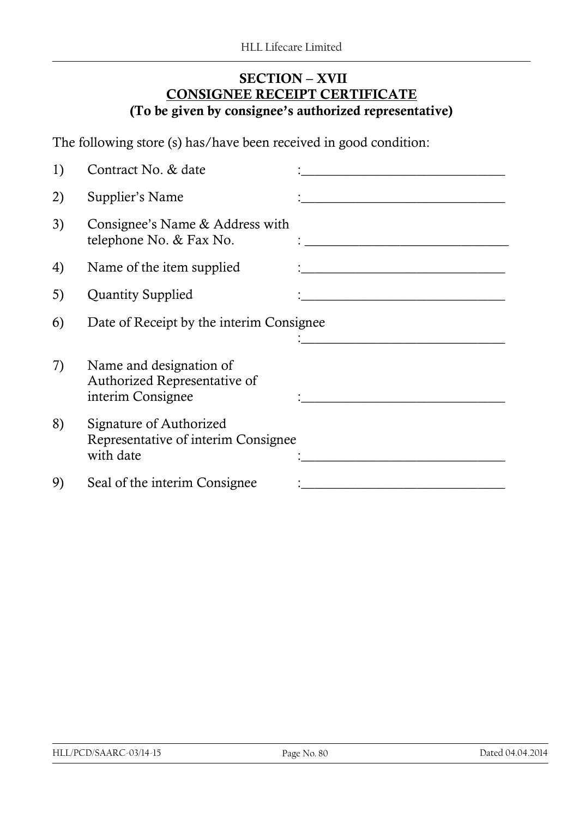### **SECTION – XVII CONSIGNEE RECEIPT CERTIFICATE (To be given by consignee"s authorized representative)**

The following store (s) has/have been received in good condition:

| 1) | Contract No. & date                                                         |  |
|----|-----------------------------------------------------------------------------|--|
| 2) | Supplier's Name                                                             |  |
| 3) | Consignee's Name & Address with<br>telephone No. & Fax No.                  |  |
| 4) | Name of the item supplied                                                   |  |
| 5) | <b>Quantity Supplied</b>                                                    |  |
| 6) | Date of Receipt by the interim Consignee                                    |  |
|    |                                                                             |  |
| 7) | Name and designation of<br>Authorized Representative of                     |  |
|    | interim Consignee                                                           |  |
| 8) | Signature of Authorized<br>Representative of interim Consignee<br>with date |  |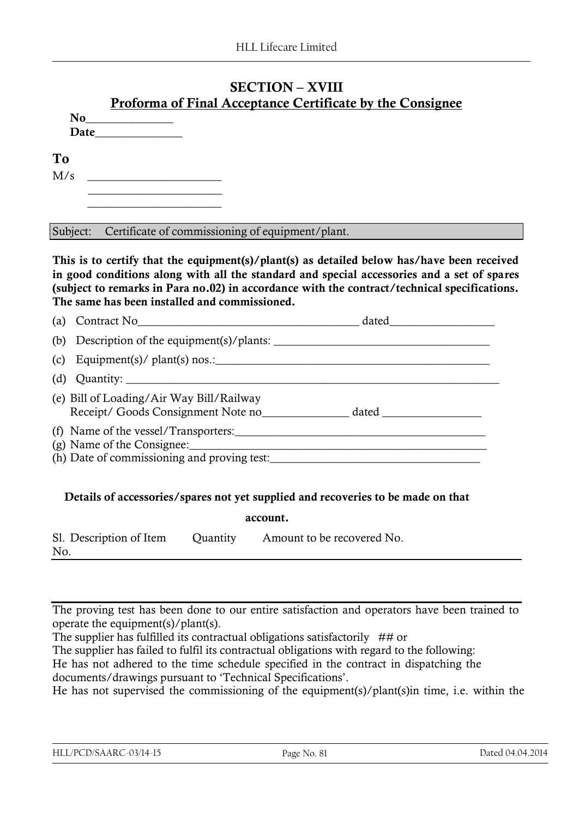### **SECTION – XVIII Proforma of Final Acceptance Certificate by the Consignee**

| To  |  |
|-----|--|
| M/s |  |
|     |  |
|     |  |

Subject: Certificate of commissioning of equipment/plant.

**This is to certify that the equipment(s)/plant(s) as detailed below has/have been received in good conditions along with all the standard and special accessories and a set of spares (subject to remarks in Para no.02) in accordance with the contract/technical specifications. The same has been installed and commissioned.**

| (a) | Contract No Contract No                                                                                           | dated |
|-----|-------------------------------------------------------------------------------------------------------------------|-------|
|     | (b) Description of the equipment(s)/plants: $\frac{1}{2}$                                                         |       |
| (c) | Equipment(s)/ plant(s) nos.: $\_\_$                                                                               |       |
| (d) |                                                                                                                   |       |
|     | (e) Bill of Loading/Air Way Bill/Railway<br>Receipt/ Goods Consignment Note no                                    |       |
|     | (f) Name of the vessel/Transporters:<br>(g) Name of the Consignee:<br>(h) Date of commissioning and proving test: |       |

### **Details of accessories/spares not yet supplied and recoveries to be made on that**

|                                |          | account.                   |
|--------------------------------|----------|----------------------------|
| Sl. Description of Item<br>No. | Quantity | Amount to be recovered No. |

The proving test has been done to our entire satisfaction and operators have been trained to operate the equipment(s)/plant(s).

The supplier has fulfilled its contractual obligations satisfactorily  $##$  or The supplier has failed to fulfil its contractual obligations with regard to the following: He has not adhered to the time schedule specified in the contract in dispatching the documents/drawings pursuant to "Technical Specifications".

He has not supervised the commissioning of the equipment(s)/plant(s)in time, i.e. within the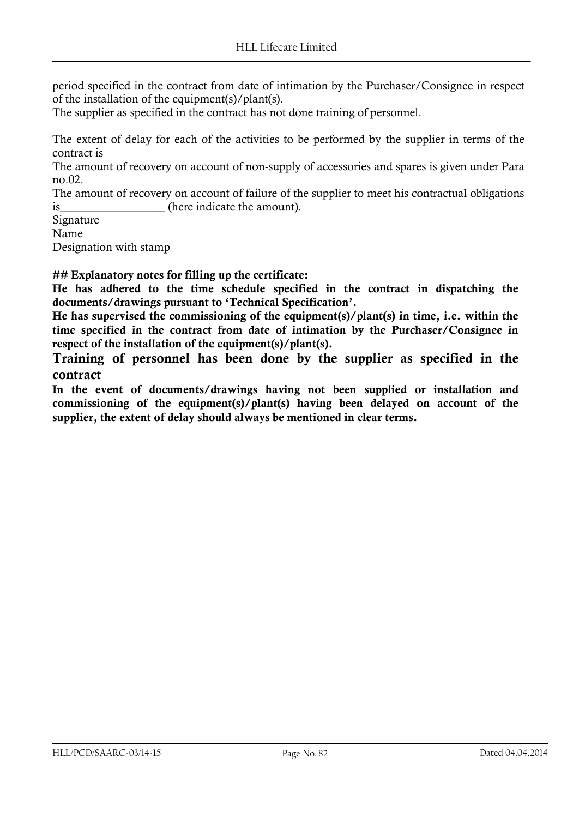period specified in the contract from date of intimation by the Purchaser/Consignee in respect of the installation of the equipment(s)/plant(s).

The supplier as specified in the contract has not done training of personnel.

The extent of delay for each of the activities to be performed by the supplier in terms of the contract is

The amount of recovery on account of non-supply of accessories and spares is given under Para no.02.

The amount of recovery on account of failure of the supplier to meet his contractual obligations is the contract of the indicate the amount).

Signature

Name

Designation with stamp

**## Explanatory notes for filling up the certificate:**

**He has adhered to the time schedule specified in the contract in dispatching the documents/drawings pursuant to "Technical Specification".**

**He has supervised the commissioning of the equipment(s)/plant(s) in time, i.e. within the time specified in the contract from date of intimation by the Purchaser/Consignee in respect of the installation of the equipment(s)/plant(s).**

**Training of personnel has been done by the supplier as specified in the contract**

**In the event of documents/drawings having not been supplied or installation and commissioning of the equipment(s)/plant(s) having been delayed on account of the supplier, the extent of delay should always be mentioned in clear terms.**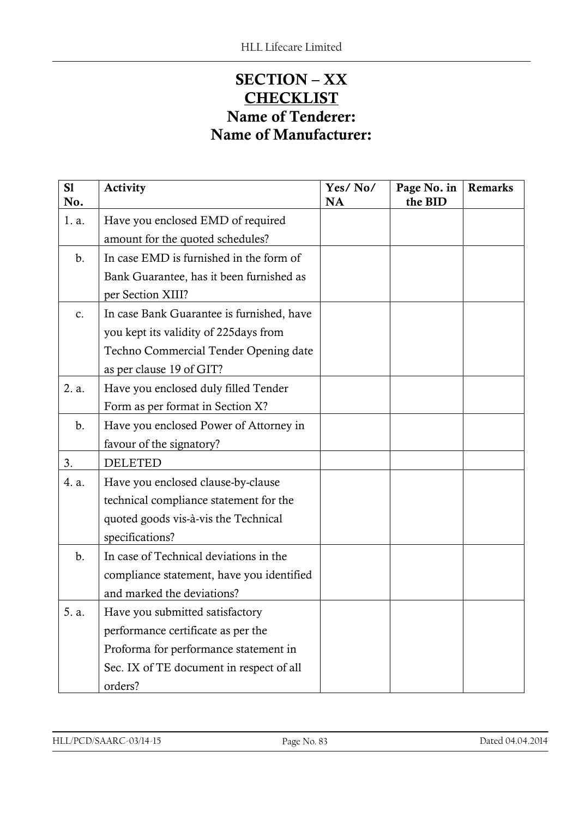# **SECTION – XX CHECKLIST Name of Tenderer: Name of Manufacturer:**

| S1<br>No. | Activity                                  | Yes/No/<br><b>NA</b> | Page No. in<br>the BID | Remarks |
|-----------|-------------------------------------------|----------------------|------------------------|---------|
| 1. a.     | Have you enclosed EMD of required         |                      |                        |         |
|           | amount for the quoted schedules?          |                      |                        |         |
| b.        | In case EMD is furnished in the form of   |                      |                        |         |
|           | Bank Guarantee, has it been furnished as  |                      |                        |         |
|           | per Section XIII?                         |                      |                        |         |
| c.        | In case Bank Guarantee is furnished, have |                      |                        |         |
|           | you kept its validity of 225days from     |                      |                        |         |
|           | Techno Commercial Tender Opening date     |                      |                        |         |
|           | as per clause 19 of GIT?                  |                      |                        |         |
| 2. a.     | Have you enclosed duly filled Tender      |                      |                        |         |
|           | Form as per format in Section X?          |                      |                        |         |
| b.        | Have you enclosed Power of Attorney in    |                      |                        |         |
|           | favour of the signatory?                  |                      |                        |         |
| 3.        | <b>DELETED</b>                            |                      |                        |         |
| 4. a.     | Have you enclosed clause-by-clause        |                      |                        |         |
|           | technical compliance statement for the    |                      |                        |         |
|           | quoted goods vis-à-vis the Technical      |                      |                        |         |
|           | specifications?                           |                      |                        |         |
| b.        | In case of Technical deviations in the    |                      |                        |         |
|           | compliance statement, have you identified |                      |                        |         |
|           | and marked the deviations?                |                      |                        |         |
| 5. a      | Have you submitted satisfactory           |                      |                        |         |
|           | performance certificate as per the        |                      |                        |         |
|           | Proforma for performance statement in     |                      |                        |         |
|           | Sec. IX of TE document in respect of all  |                      |                        |         |
|           | orders?                                   |                      |                        |         |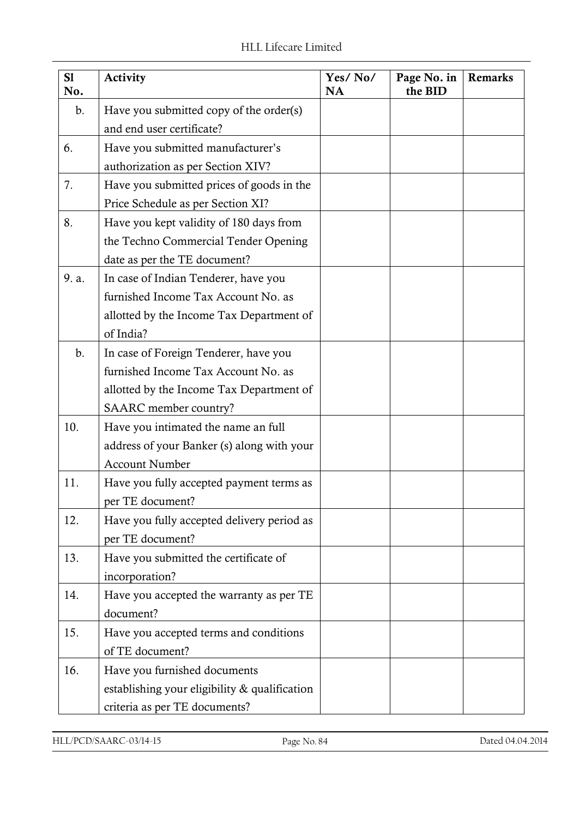| S1<br>No. | Activity                                                                                                                                          | Yes/No/<br><b>NA</b> | Page No. in<br>the BID | <b>Remarks</b> |
|-----------|---------------------------------------------------------------------------------------------------------------------------------------------------|----------------------|------------------------|----------------|
| b.        | Have you submitted copy of the order(s)<br>and end user certificate?                                                                              |                      |                        |                |
| 6.        | Have you submitted manufacturer's<br>authorization as per Section XIV?                                                                            |                      |                        |                |
| 7.        | Have you submitted prices of goods in the<br>Price Schedule as per Section XI?                                                                    |                      |                        |                |
| 8.        | Have you kept validity of 180 days from<br>the Techno Commercial Tender Opening<br>date as per the TE document?                                   |                      |                        |                |
| 9. a.     | In case of Indian Tenderer, have you<br>furnished Income Tax Account No. as<br>allotted by the Income Tax Department of<br>of India?              |                      |                        |                |
| b.        | In case of Foreign Tenderer, have you<br>furnished Income Tax Account No. as<br>allotted by the Income Tax Department of<br>SAARC member country? |                      |                        |                |
| 10.       | Have you intimated the name an full<br>address of your Banker (s) along with your<br><b>Account Number</b>                                        |                      |                        |                |
| 11.       | Have you fully accepted payment terms as<br>per TE document?                                                                                      |                      |                        |                |
| 12.       | Have you fully accepted delivery period as<br>per TE document?                                                                                    |                      |                        |                |
| 13.       | Have you submitted the certificate of<br>incorporation?                                                                                           |                      |                        |                |
| 14.       | Have you accepted the warranty as per TE<br>document?                                                                                             |                      |                        |                |
| 15.       | Have you accepted terms and conditions<br>of TE document?                                                                                         |                      |                        |                |
| 16.       | Have you furnished documents<br>establishing your eligibility & qualification<br>criteria as per TE documents?                                    |                      |                        |                |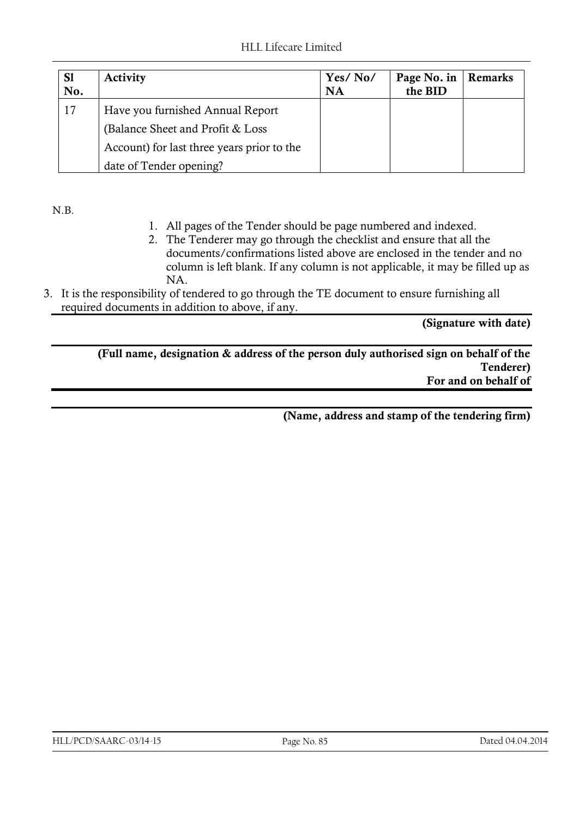| <b>S1</b><br>No. | <b>Activity</b>                            | Yes/No/<br>NA | Page No. in<br>the BID | Remarks |
|------------------|--------------------------------------------|---------------|------------------------|---------|
| 17               | Have you furnished Annual Report           |               |                        |         |
|                  | (Balance Sheet and Profit & Loss)          |               |                        |         |
|                  | Account) for last three years prior to the |               |                        |         |
|                  | date of Tender opening?                    |               |                        |         |

N.B.

- 1. All pages of the Tender should be page numbered and indexed.
- 2. The Tenderer may go through the checklist and ensure that all the documents/confirmations listed above are enclosed in the tender and no column is left blank. If any column is not applicable, it may be filled up as NA.
- 3. It is the responsibility of tendered to go through the TE document to ensure furnishing all required documents in addition to above, if any.

**(Signature with date)** 

**(Full name, designation & address of the person duly authorised sign on behalf of the Tenderer) For and on behalf of** 

**(Name, address and stamp of the tendering firm)**